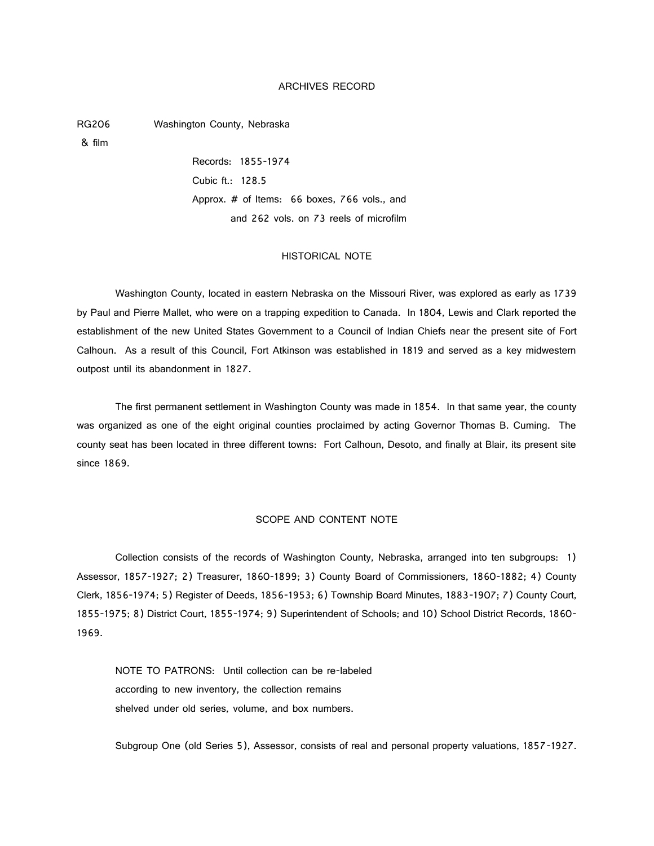### ARCHIVES RECORD

RG206 Washington County, Nebraska

& film

Records: 1855-1974 Cubic ft.: 128.5 Approx. # of Items: 66 boxes, 766 vols., and and 262 vols. on 73 reels of microfilm

### HISTORICAL NOTE

Washington County, located in eastern Nebraska on the Missouri River, was explored as early as 1739 by Paul and Pierre Mallet, who were on a trapping expedition to Canada. In 1804, Lewis and Clark reported the establishment of the new United States Government to a Council of Indian Chiefs near the present site of Fort Calhoun. As a result of this Council, Fort Atkinson was established in 1819 and served as a key midwestern outpost until its abandonment in 1827.

The first permanent settlement in Washington County was made in 1854. In that same year, the county was organized as one of the eight original counties proclaimed by acting Governor Thomas B. Cuming. The county seat has been located in three different towns: Fort Calhoun, Desoto, and finally at Blair, its present site since 1869.

### SCOPE AND CONTENT NOTE

Collection consists of the records of Washington County, Nebraska, arranged into ten subgroups: 1) Assessor, 1857-1927; 2) Treasurer, 1860-1899; 3) County Board of Commissioners, 1860-1882; 4) County Clerk, 1856-1974; 5) Register of Deeds, 1856-1953; 6) Township Board Minutes, 1883-1907; 7) County Court, 1855-1975; 8) District Court, 1855-1974; 9) Superintendent of Schools; and 10) School District Records, 1860- 1969.

NOTE TO PATRONS: Until collection can be re-labeled according to new inventory, the collection remains shelved under old series, volume, and box numbers.

Subgroup One (old Series 5), Assessor, consists of real and personal property valuations, 1857-1927.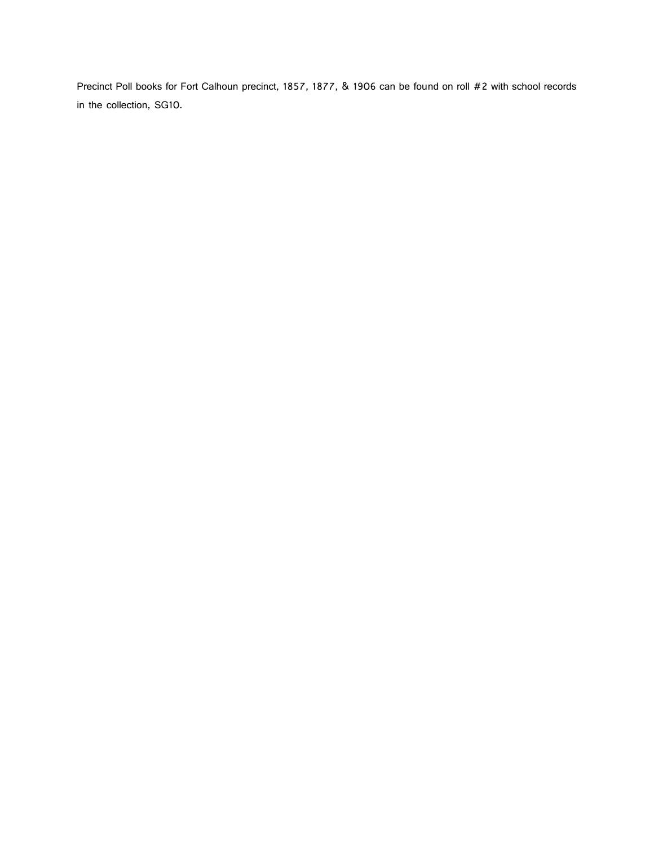Precinct Poll books for Fort Calhoun precinct, 1857, 1877, & 1906 can be found on roll #2 with school records in the collection, SG10.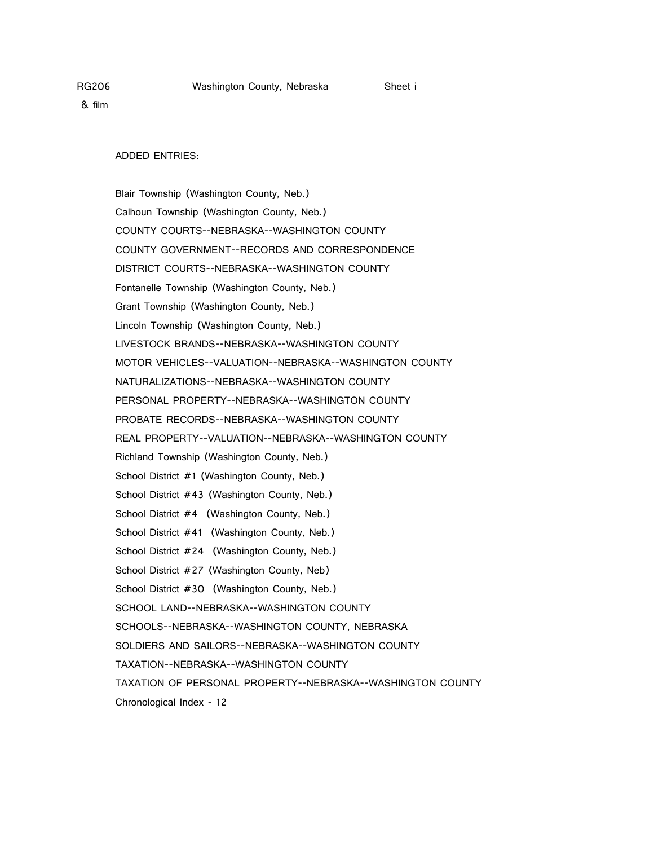ADDED ENTRIES:

Blair Township (Washington County, Neb.) Calhoun Township (Washington County, Neb.) COUNTY COURTS--NEBRASKA--WASHINGTON COUNTY COUNTY GOVERNMENT--RECORDS AND CORRESPONDENCE DISTRICT COURTS--NEBRASKA--WASHINGTON COUNTY Fontanelle Township (Washington County, Neb.) Grant Township (Washington County, Neb.) Lincoln Township (Washington County, Neb.) LIVESTOCK BRANDS--NEBRASKA--WASHINGTON COUNTY MOTOR VEHICLES--VALUATION--NEBRASKA--WASHINGTON COUNTY NATURALIZATIONS--NEBRASKA--WASHINGTON COUNTY PERSONAL PROPERTY--NEBRASKA--WASHINGTON COUNTY PROBATE RECORDS--NEBRASKA--WASHINGTON COUNTY REAL PROPERTY--VALUATION--NEBRASKA--WASHINGTON COUNTY Richland Township (Washington County, Neb.) School District #1 (Washington County, Neb.) School District #43 (Washington County, Neb.) School District #4 (Washington County, Neb.) School District #41 (Washington County, Neb.) School District #24 (Washington County, Neb.) School District #27 (Washington County, Neb) School District #30 (Washington County, Neb.) SCHOOL LAND--NEBRASKA--WASHINGTON COUNTY SCHOOLS--NEBRASKA--WASHINGTON COUNTY, NEBRASKA SOLDIERS AND SAILORS--NEBRASKA--WASHINGTON COUNTY TAXATION--NEBRASKA--WASHINGTON COUNTY TAXATION OF PERSONAL PROPERTY--NEBRASKA--WASHINGTON COUNTY Chronological Index - 12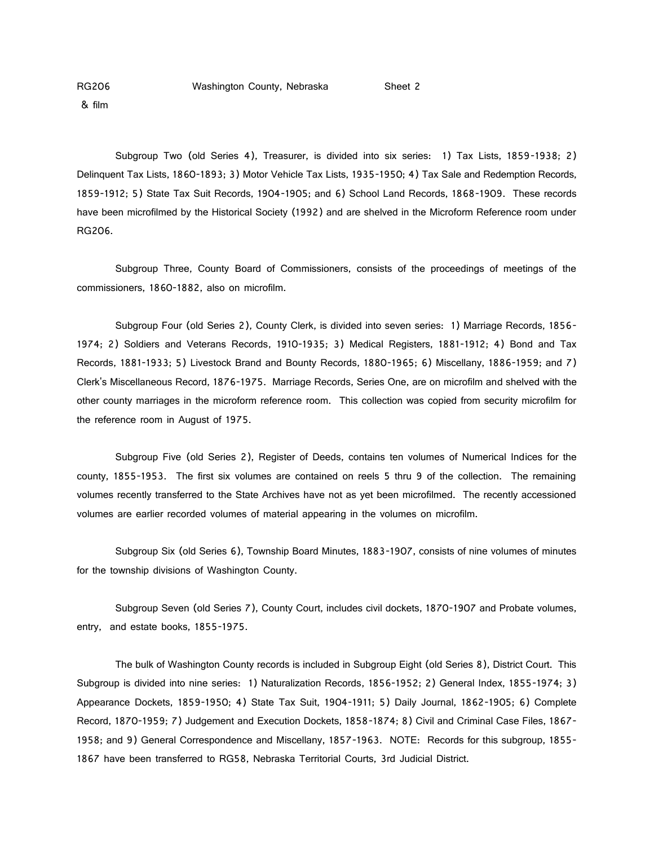& film

Subgroup Two (old Series 4), Treasurer, is divided into six series: 1) Tax Lists, 1859-1938; 2) Delinquent Tax Lists, 1860-1893; 3) Motor Vehicle Tax Lists, 1935-1950; 4) Tax Sale and Redemption Records, 1859-1912; 5) State Tax Suit Records, 1904-1905; and 6) School Land Records, 1868-1909. These records have been microfilmed by the Historical Society (1992) and are shelved in the Microform Reference room under RG206.

Subgroup Three, County Board of Commissioners, consists of the proceedings of meetings of the commissioners, 1860-1882, also on microfilm.

Subgroup Four (old Series 2), County Clerk, is divided into seven series: 1) Marriage Records, 1856- 1974; 2) Soldiers and Veterans Records, 1910-1935; 3) Medical Registers, 1881-1912; 4) Bond and Tax Records, 1881-1933; 5) Livestock Brand and Bounty Records, 1880-1965; 6) Miscellany, 1886-1959; and 7) Clerk's Miscellaneous Record, 1876-1975. Marriage Records, Series One, are on microfilm and shelved with the other county marriages in the microform reference room. This collection was copied from security microfilm for the reference room in August of 1975.

Subgroup Five (old Series 2), Register of Deeds, contains ten volumes of Numerical Indices for the county, 1855-1953. The first six volumes are contained on reels 5 thru 9 of the collection. The remaining volumes recently transferred to the State Archives have not as yet been microfilmed. The recently accessioned volumes are earlier recorded volumes of material appearing in the volumes on microfilm.

Subgroup Six (old Series 6), Township Board Minutes, 1883-1907, consists of nine volumes of minutes for the township divisions of Washington County.

Subgroup Seven (old Series 7), County Court, includes civil dockets, 1870-1907 and Probate volumes, entry, and estate books, 1855-1975.

The bulk of Washington County records is included in Subgroup Eight (old Series 8), District Court. This Subgroup is divided into nine series: 1) Naturalization Records, 1856-1952; 2) General Index, 1855-1974; 3) Appearance Dockets, 1859-1950; 4) State Tax Suit, 1904-1911; 5) Daily Journal, 1862-1905; 6) Complete Record, 1870-1959; 7) Judgement and Execution Dockets, 1858-1874; 8) Civil and Criminal Case Files, 1867- 1958; and 9) General Correspondence and Miscellany, 1857-1963. NOTE: Records for this subgroup, 1855- 1867 have been transferred to RG58, Nebraska Territorial Courts, 3rd Judicial District.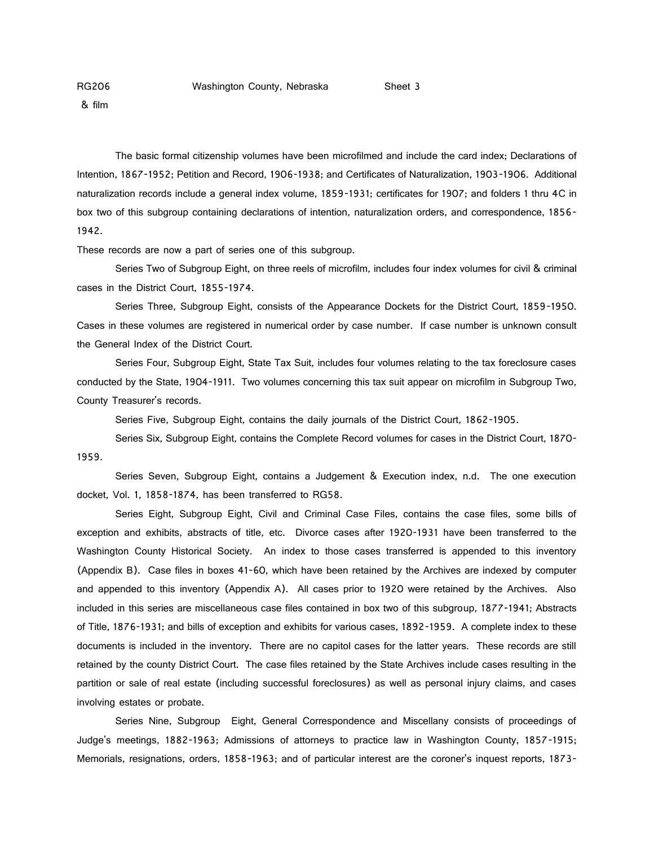& film

The basic formal citizenship volumes have been microfilmed and include the card index; Declarations of Intention, 1867-1952; Petition and Record, 1906-1938; and Certificates of Naturalization, 1903-1906. Additional naturalization records include a general index volume, 1859-1931; certificates for 1907; and folders 1 thru 4C in box two of this subgroup containing declarations of intention, naturalization orders, and correspondence, 1856- 1942.

These records are now a part of series one of this subgroup.

Series Two of Subgroup Eight, on three reels of microfilm, includes four index volumes for civil & criminal cases in the District Court, 1855-1974.

Series Three, Subgroup Eight, consists of the Appearance Dockets for the District Court, 1859-1950. Cases in these volumes are registered in numerical order by case number. If case number is unknown consult the General Index of the District Court.

Series Four, Subgroup Eight, State Tax Suit, includes four volumes relating to the tax foreclosure cases conducted by the State, 1904-1911. Two volumes concerning this tax suit appear on microfilm in Subgroup Two, County Treasurer's records.

Series Five, Subgroup Eight, contains the daily journals of the District Court, 1862-1905.

Series Six, Subgroup Eight, contains the Complete Record volumes for cases in the District Court, 1870- 1959.

Series Seven, Subgroup Eight, contains a Judgement & Execution index, n.d. The one execution docket, Vol. 1, 1858-1874, has been transferred to RG58.

Series Eight, Subgroup Eight, Civil and Criminal Case Files, contains the case files, some bills of exception and exhibits, abstracts of title, etc. Divorce cases after 1920-1931 have been transferred to the Washington County Historical Society. An index to those cases transferred is appended to this inventory (Appendix B). Case files in boxes 41-60, which have been retained by the Archives are indexed by computer and appended to this inventory (Appendix A). All cases prior to 1920 were retained by the Archives. Also included in this series are miscellaneous case files contained in box two of this subgroup, 1877-1941; Abstracts of Title, 1876-1931; and bills of exception and exhibits for various cases, 1892-1959. A complete index to these documents is included in the inventory. There are no capitol cases for the latter years. These records are still retained by the county District Court. The case files retained by the State Archives include cases resulting in the partition or sale of real estate (including successful foreclosures) as well as personal injury claims, and cases involving estates or probate.

Series Nine, Subgroup Eight, General Correspondence and Miscellany consists of proceedings of Judge's meetings, 1882-1963; Admissions of attorneys to practice law in Washington County, 1857-1915; Memorials, resignations, orders, 1858-1963; and of particular interest are the coroner's inquest reports, 1873-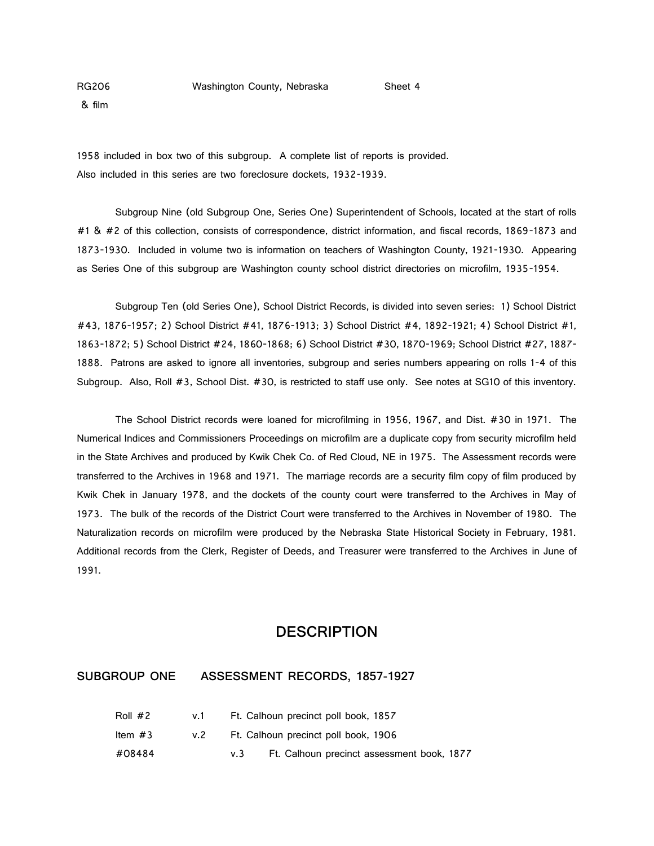& film

1958 included in box two of this subgroup. A complete list of reports is provided. Also included in this series are two foreclosure dockets, 1932-1939.

Subgroup Nine (old Subgroup One, Series One) Superintendent of Schools, located at the start of rolls #1 & #2 of this collection, consists of correspondence, district information, and fiscal records, 1869-1873 and 1873-1930. Included in volume two is information on teachers of Washington County, 1921-1930. Appearing as Series One of this subgroup are Washington county school district directories on microfilm, 1935-1954.

Subgroup Ten (old Series One), School District Records, is divided into seven series: 1) School District #43, 1876-1957; 2) School District #41, 1876-1913; 3) School District #4, 1892-1921; 4) School District #1, 1863-1872; 5) School District #24, 1860-1868; 6) School District #30, 1870-1969; School District #27, 1887- 1888. Patrons are asked to ignore all inventories, subgroup and series numbers appearing on rolls 1-4 of this Subgroup. Also, Roll #3, School Dist. #30, is restricted to staff use only. See notes at SG10 of this inventory.

The School District records were loaned for microfilming in 1956, 1967, and Dist. #30 in 1971. The Numerical Indices and Commissioners Proceedings on microfilm are a duplicate copy from security microfilm held in the State Archives and produced by Kwik Chek Co. of Red Cloud, NE in 1975. The Assessment records were transferred to the Archives in 1968 and 1971. The marriage records are a security film copy of film produced by Kwik Chek in January 1978, and the dockets of the county court were transferred to the Archives in May of 1973. The bulk of the records of the District Court were transferred to the Archives in November of 1980. The Naturalization records on microfilm were produced by the Nebraska State Historical Society in February, 1981. Additional records from the Clerk, Register of Deeds, and Treasurer were transferred to the Archives in June of 1991.

## **DESCRIPTION**

### **SUBGROUP ONE ASSESSMENT RECORDS, 1857-1927**

| Roll #2 | v.1  |     | Ft. Calhoun precinct poll book, 1857       |
|---------|------|-----|--------------------------------------------|
| ltem #3 | v. 2 |     | Ft. Calhoun precinct poll book, 1906       |
| #08484  |      | V.3 | Ft. Calhoun precinct assessment book, 1877 |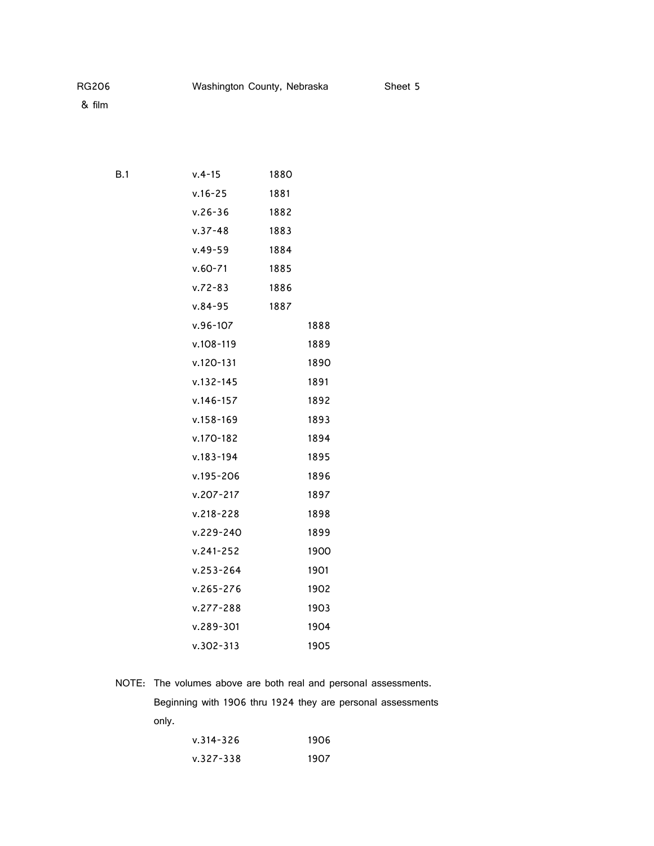| B.1 | $v.4 - 15$    | 1880 |      |
|-----|---------------|------|------|
|     | $v.16 - 25$   | 1881 |      |
|     | $v.26 - 36$   | 1882 |      |
|     | $v.37 - 48$   | 1883 |      |
|     | $v.49 - 59$   | 1884 |      |
|     | $v.60 - 71$   | 1885 |      |
|     | $v.72 - 83$   | 1886 |      |
|     | $v.84 - 95$   | 1887 |      |
|     | $v.96 - 107$  |      | 1888 |
|     | $v.108 - 119$ |      | 1889 |
|     | v.120-131     |      | 1890 |
|     | $v.132 - 145$ |      | 1891 |
|     | $v.146 - 157$ |      | 1892 |
|     | $v.158 - 169$ |      | 1893 |
|     | v.170-182     |      | 1894 |
|     | $v.183 - 194$ |      | 1895 |
|     | $v.195 - 206$ |      | 1896 |
|     | $v.207 - 217$ |      | 1897 |
|     | $v.218 - 228$ |      | 1898 |
|     | v.229-240     |      | 1899 |
|     | $v.241 - 252$ |      | 1900 |
|     | $v.253 - 264$ |      | 1901 |
|     | $v.265 - 276$ |      | 1902 |
|     | $v.277 - 288$ |      | 1903 |
|     | $v.289 - 301$ |      | 1904 |
|     | $v.302 - 313$ |      | 1905 |

NOTE: The volumes above are both real and personal assessments.

Beginning with 1906 thru 1924 they are personal assessments only.

| $v.314 - 326$ | 1906 |
|---------------|------|
| $v.327 - 338$ | 1907 |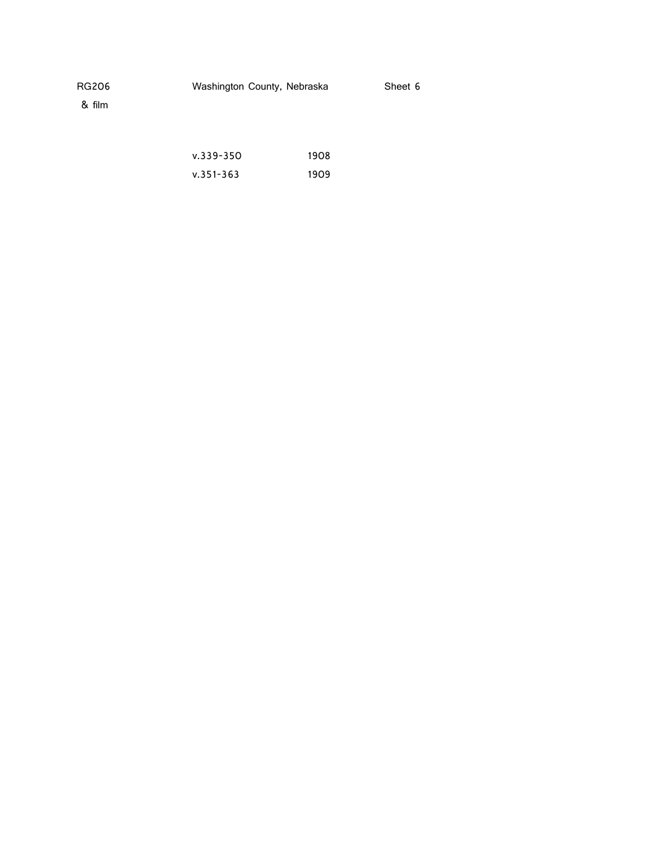& film

| $v.339 - 350$ | 1908 |
|---------------|------|
| $v.351 - 363$ | 1909 |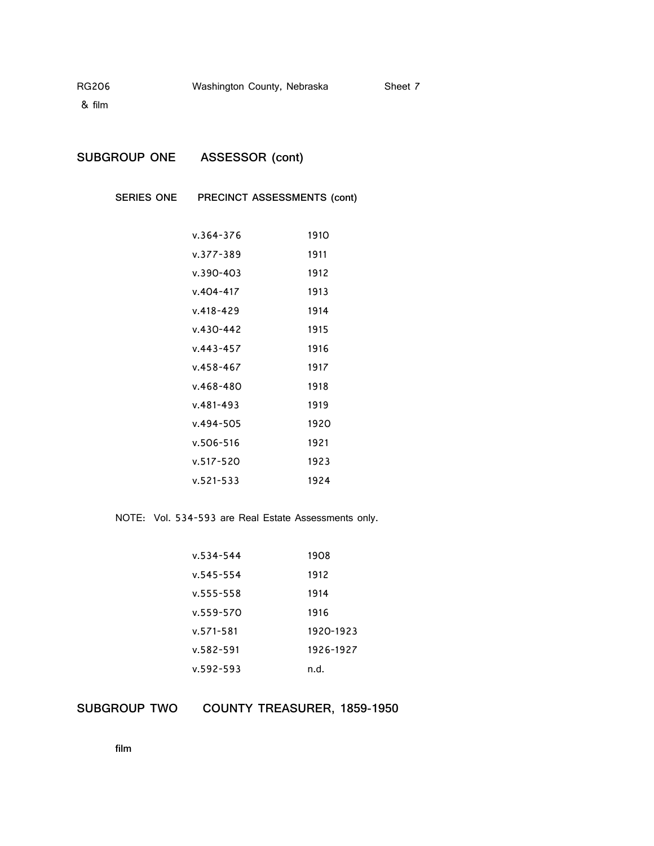& film

| <b>SUBGROUP ONE</b><br>ASSESSOR (cont) |
|----------------------------------------|
|                                        |

**SERIES ONE PRECINCT ASSESSMENTS (cont)**

| v.364-376     | 1910 |
|---------------|------|
| v.377-389     | 1911 |
| v.390-403     | 1912 |
| v.404-417     | 1913 |
| v.418-429     | 1914 |
| v.430-442     | 1915 |
| $v.443 - 457$ | 1916 |
| v.458-467     | 1917 |
| v.468-480     | 1918 |
| v.481-493     | 1919 |
| v.494-505     | 1920 |
| v.506-516     | 1921 |
| v.517-520     | 1923 |
| $v.521 - 533$ | 1924 |

NOTE: Vol. 534-593 are Real Estate Assessments only.

| v.534-544 | 1908      |
|-----------|-----------|
| v.545-554 | 1912      |
| v.555-558 | 1914      |
| v.559-570 | 1916      |
| v.571-581 | 1920-1923 |
| v.582-591 | 1926-1927 |
| v.592-593 | n.d.      |

**SUBGROUP TWO COUNTY TREASURER, 1859-1950**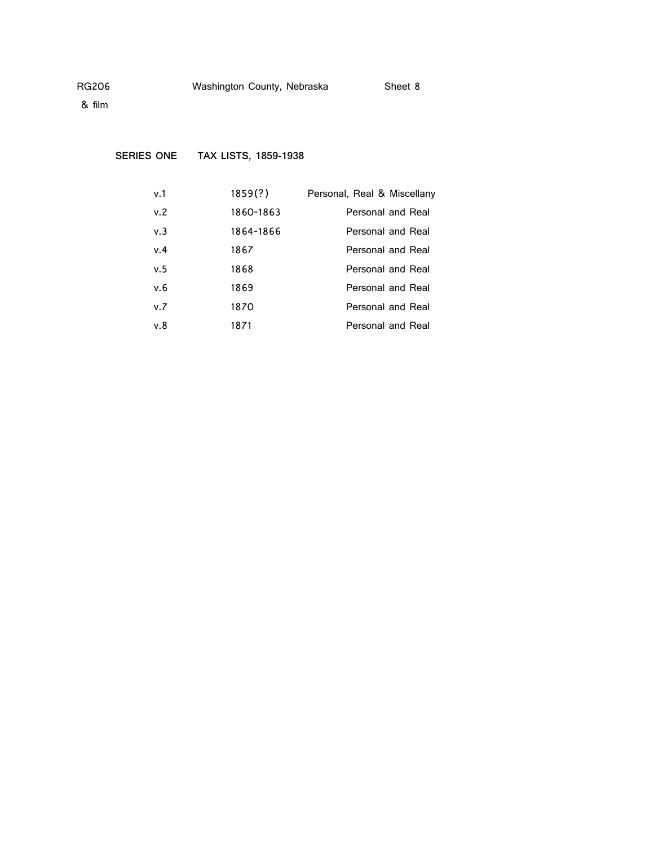**SERIES ONE TAX LISTS, 1859-1938**

| v.1 | 1859(?)   | Personal, Real & Miscellany |
|-----|-----------|-----------------------------|
| v.2 | 1860-1863 | Personal and Real           |
| v.3 | 1864-1866 | Personal and Real           |
| v.4 | 1867      | Personal and Real           |
| v.5 | 1868      | Personal and Real           |
| v.6 | 1869      | Personal and Real           |
| v.7 | 1870      | Personal and Real           |
| v.8 | 1871      | <b>Personal and Real</b>    |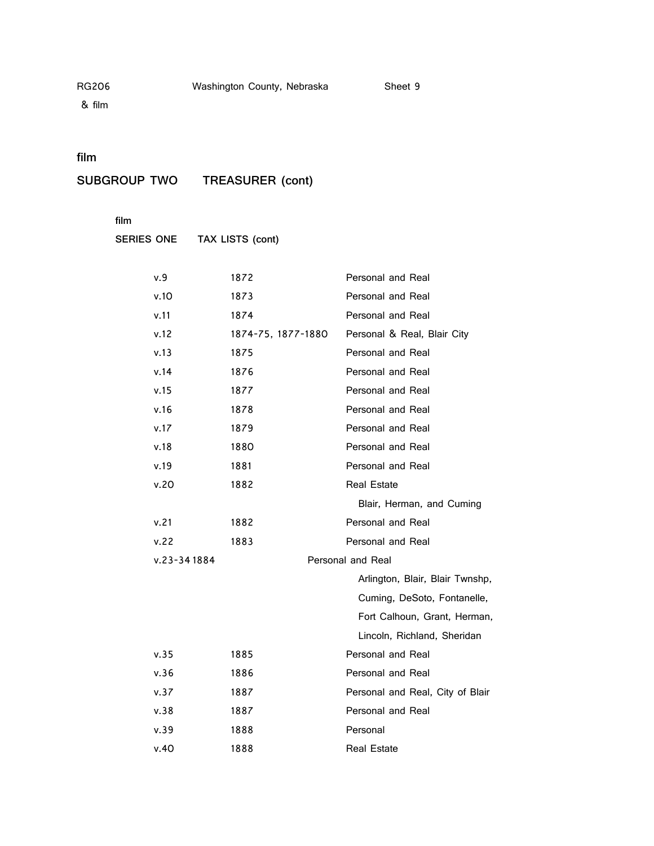& film

## **film**

**SUBGROUP TWO TREASURER (cont)**

**film**

**SERIES ONE TAX LISTS (cont)**

| v.9             | 1872               | Personal and Real                |
|-----------------|--------------------|----------------------------------|
| v.10            | 1873               | Personal and Real                |
| v.11            | 1874               | Personal and Real                |
| v.12            | 1874-75, 1877-1880 | Personal & Real, Blair City      |
| v.13            | 1875               | Personal and Real                |
| v.14            | 1876               | Personal and Real                |
| v.15            | 1877               | Personal and Real                |
| v.16            | 1878               | Personal and Real                |
| v.17            | 1879               | Personal and Real                |
| v.18            | 1880               | Personal and Real                |
| v.19            | 1881               | Personal and Real                |
| v.20            | 1882               | <b>Real Estate</b>               |
|                 |                    | Blair, Herman, and Cuming        |
| v.21            | 1882               | Personal and Real                |
| v.22            | 1883               | Personal and Real                |
| $v.23 - 341884$ |                    | Personal and Real                |
|                 |                    | Arlington, Blair, Blair Twnshp,  |
|                 |                    | Cuming, DeSoto, Fontanelle,      |
|                 |                    | Fort Calhoun, Grant, Herman,     |
|                 |                    | Lincoln, Richland, Sheridan      |
| v.35            | 1885               | Personal and Real                |
| v.36            | 1886               | Personal and Real                |
| v.37            | 1887               | Personal and Real, City of Blair |
| v.38            | 1887               | Personal and Real                |
| v.39            | 1888               | Personal                         |
| v.40            | 1888               | <b>Real Estate</b>               |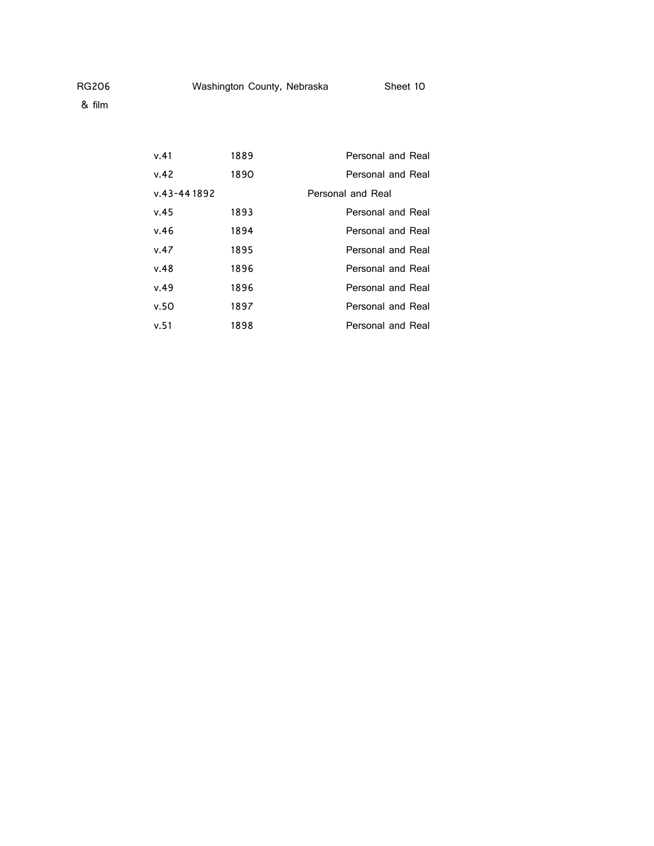& film

| v.41        | 1889 | Personal and Real |
|-------------|------|-------------------|
| v.42        | 1890 | Personal and Real |
| v.43-441892 |      | Personal and Real |
| v.45        | 1893 | Personal and Real |
| v.46        | 1894 | Personal and Real |
| v.47        | 1895 | Personal and Real |
| v.48        | 1896 | Personal and Real |
| v.49        | 1896 | Personal and Real |
| v.50        | 1897 | Personal and Real |
| v.51        | 1898 | Personal and Real |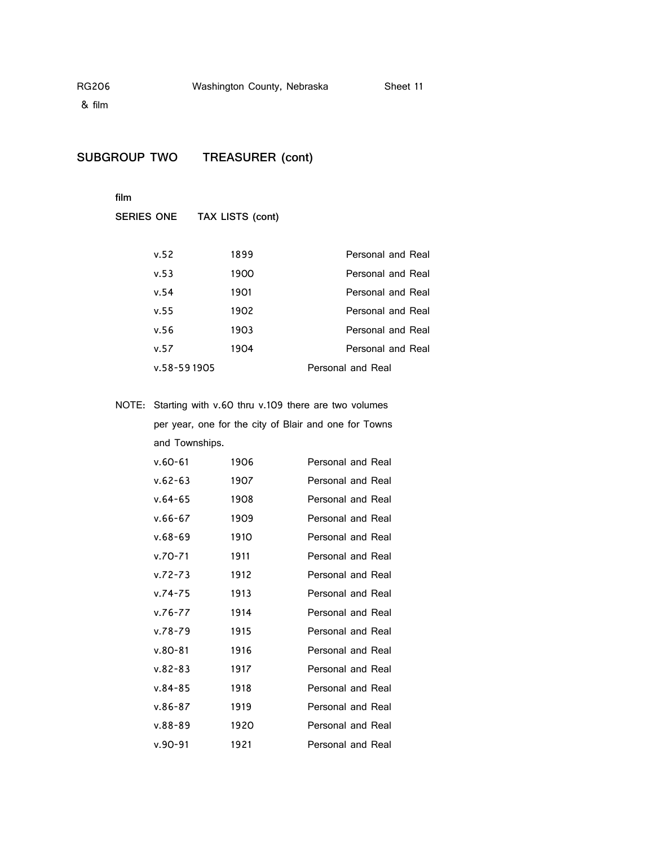& film

## **SUBGROUP TWO TREASURER (cont)**

**film**

|             | SERIES ONE TAX LISTS (cont) |                          |
|-------------|-----------------------------|--------------------------|
|             |                             |                          |
| v.52        | 1899                        | <b>Personal and Real</b> |
| v.53        | 1900                        | <b>Personal and Real</b> |
| v.54        | 1901                        | Personal and Real        |
| v.55        | 1902                        | Personal and Real        |
| v.56        | 1903                        | <b>Personal and Real</b> |
| v.57        | 1904                        | Personal and Real        |
| v.58-591905 |                             | Personal and Real        |
|             |                             |                          |

NOTE: Starting with v.60 thru v.109 there are two volumes

per year, one for the city of Blair and one for Towns and Townships.

| $v.60 - 61$ | 1906 | Personal and Real        |
|-------------|------|--------------------------|
| $v.62 - 63$ | 1907 | <b>Personal and Real</b> |
| $v.64 - 65$ | 1908 | Personal and Real        |
| $v.66 - 67$ | 1909 | Personal and Real        |
| $v.68 - 69$ | 1910 | <b>Personal and Real</b> |
| $v.70 - 71$ | 1911 | Personal and Real        |
| $V.72 - 73$ | 1912 | Personal and Real        |
| $v.74 - 75$ | 1913 | Personal and Real        |
| $v.76 - 77$ | 1914 | Personal and Real        |
| $v.78 - 79$ | 1915 | Personal and Real        |
| $v.80 - 81$ | 1916 | Personal and Real        |
| $v.82 - 83$ | 1917 | Personal and Real        |
| $v.84 - 85$ | 1918 | <b>Personal and Real</b> |
| $v.86 - 87$ | 1919 | Personal and Real        |
| $v.88 - 89$ | 1920 | Personal and Real        |
| $v.90 - 91$ | 1921 | Personal and Real        |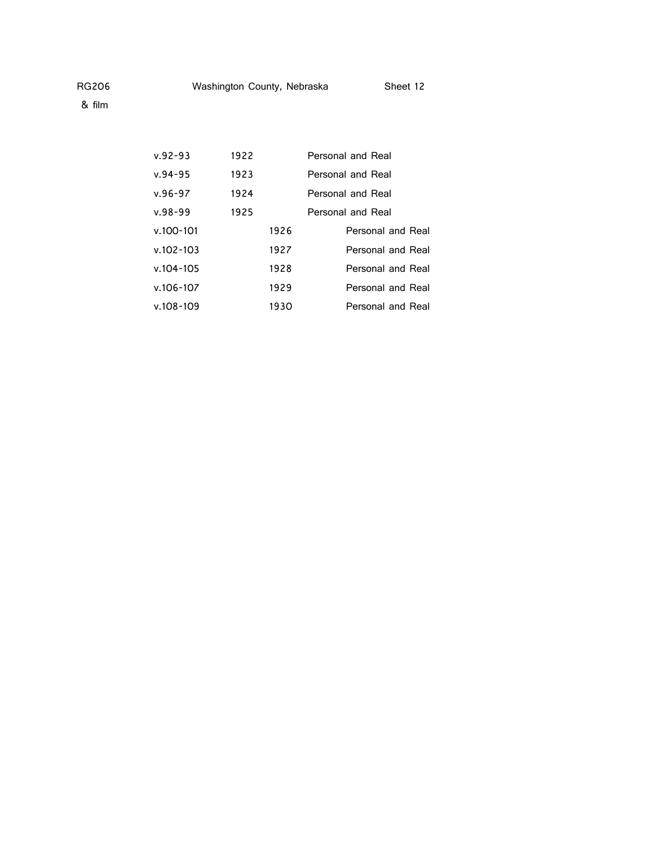| $v.92 - 93$   | 1922<br>Personal and Real |      |                   |
|---------------|---------------------------|------|-------------------|
| $v.94 - 95$   | 1923                      |      | Personal and Real |
| $v.96 - 97$   | 1924                      |      | Personal and Real |
| $v.98 - 99$   | 1925                      |      | Personal and Real |
| $v.100 - 101$ |                           | 1926 | Personal and Real |
| $v.102 - 103$ |                           | 1927 | Personal and Real |
| $v.104 - 105$ |                           | 1928 | Personal and Real |
| $v.106 - 107$ |                           | 1929 | Personal and Real |
| $v.108 - 109$ |                           | 1930 | Personal and Real |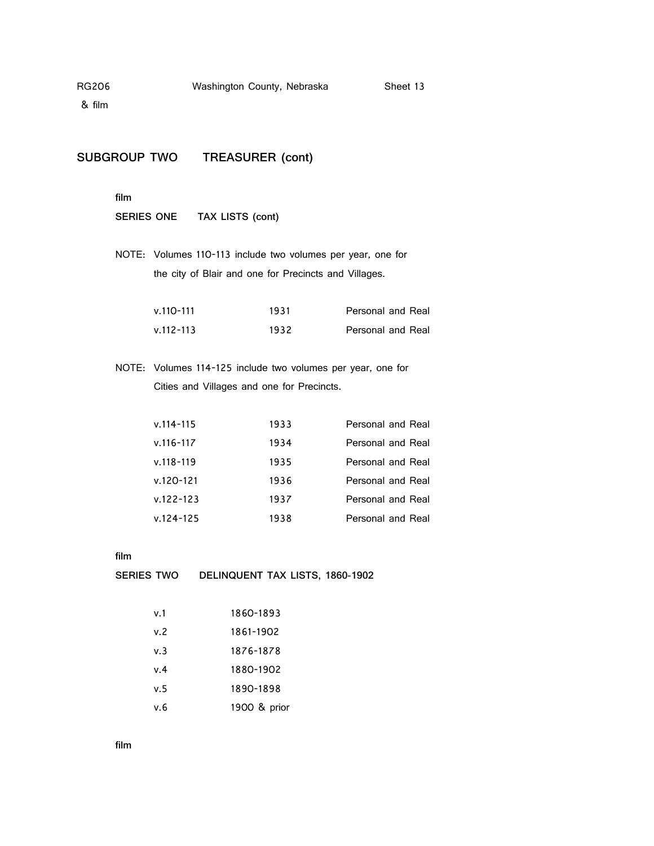& film

# **SUBGROUP TWO TREASURER (cont)**

**film**

**SERIES ONE TAX LISTS (cont)**

NOTE: Volumes 110-113 include two volumes per year, one for the city of Blair and one for Precincts and Villages.

| v.110-111     | 1931 | Personal and Real        |
|---------------|------|--------------------------|
| $v.112 - 113$ | 1932 | <b>Personal and Real</b> |

NOTE: Volumes 114-125 include two volumes per year, one for Cities and Villages and one for Precincts.

| $v.114 - 115$ | 1933 | Personal and Real |
|---------------|------|-------------------|
| v.116-117     | 1934 | Personal and Real |
| $v.118 - 119$ | 1935 | Personal and Real |
| v.120-121     | 1936 | Personal and Real |
| $v.122 - 123$ | 1937 | Personal and Real |
| $v.124 - 125$ | 1938 | Personal and Real |

**film**

**SERIES TWO DELINQUENT TAX LISTS, 1860-1902**

| v. 1 | 1860-1893    |
|------|--------------|
| v. 2 | 1861-1902    |
| v.3  | 1876-1878    |
| v.4  | 1880-1902    |
| v.5  | 1890-1898    |
| v 6  | 1900 & prior |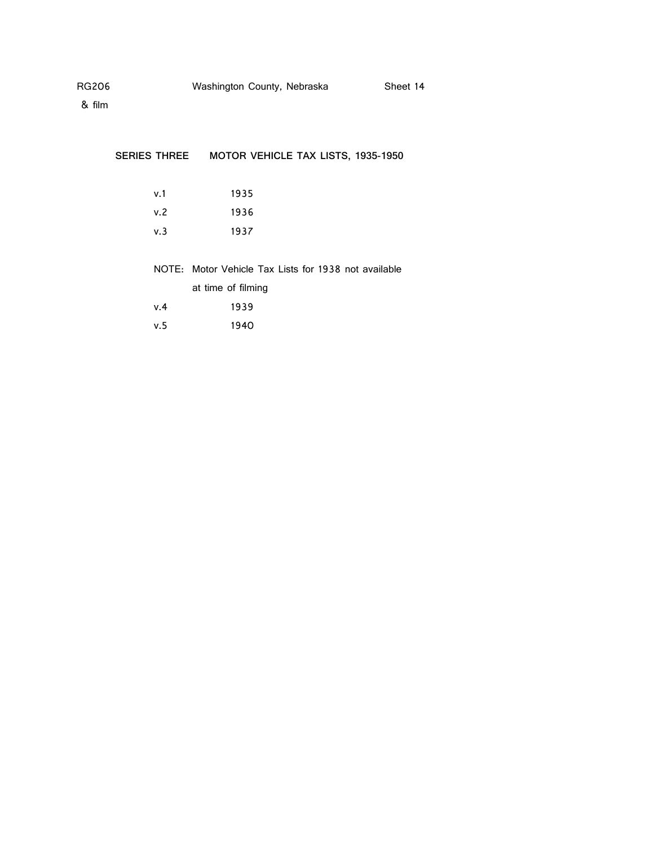| <b>SERIES THREE</b> | MOTOR VEHICLE TAX LISTS, 1935-1950                   |  |
|---------------------|------------------------------------------------------|--|
|                     |                                                      |  |
| v.1                 | 1935                                                 |  |
| v.2                 | 1936                                                 |  |
| v.3                 | 1937                                                 |  |
|                     |                                                      |  |
|                     | NOTE: Motor Vehicle Tax Lists for 1938 not available |  |
|                     | at time of filming                                   |  |
| v.4                 | 1939                                                 |  |
| v.5                 | 1940                                                 |  |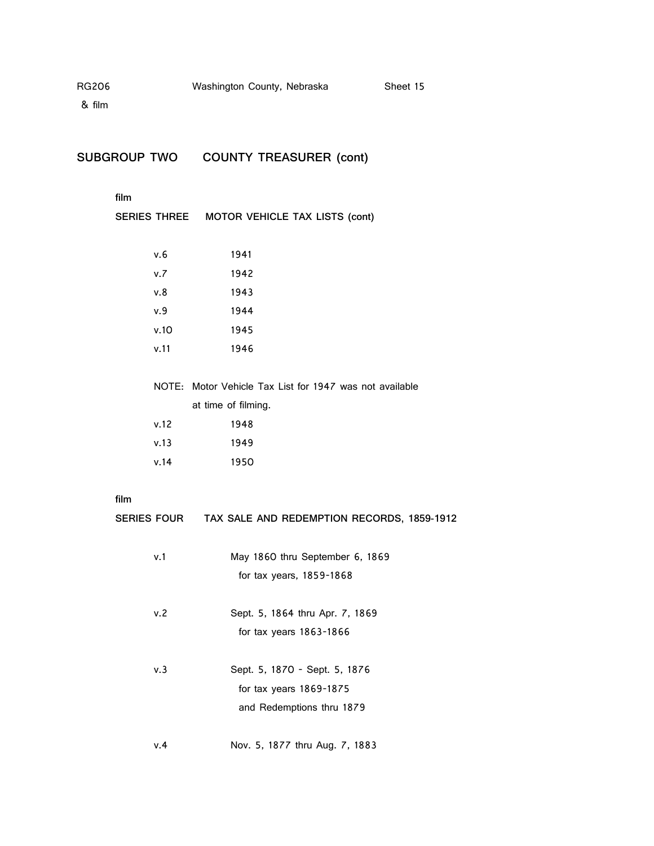& film

**SUBGROUP TWO COUNTY TREASURER (cont)**

### **film**

|      |      | SERIES THREE MOTOR VEHICLE TAX LISTS (cont)             |
|------|------|---------------------------------------------------------|
|      |      |                                                         |
|      | v.6  | 1941                                                    |
|      | v.7  | 1942                                                    |
|      | v.8  | 1943                                                    |
|      | v.9  | 1944                                                    |
|      | v.10 | 1945                                                    |
|      | v.11 | 1946                                                    |
|      |      |                                                         |
|      |      | NOTE: Motor Vehicle Tax List for 1947 was not available |
|      |      | at time of filming.                                     |
|      | v.12 | 1948                                                    |
|      | v.13 | 1949                                                    |
|      | v.14 | 1950                                                    |
|      |      |                                                         |
| film |      |                                                         |
|      |      | SERIES FOUR TAX SALE AND REDEMPTION RECORDS, 1859-1912  |
|      |      |                                                         |
|      | v.1  | May 1860 thru September 6, 1869                         |
|      |      | for tax years, 1859-1868                                |
|      | v.2  | Sept. 5, 1864 thru Apr. 7, 1869                         |
|      |      | for tax years 1863-1866                                 |
|      |      |                                                         |
|      |      |                                                         |

- v.3 Sept. 5, 1870 Sept. 5, 1876 for tax years 1869-1875 and Redemptions thru 1879
- v.4 Nov. 5, 1877 thru Aug. 7, 1883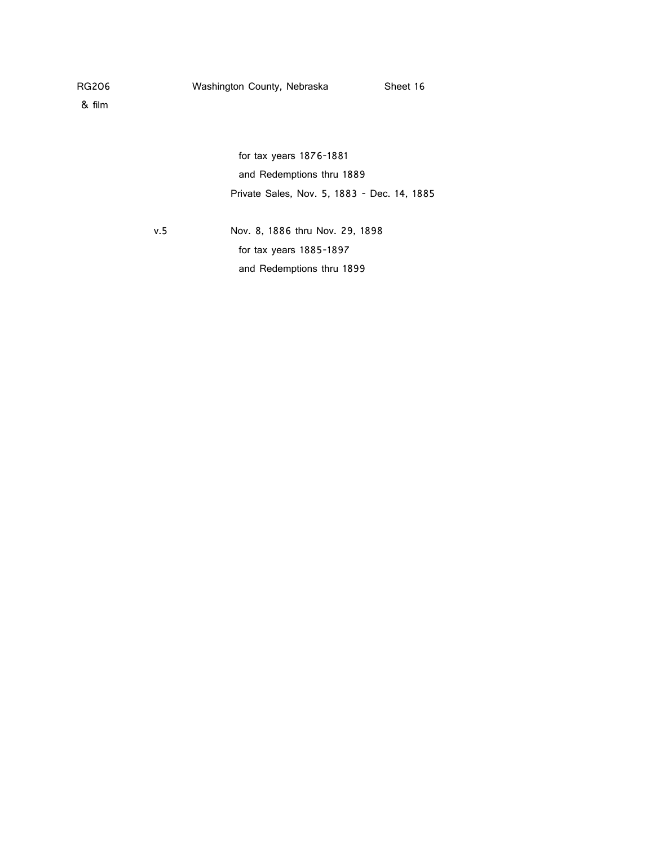for tax years 1876-1881 and Redemptions thru 1889 Private Sales, Nov. 5, 1883 - Dec. 14, 1885

v.5 Nov. 8, 1886 thru Nov. 29, 1898 for tax years 1885-1897 and Redemptions thru 1899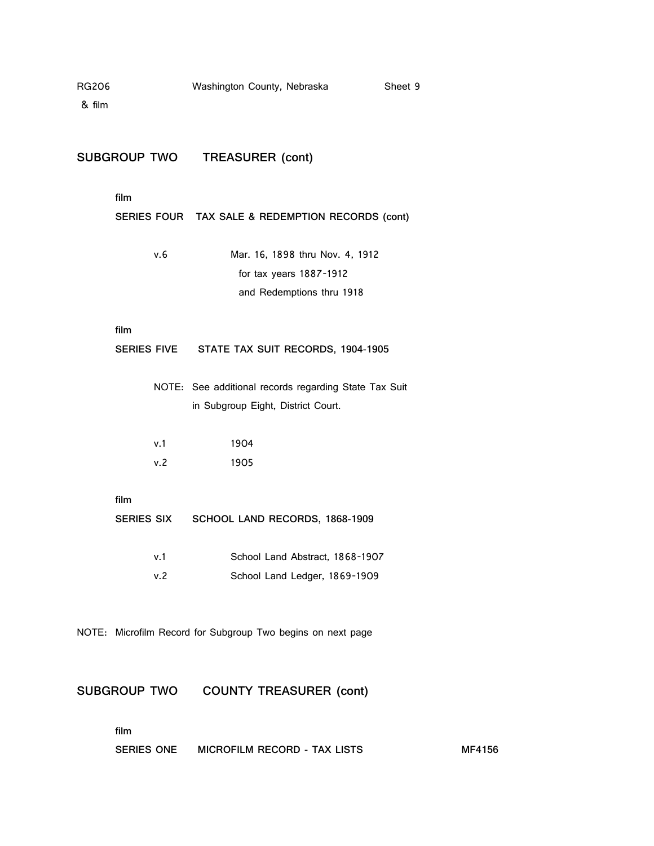| <b>RG206</b><br>& film |                     | Washington County, Nebraska                                                                 | Sheet 9 |
|------------------------|---------------------|---------------------------------------------------------------------------------------------|---------|
|                        |                     | SUBGROUP TWO TREASURER (cont)                                                               |         |
|                        | film                | SERIES FOUR TAX SALE & REDEMPTION RECORDS (cont)                                            |         |
|                        | v.6                 | Mar. 16, 1898 thru Nov. 4, 1912<br>for tax years 1887-1912<br>and Redemptions thru 1918     |         |
|                        | film                | SERIES FIVE STATE TAX SUIT RECORDS, 1904-1905                                               |         |
|                        |                     | NOTE: See additional records regarding State Tax Suit<br>in Subgroup Eight, District Court. |         |
|                        | v.1<br>v.2          | 1904<br>1905                                                                                |         |
|                        | film                | SERIES SIX SCHOOL LAND RECORDS, 1868-1909                                                   |         |
|                        | v.1<br>v.2          | School Land Abstract, 1868-1907<br>School Land Ledger, 1869-1909                            |         |
|                        |                     | NOTE: Microfilm Record for Subgroup Two begins on next page                                 |         |
|                        | <b>SUBGROUP TWO</b> | <b>COUNTY TREASURER (cont)</b>                                                              |         |
|                        | film                |                                                                                             |         |

**SERIES ONE MICROFILM RECORD - TAX LISTS MF4156**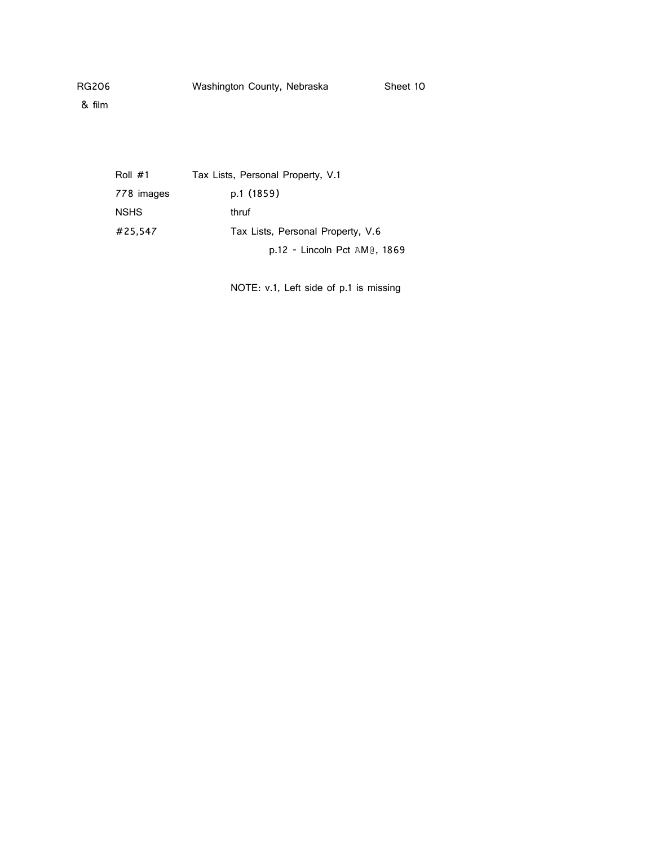Roll #1 Tax Lists, Personal Property, V.1 778 images p.1 (1859) NSHS thruf #25,547 Tax Lists, Personal Property, V.6 p.12 - Lincoln Pct AM@, 1869

NOTE: v.1, Left side of p.1 is missing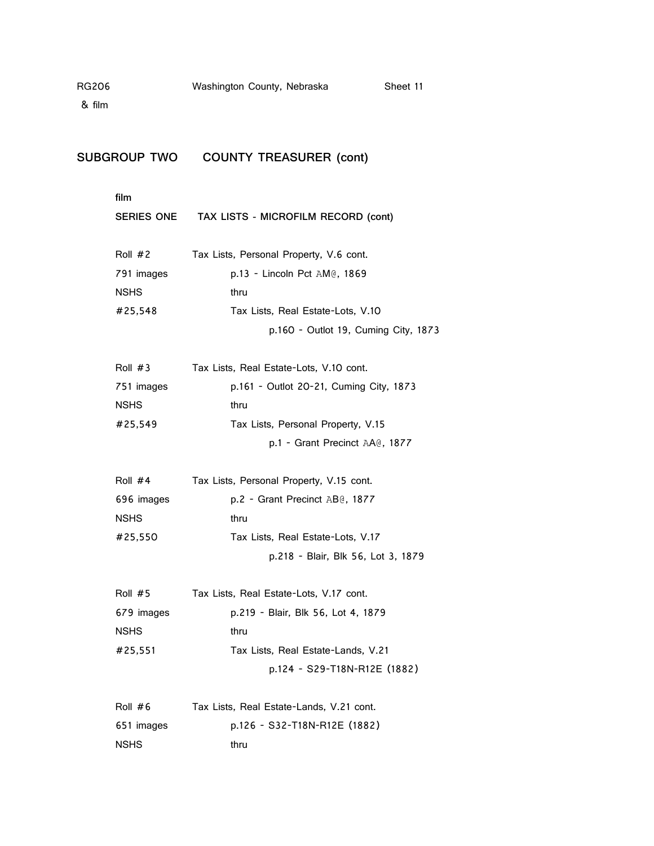& film

## **SUBGROUP TWO COUNTY TREASURER (cont)**

**film SERIES ONE TAX LISTS - MICROFILM RECORD (cont)** Roll #2 Tax Lists, Personal Property, V.6 cont. 791 images p.13 - Lincoln Pct AM@, 1869 NSHS thru #25,548 Tax Lists, Real Estate-Lots, V.10 p.160 - Outlot 19, Cuming City, 1873 Roll #3 Tax Lists, Real Estate-Lots, V.10 cont. 751 images p.161 - Outlot 20-21, Cuming City, 1873 NSHS thru #25,549 Tax Lists, Personal Property, V.15 p.1 - Grant Precinct AA@, 1877 Roll #4 Tax Lists, Personal Property, V.15 cont. 696 images p.2 - Grant Precinct AB@, 1877 NSHS thru #25,550 Tax Lists, Real Estate-Lots, V.17 p.218 - Blair, Blk 56, Lot 3, 1879 Roll #5 Tax Lists, Real Estate-Lots, V.17 cont. 679 images p.219 - Blair, Blk 56, Lot 4, 1879 NSHS thru #25,551 Tax Lists, Real Estate-Lands, V.21 p.124 - S29-T18N-R12E (1882) Roll #6 Tax Lists, Real Estate-Lands, V.21 cont.

|             | TUA LIJIJ, TICUL LJIUIC LUNUJ, V.LT CONI. |
|-------------|-------------------------------------------|
| 651 images  | p.126 - S32-T18N-R12E (1882)              |
| <b>NSHS</b> | thru                                      |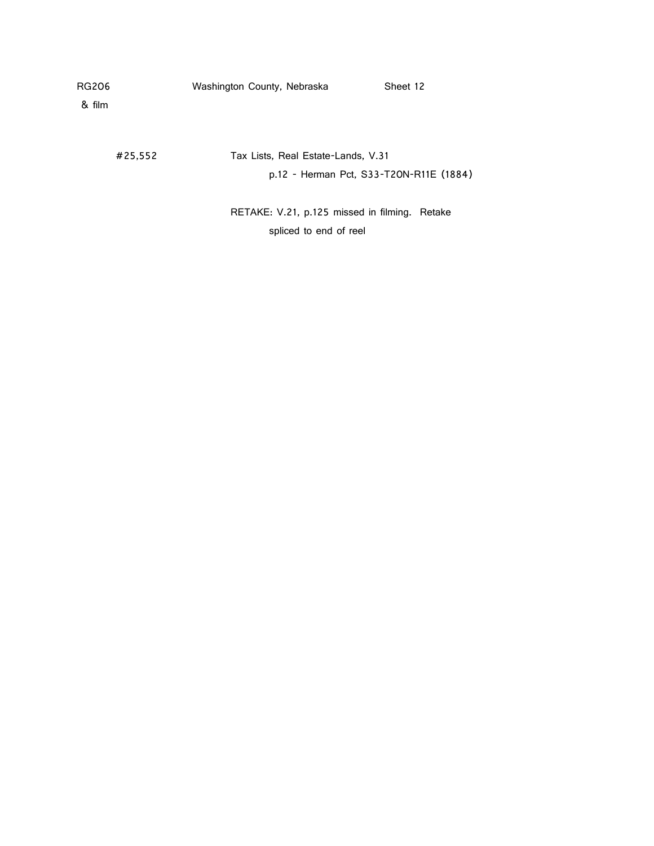& film

#25,552 Tax Lists, Real Estate-Lands, V.31 p.12 - Herman Pct, S33-T20N-R11E (1884)

> RETAKE: V.21, p.125 missed in filming. Retake spliced to end of reel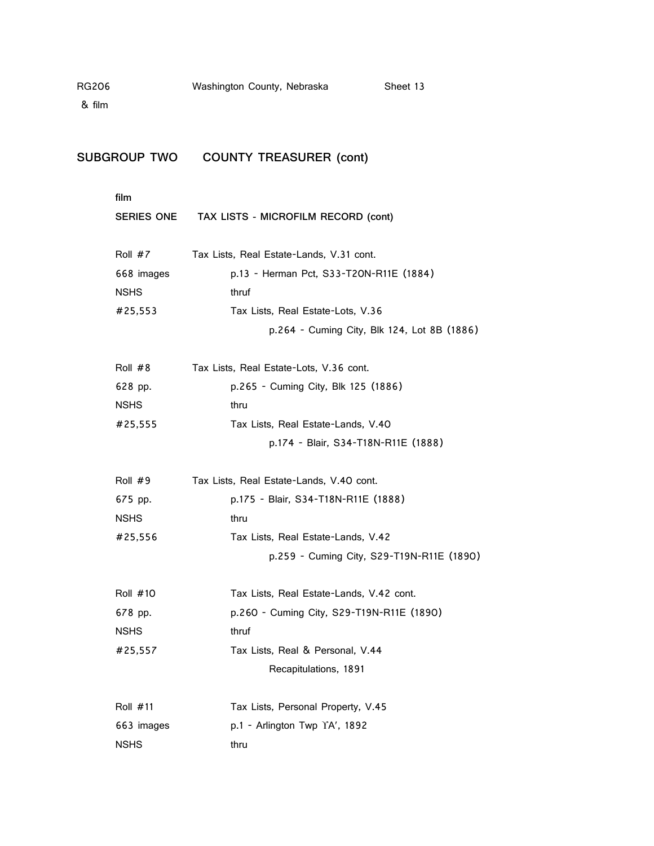# **SUBGROUP TWO COUNTY TREASURER (cont)**

**film**

|            | SERIES ONE TAX LISTS - MICROFILM RECORD (cont) |
|------------|------------------------------------------------|
| Roll #7    | Tax Lists, Real Estate-Lands, V.31 cont.       |
| 668 images | p.13 - Herman Pct, S33-T20N-R11E (1884)        |
| NSHS       | thruf                                          |
| #25,553    | Tax Lists, Real Estate-Lots, V.36              |
|            | p.264 - Cuming City, Blk 124, Lot 8B (1886)    |
| Roll #8    | Tax Lists, Real Estate-Lots, V.36 cont.        |
| 628 pp.    | p.265 - Cuming City, Blk 125 (1886)            |
| NSHS       | thru                                           |
| #25,555    | Tax Lists, Real Estate-Lands, V.40             |
|            | p.174 - Blair, S34-T18N-R11E (1888)            |
| Roll #9    | Tax Lists, Real Estate-Lands, V.40 cont.       |
| 675 pp.    | p.175 - Blair, S34-T18N-R11E (1888)            |
| NSHS       | thru                                           |
| #25,556    | Tax Lists, Real Estate-Lands, V.42             |
|            | p.259 - Cuming City, S29-T19N-R11E (1890)      |
| Roll #10   | Tax Lists, Real Estate-Lands, V.42 cont.       |
| 678 pp.    | p.260 - Cuming City, S29-T19N-R11E (1890)      |
| NSHS       | thruf                                          |
| #25,557    | Tax Lists, Real & Personal, V.44               |
|            | Recapitulations, 1891                          |
| Roll #11   | Tax Lists, Personal Property, V.45             |
| 663 images | p.1 - Arlington Twp YA', 1892                  |
| NSHS       | thru                                           |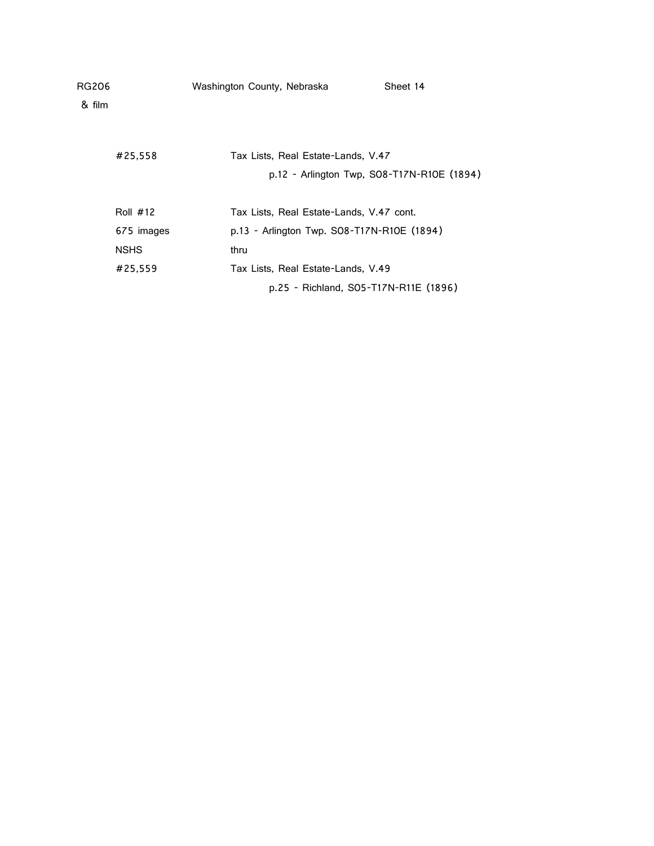| RG206  |             | Washington County, Nebraska                | Sheet 14                                   |
|--------|-------------|--------------------------------------------|--------------------------------------------|
| & film |             |                                            |                                            |
|        |             |                                            |                                            |
|        | #25,558     | Tax Lists, Real Estate-Lands, V.47         |                                            |
|        |             |                                            | p.12 - Arlington Twp, SO8-T17N-R10E (1894) |
|        |             |                                            |                                            |
|        | Roll $#12$  | Tax Lists, Real Estate-Lands, V.47 cont.   |                                            |
|        | 675 images  | p.13 - Arlington Twp. SO8-T17N-R10E (1894) |                                            |
|        | <b>NSHS</b> | thru                                       |                                            |
|        | #25,559     | Tax Lists, Real Estate-Lands, V.49         |                                            |
|        |             |                                            | p.25 - Richland, S05-T17N-R11E (1896)      |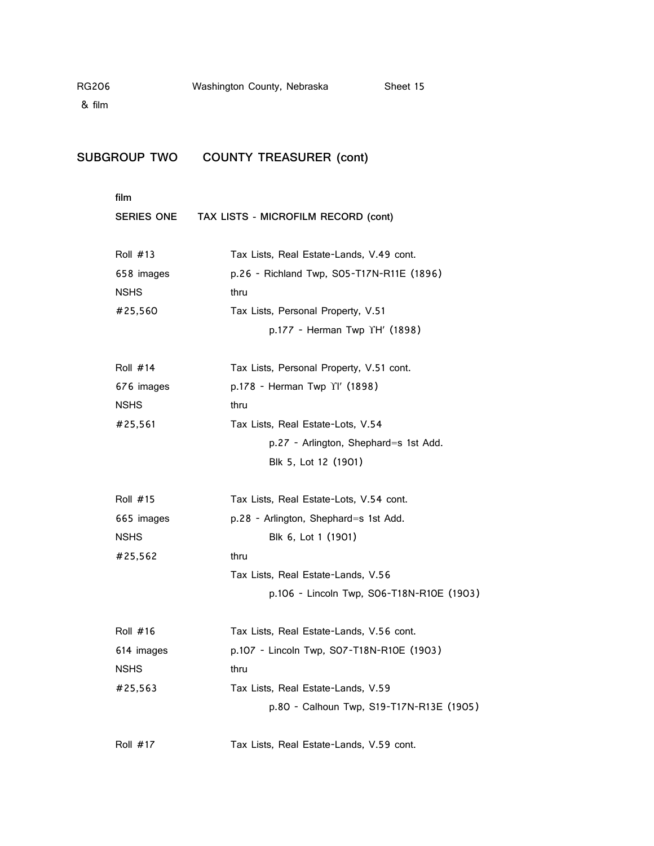& film

# **SUBGROUP TWO COUNTY TREASURER (cont)**

**film**

|                 | SERIES ONE TAX LISTS - MICROFILM RECORD (cont) |  |
|-----------------|------------------------------------------------|--|
| Roll #13        | Tax Lists, Real Estate-Lands, V.49 cont.       |  |
| 658 images      | p.26 - Richland Twp, S05-T17N-R11E (1896)      |  |
| <b>NSHS</b>     | thru                                           |  |
| #25,560         | Tax Lists, Personal Property, V.51             |  |
|                 | p.177 - Herman Twp YH' (1898)                  |  |
| Roll $#14$      | Tax Lists, Personal Property, V.51 cont.       |  |
| 676 images      | p.178 - Herman Twp Yl' (1898)                  |  |
| <b>NSHS</b>     | thru                                           |  |
| #25,561         | Tax Lists, Real Estate-Lots, V.54              |  |
|                 | p.27 - Arlington, Shephard=s 1st Add.          |  |
|                 | Blk 5, Lot 12 (1901)                           |  |
| <b>Roll #15</b> | Tax Lists, Real Estate-Lots, V.54 cont.        |  |
| 665 images      | p.28 - Arlington, Shephard=s 1st Add.          |  |
| <b>NSHS</b>     | Blk 6, Lot 1 (1901)                            |  |
| #25,562         | thru                                           |  |
|                 | Tax Lists, Real Estate-Lands, V.56             |  |
|                 | p.106 - Lincoln Twp, S06-T18N-R10E (1903)      |  |
| <b>Roll #16</b> | Tax Lists, Real Estate-Lands, V.56 cont.       |  |
| 614 images      | p.107 - Lincoln Twp, S07-T18N-R10E (1903)      |  |
| <b>NSHS</b>     | thru                                           |  |
| #25,563         | Tax Lists, Real Estate-Lands, V.59             |  |
|                 | p.80 - Calhoun Twp, S19-T17N-R13E (1905)       |  |
| <b>Roll #17</b> | Tax Lists, Real Estate-Lands, V.59 cont.       |  |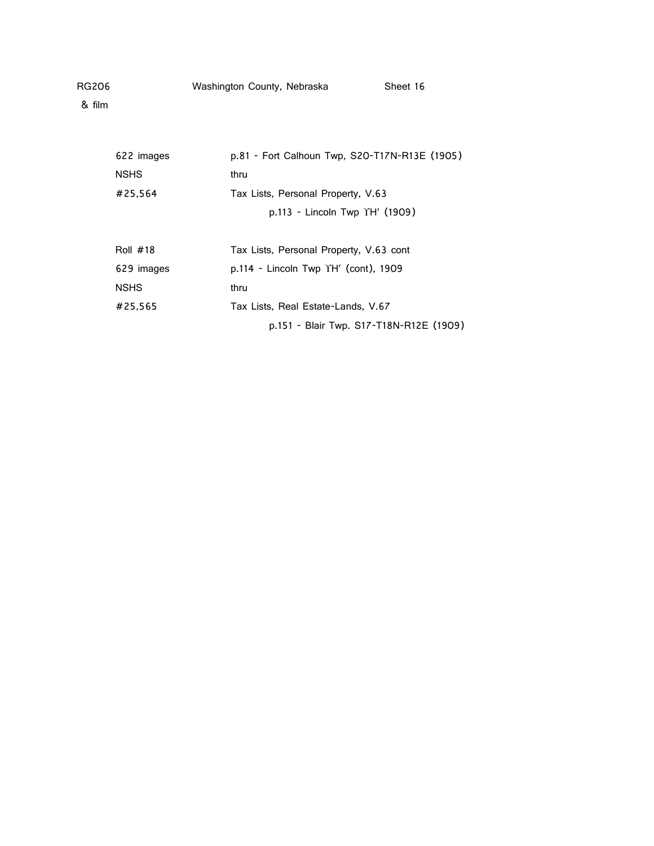| RG206  | Washington County, Nebraska | Sheet 16 |
|--------|-----------------------------|----------|
| & film |                             |          |
|        |                             |          |

| 622 images  | p.81 - Fort Calhoun Twp, S20-T17N-R13E (1905) |
|-------------|-----------------------------------------------|
| <b>NSHS</b> | thru                                          |
| #25.564     | Tax Lists, Personal Property, V.63            |
|             | p.113 - Lincoln Twp YH' (1909)                |
| Roll $#18$  | Tax Lists, Personal Property, V.63 cont       |
| 629 images  | p.114 - Lincoln Twp YH' (cont), 1909          |
| <b>NSHS</b> | thru                                          |
| #25.565     | Tax Lists, Real Estate-Lands, V.67            |
|             | p.151 - Blair Twp. S17-T18N-R12E (1909)       |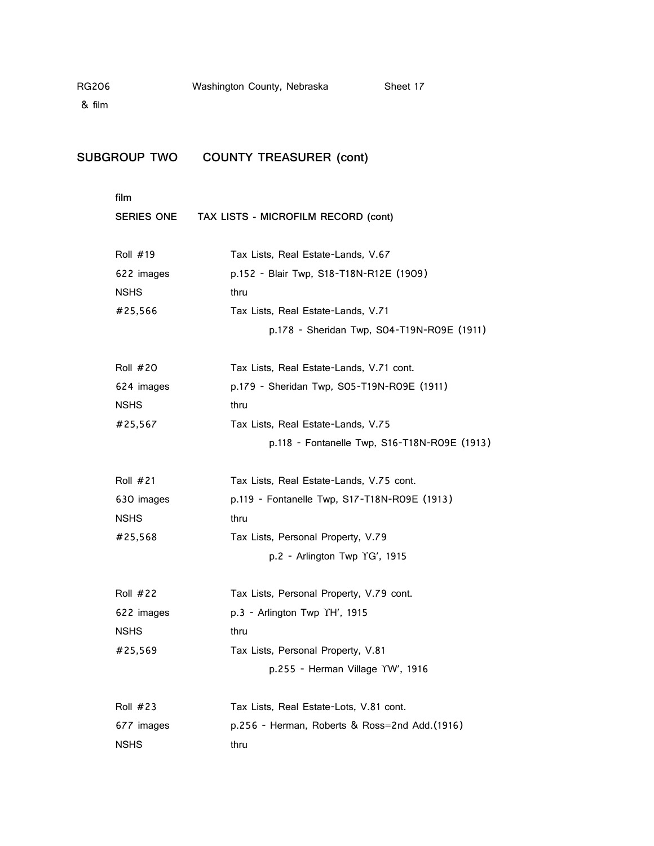& film

# **SUBGROUP TWO COUNTY TREASURER (cont)**

**film**

| SERIES ONE | TAX LISTS - MICROFILM RECORD (cont)           |
|------------|-----------------------------------------------|
| Roll #19   | Tax Lists, Real Estate-Lands, V.67            |
| 622 images | p.152 - Blair Twp, S18-T18N-R12E (1909)       |
| NSHS       | thru                                          |
| #25,566    | Tax Lists, Real Estate-Lands, V.71            |
|            | p.178 - Sheridan Twp, SO4-T19N-RO9E (1911)    |
| Roll #20   | Tax Lists, Real Estate-Lands, V.71 cont.      |
| 624 images | p.179 - Sheridan Twp, SO5-T19N-RO9E (1911)    |
| NSHS       | thru                                          |
| #25,567    | Tax Lists, Real Estate-Lands, V.75            |
|            | p.118 - Fontanelle Twp, S16-T18N-R09E (1913)  |
| Roll #21   | Tax Lists, Real Estate-Lands, V.75 cont.      |
| 630 images | p.119 - Fontanelle Twp, S17-T18N-R09E (1913)  |
| NSHS       | thru                                          |
| #25,568    | Tax Lists, Personal Property, V.79            |
|            | p.2 - Arlington Twp $\text{YG}'$ , 1915       |
| Roll #22   | Tax Lists, Personal Property, V.79 cont.      |
| 622 images | $p.3$ - Arlington Twp $\Upsilon$ H', 1915     |
| NSHS       | thru                                          |
| #25,569    | Tax Lists, Personal Property, V.81            |
|            | p.255 - Herman Village YW', 1916              |
| Roll #23   | Tax Lists, Real Estate-Lots, V.81 cont.       |
| 677 images | p.256 - Herman, Roberts & Ross=2nd Add.(1916) |
| NSHS       | thru                                          |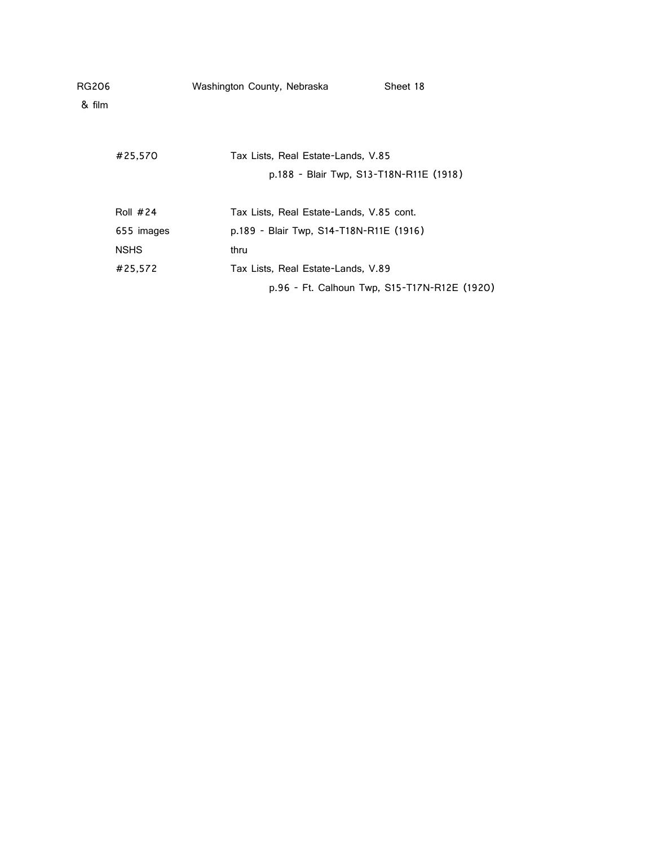| RG206<br>& film |             | Washington County, Nebraska |                                              | Sheet 18 |
|-----------------|-------------|-----------------------------|----------------------------------------------|----------|
|                 | #25,570     |                             | Tax Lists, Real Estate-Lands, V.85           |          |
|                 |             |                             | p.188 - Blair Twp, S13-T18N-R11E (1918)      |          |
|                 | Roll $#24$  |                             | Tax Lists, Real Estate-Lands, V.85 cont.     |          |
|                 | 655 images  |                             | p.189 - Blair Twp, S14-T18N-R11E (1916)      |          |
|                 | <b>NSHS</b> | thru                        |                                              |          |
|                 | #25.572     |                             | Tax Lists, Real Estate-Lands, V.89           |          |
|                 |             |                             | p.96 - Ft. Calhoun Twp, S15-T17N-R12E (1920) |          |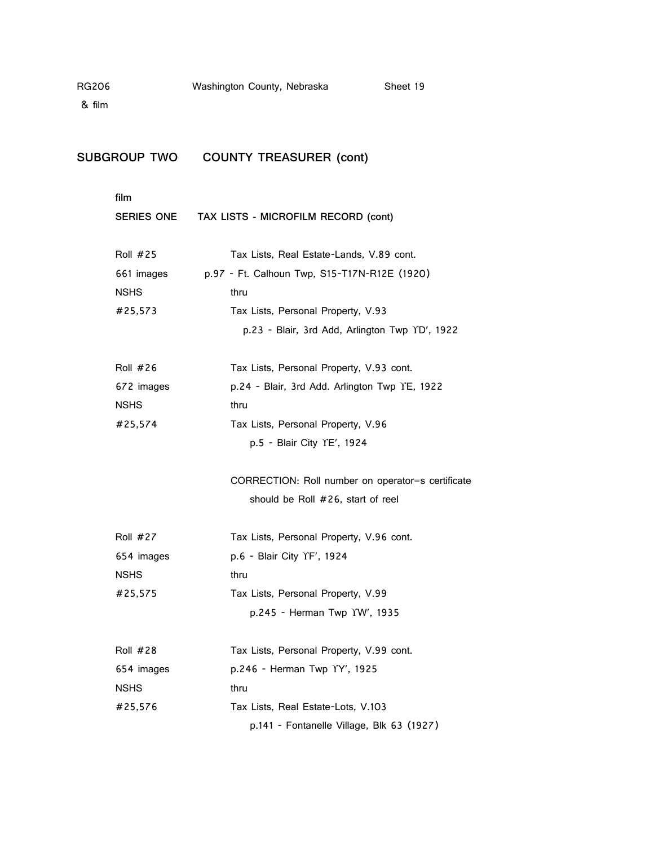# **SUBGROUP TWO COUNTY TREASURER (cont)**

| film            |                                                   |
|-----------------|---------------------------------------------------|
|                 | SERIES ONE TAX LISTS - MICROFILM RECORD (cont)    |
| <b>Roll #25</b> | Tax Lists, Real Estate-Lands, V.89 cont.          |
| 661 images      | p.97 - Ft. Calhoun Twp, S15-T17N-R12E (1920)      |
| <b>NSHS</b>     | thru                                              |
| #25,573         | Tax Lists, Personal Property, V.93                |
|                 | p.23 - Blair, 3rd Add, Arlington Twp YD', 1922    |
| <b>Roll #26</b> | Tax Lists, Personal Property, V.93 cont.          |
| 672 images      | p.24 - Blair, 3rd Add. Arlington Twp YE, 1922     |
| <b>NSHS</b>     | thru                                              |
| #25,574         | Tax Lists, Personal Property, V.96                |
|                 | p.5 - Blair City YE', 1924                        |
|                 | CORRECTION: Roll number on operator=s certificate |
|                 | should be Roll #26, start of reel                 |
| <b>Roll #27</b> | Tax Lists, Personal Property, V.96 cont.          |
| 654 images      | p.6 - Blair City YF', 1924                        |
| <b>NSHS</b>     | thru                                              |
| #25,575         | Tax Lists, Personal Property, V.99                |
|                 | p.245 - Herman Twp YW', 1935                      |
| <b>Roll #28</b> | Tax Lists, Personal Property, V.99 cont.          |
| 654 images      | p.246 - Herman Twp YY', 1925                      |
| <b>NSHS</b>     | thru                                              |
| #25,576         | Tax Lists, Real Estate-Lots, V.103                |
|                 | p.141 - Fontanelle Village, Blk 63 (1927)         |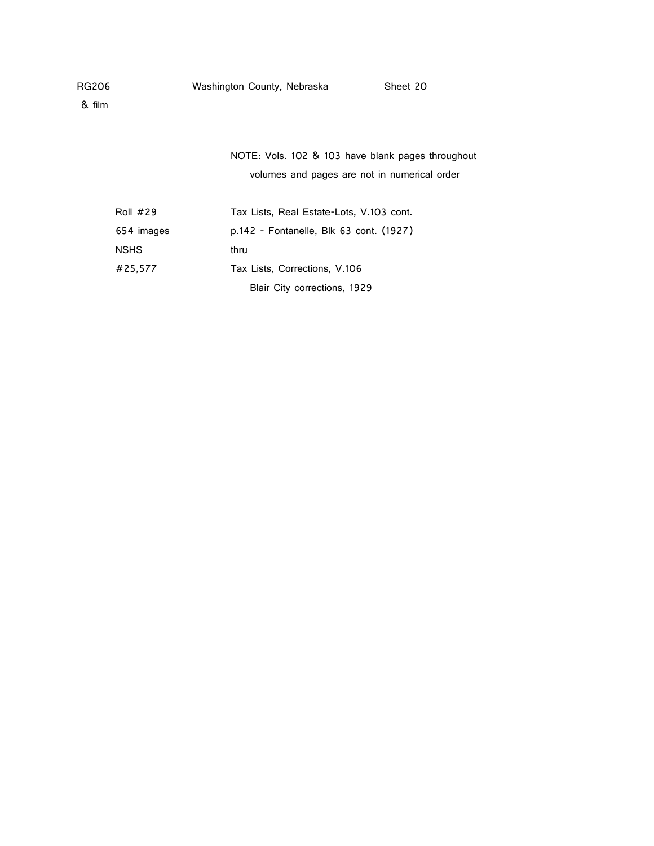& film

| NOTE: Vols. 102 & 103 have blank pages throughout |  |  |  |
|---------------------------------------------------|--|--|--|
| volumes and pages are not in numerical order      |  |  |  |

| Roll $#29$  | Tax Lists, Real Estate-Lots, V.103 cont. |
|-------------|------------------------------------------|
| 654 images  | p.142 - Fontanelle, Blk 63 cont. (1927)  |
| <b>NSHS</b> | thru                                     |
| #25.577     | Tax Lists, Corrections, V.106            |
|             | Blair City corrections, 1929             |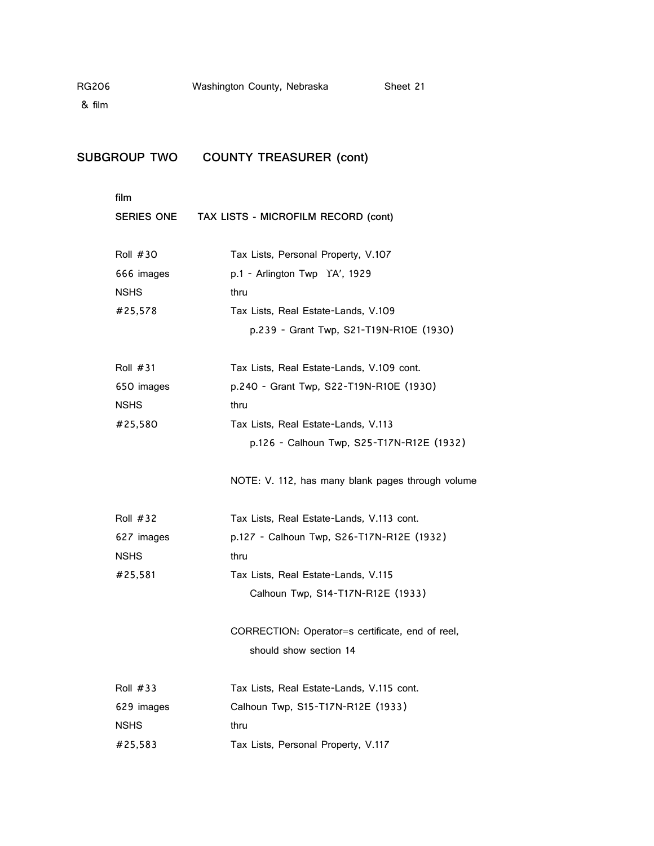& film

## **SUBGROUP TWO COUNTY TREASURER (cont)**

| <b>SERIES ONE</b> | TAX LISTS - MICROFILM RECORD (cont)               |
|-------------------|---------------------------------------------------|
| Roll $#30$        | Tax Lists, Personal Property, V.107               |
| 666 images        | p.1 - Arlington Twp YA', 1929                     |
| <b>NSHS</b>       | thru                                              |
| #25,578           | Tax Lists, Real Estate-Lands, V.109               |
|                   | p.239 - Grant Twp, S21-T19N-R10E (1930)           |
| Roll $#31$        | Tax Lists, Real Estate-Lands, V.109 cont.         |
| 650 images        | p.240 - Grant Twp, S22-T19N-R10E (1930)           |
| <b>NSHS</b>       | thru                                              |
| #25,580           | Tax Lists, Real Estate-Lands, V.113               |
|                   | p.126 - Calhoun Twp, S25-T17N-R12E (1932)         |
|                   | NOTE: V. 112, has many blank pages through volume |
| Roll $#32$        | Tax Lists, Real Estate-Lands, V.113 cont.         |
| 627 images        | p.127 - Calhoun Twp, S26-T17N-R12E (1932)         |
| <b>NSHS</b>       | thru                                              |
| #25,581           | Tax Lists, Real Estate-Lands, V.115               |
|                   | Calhoun Twp, S14-T17N-R12E (1933)                 |
|                   | CORRECTION: Operator=s certificate, end of reel,  |
|                   | should show section 14                            |
| Roll $#33$        | Tax Lists, Real Estate-Lands, V.115 cont.         |
| 629 images        | Calhoun Twp, S15-T17N-R12E (1933)                 |
| NSHS              | thru                                              |

#25,583 Tax Lists, Personal Property, V.117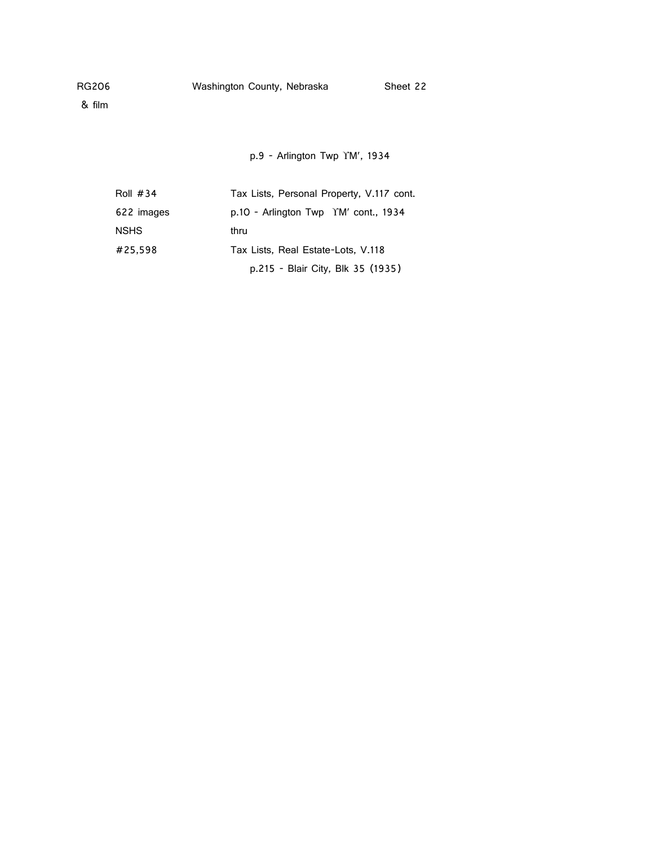& film

p.9 - Arlington Twp YM', 1934

| Roll $#34$  | Tax Lists, Personal Property, V.117 cont.      |
|-------------|------------------------------------------------|
| 622 images  | $p.10$ - Arlington Twp $\gamma$ M' cont., 1934 |
| <b>NSHS</b> | thru                                           |
| #25.598     | Tax Lists, Real Estate-Lots, V.118             |
|             | p.215 - Blair City, Blk 35 (1935)              |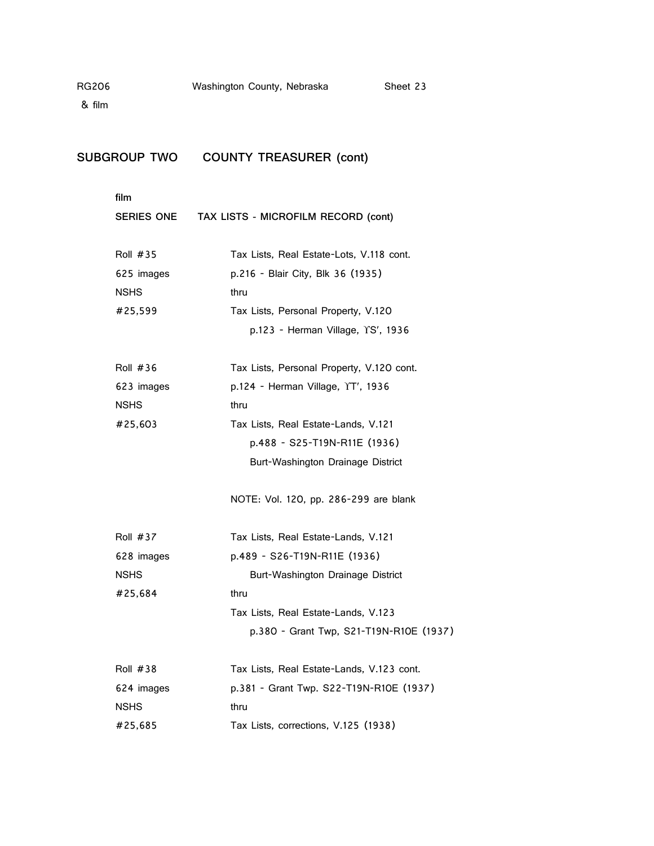# **SUBGROUP TWO COUNTY TREASURER (cont)**

| SERIES ONE      | TAX LISTS - MICROFILM RECORD (cont)       |
|-----------------|-------------------------------------------|
| Roll #35        | Tax Lists, Real Estate-Lots, V.118 cont.  |
| 625 images      | p.216 - Blair City, Blk 36 (1935)         |
| <b>NSHS</b>     | thru                                      |
| #25,599         | Tax Lists, Personal Property, V.120       |
|                 | p.123 - Herman Village, YS', 1936         |
| <b>Roll #36</b> | Tax Lists, Personal Property, V.120 cont. |
| 623 images      | p.124 - Herman Village, YT', 1936         |
| <b>NSHS</b>     | thru                                      |
| #25,603         | Tax Lists, Real Estate-Lands, V.121       |
|                 | p.488 - S25-T19N-R11E (1936)              |
|                 | Burt-Washington Drainage District         |
|                 | NOTE: Vol. 120, pp. 286-299 are blank     |
| <b>Roll #37</b> | Tax Lists, Real Estate-Lands, V.121       |
| 628 images      | p.489 - S26-T19N-R11E (1936)              |
| <b>NSHS</b>     | Burt-Washington Drainage District         |
| #25,684         | thru                                      |
|                 | Tax Lists, Real Estate-Lands, V.123       |
|                 | p.380 - Grant Twp, S21-T19N-R10E (1937)   |
| <b>Roll #38</b> | Tax Lists, Real Estate-Lands, V.123 cont. |
| 624 images      | p.381 - Grant Twp. S22-T19N-R10E (1937)   |
| <b>NSHS</b>     | thru                                      |
| #25,685         | Tax Lists, corrections, V.125 (1938)      |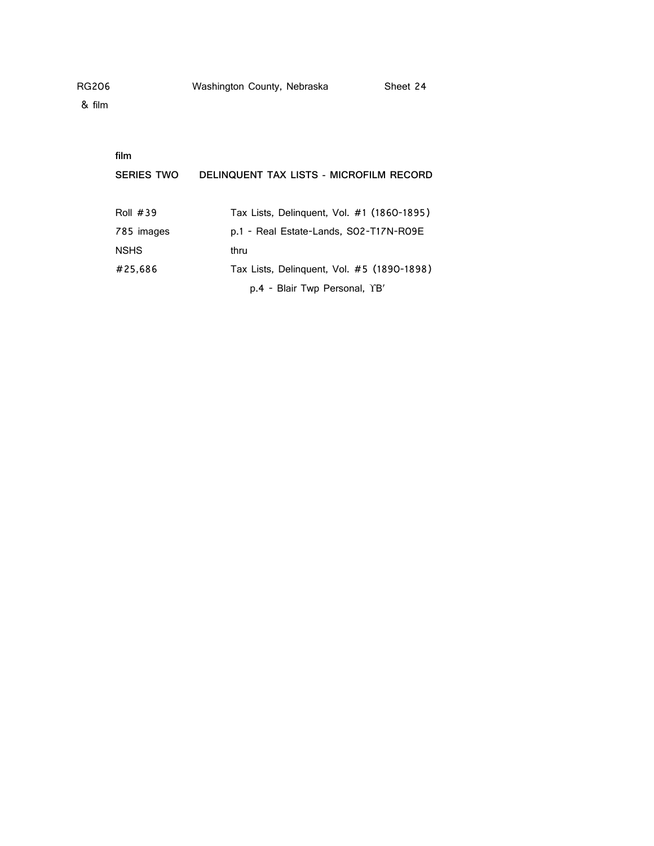| RG206 | Washington County, Nebraska | Sheet 24 |
|-------|-----------------------------|----------|
|       |                             |          |

| film              |                                            |
|-------------------|--------------------------------------------|
| <b>SERIES TWO</b> | DELINQUENT TAX LISTS - MICROFILM RECORD    |
|                   |                                            |
| <b>Roll #39</b>   | Tax Lists, Delinguent, Vol. #1 (1860-1895) |
| 785 images        | p.1 - Real Estate-Lands, SO2-T17N-RO9E     |
| <b>NSHS</b>       | thru                                       |
| #25,686           | Tax Lists, Delinguent, Vol. #5 (1890-1898) |
|                   | p.4 - Blair Twp Personal, YB'              |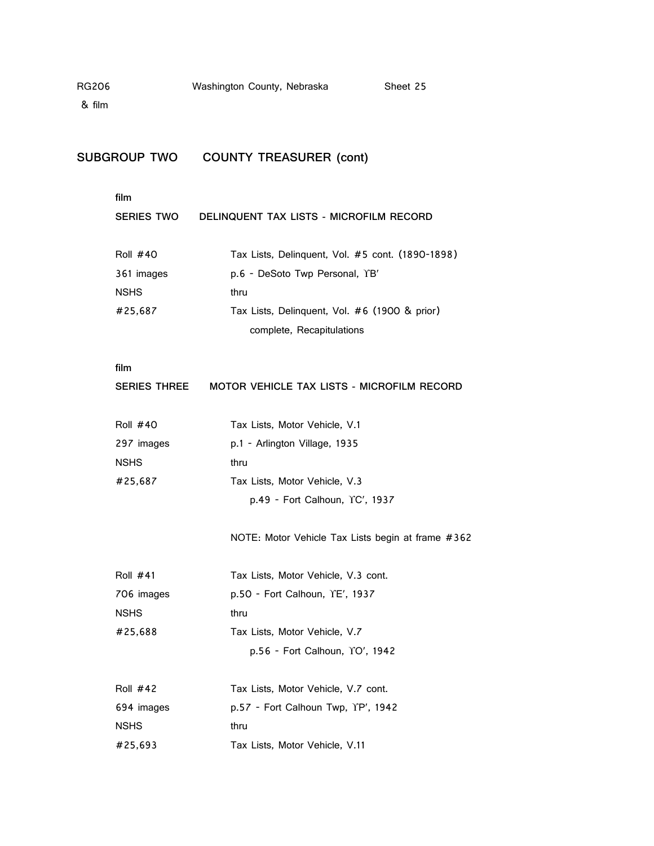| Sheet 25 |
|----------|
|          |

# **SUBGROUP TWO COUNTY TREASURER (cont)**

## **film**

| <b>SERIES TWO</b> | DELINQUENT TAX LISTS - MICROFILM RECORD          |
|-------------------|--------------------------------------------------|
| <b>Roll #40</b>   | Tax Lists, Delinquent, Vol. #5 cont. (1890-1898) |
| 361 images        | p.6 - DeSoto Twp Personal, YB'                   |
| <b>NSHS</b>       | thru                                             |
| #25,687           | Tax Lists, Delinguent, Vol. #6 (1900 & prior)    |
|                   | complete, Recapitulations                        |
|                   |                                                  |

### **film**

| Series Three | MOTOR VEHICLE TAX LISTS - MICROFILM RECORD |  |  |
|--------------|--------------------------------------------|--|--|
|              |                                            |  |  |

| <b>Roll #40</b> | Tax Lists, Motor Vehicle, V.1  |
|-----------------|--------------------------------|
| 297 images      | p.1 - Arlington Village, 1935  |
| <b>NSHS</b>     | thru                           |
| #25.687         | Tax Lists, Motor Vehicle, V.3  |
|                 | p.49 - Fort Calhoun, YC', 1937 |

NOTE: Motor Vehicle Tax Lists begin at frame #362

| Tax Lists, Motor Vehicle, V.3 cont. |
|-------------------------------------|
| $p.50 -$ Fort Calhoun, $YE'$ , 1937 |
| thru                                |
| Tax Lists, Motor Vehicle, V.7       |
| p.56 - Fort Calhoun, YO', 1942      |
|                                     |

| <b>Roll #42</b> | Tax Lists, Motor Vehicle, V.7 cont. |
|-----------------|-------------------------------------|
| 694 images      | p.57 - Fort Calhoun Twp, YP', 1942  |
| <b>NSHS</b>     | thru                                |
| #25.693         | Tax Lists, Motor Vehicle, V.11      |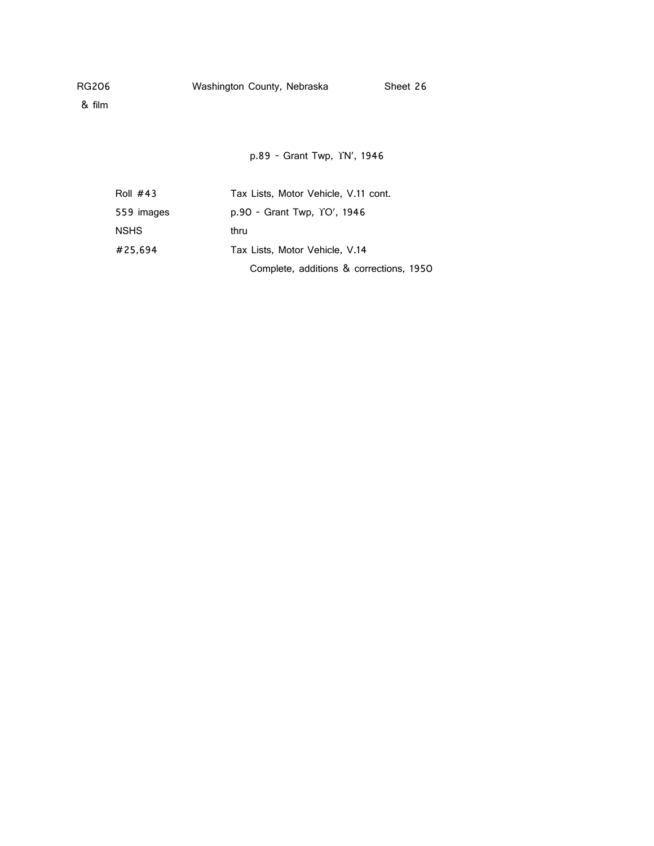& film

p.89 - Grant Twp, YN', 1946

| Roll $#43$  | Tax Lists, Motor Vehicle, V.11 cont.    |
|-------------|-----------------------------------------|
| 559 images  | p.90 - Grant Twp, YO', 1946             |
| <b>NSHS</b> | thru                                    |
| #25.694     | Tax Lists, Motor Vehicle, V.14          |
|             | Complete, additions & corrections, 1950 |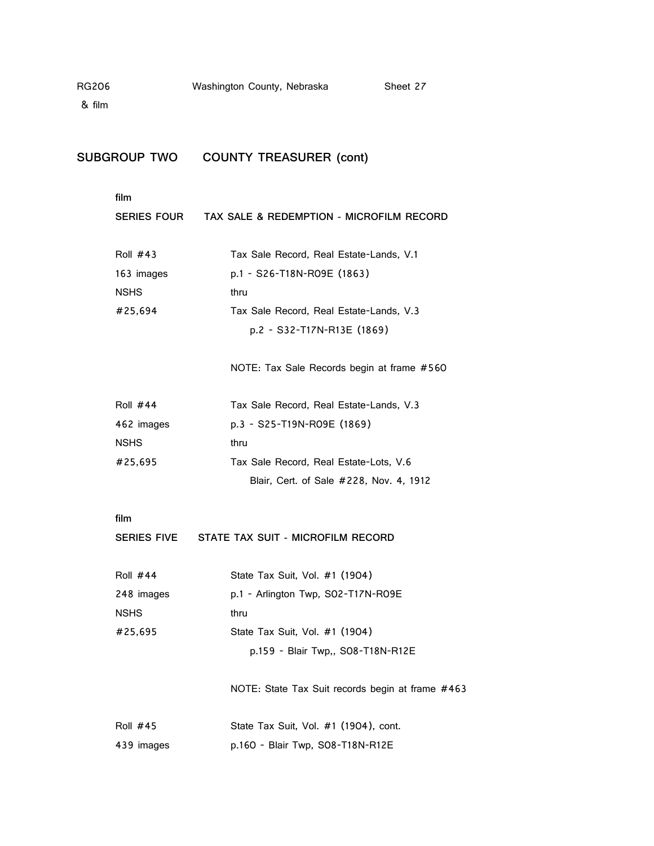& film

## **SUBGROUP TWO COUNTY TREASURER (cont)**

| SERIES FOUR | TAX SALE & REDEMPTION - MICROFILM RECORD   |
|-------------|--------------------------------------------|
| Roll #43    | Tax Sale Record, Real Estate-Lands, V.1    |
| 163 images  | p.1 - S26-T18N-R09E (1863)                 |
| NSHS        | thru                                       |
| #25.694     | Tax Sale Record, Real Estate-Lands, V.3    |
|             | p.2 - S32-T17N-R13E (1869)                 |
|             |                                            |
|             | NOTE: Tax Sale Records begin at frame #560 |

| Roll $#44$  | Tax Sale Record, Real Estate-Lands, V.3 |
|-------------|-----------------------------------------|
| 462 images  | p.3 - S25-T19N-R09E (1869)              |
| <b>NSHS</b> | thru                                    |
| #25,695     | Tax Sale Record, Real Estate-Lots, V.6  |
|             | Blair, Cert. of Sale #228, Nov. 4, 1912 |

#### **film**

| Roll $#44$  | State Tax Suit, Vol. #1 (1904)     |
|-------------|------------------------------------|
| 248 images  | p.1 - Arlington Twp. SO2-T17N-RO9E |
| <b>NSHS</b> | thru                               |
| #25,695     | State Tax Suit, Vol. #1 (1904)     |
|             | p.159 - Blair Twp., SO8-T18N-R12E  |

NOTE: State Tax Suit records begin at frame #463

| Roll $#45$ | State Tax Suit, Vol. #1 (1904), cont. |
|------------|---------------------------------------|
| 439 images | p.160 - Blair Twp, S08-T18N-R12E      |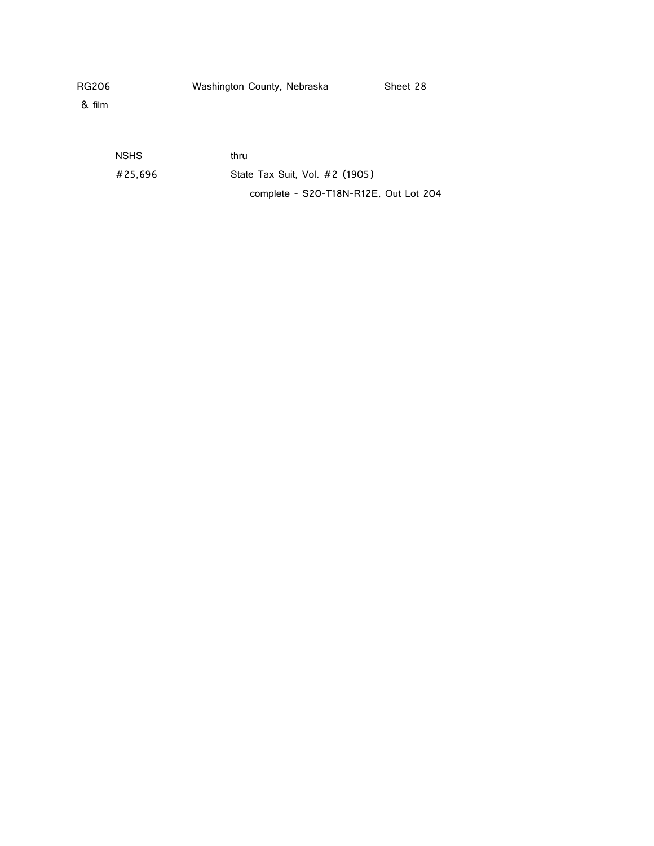& film

NSHS thru #25,696 State Tax Suit, Vol. #2 (1905) complete - S20-T18N-R12E, Out Lot 204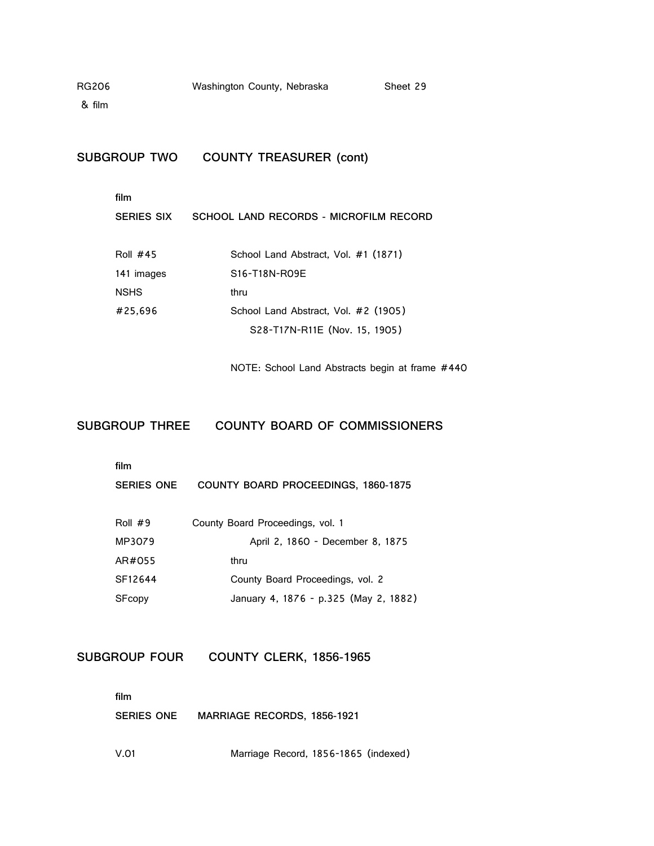& film

**SUBGROUP TWO COUNTY TREASURER (cont)**

### **film**

| <b>SERIES SIX</b> | SCHOOL LAND RECORDS - MICROFILM RECORD               |
|-------------------|------------------------------------------------------|
| Roll $#45$        | School Land Abstract, Vol. #1 (1871)                 |
| 141 images        | S <sub>16</sub> -T <sub>18</sub> N-RO <sub>9</sub> E |
| <b>NSHS</b>       | thru                                                 |
| #25.696           | School Land Abstract, Vol. #2 (1905)                 |
|                   | S28-T17N-R11E (Nov. 15, 1905)                        |

NOTE: School Land Abstracts begin at frame #440

## **SUBGROUP THREE COUNTY BOARD OF COMMISSIONERS**

#### **film**

**SERIES ONE COUNTY BOARD PROCEEDINGS, 1860-1875**

| Roll $#9$ | County Board Proceedings, vol. 1      |
|-----------|---------------------------------------|
| MP3079    | April 2, 1860 - December 8, 1875      |
| AR#055    | thru                                  |
| SF12644   | County Board Proceedings, vol. 2      |
| SFcopy    | January 4, 1876 - p.325 (May 2, 1882) |

## **SUBGROUP FOUR COUNTY CLERK, 1856-1965**

**film**

**SERIES ONE MARRIAGE RECORDS, 1856-1921**

V.01 Marriage Record, 1856-1865 (indexed)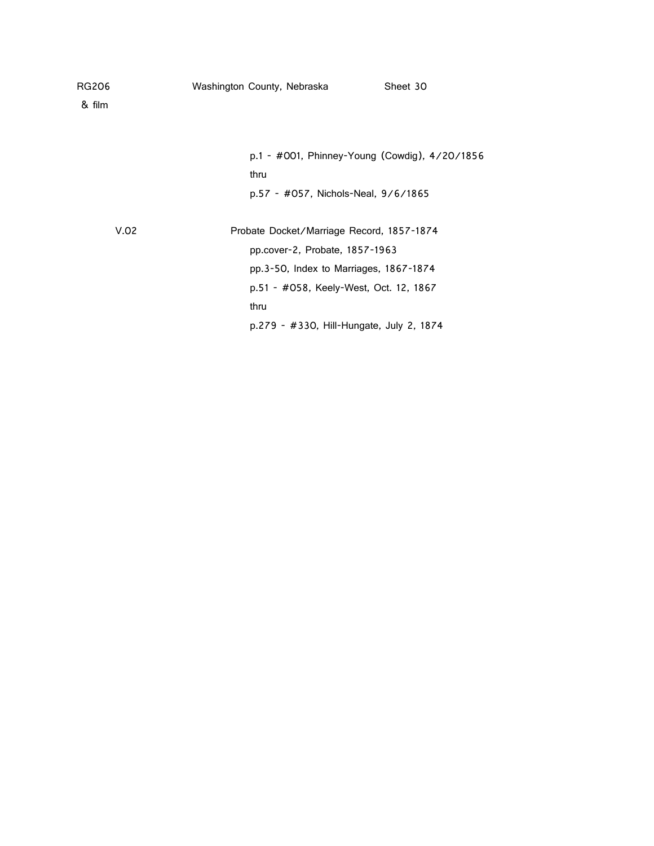| RG206  | Washington County, Nebraska               | Sheet 30                                      |
|--------|-------------------------------------------|-----------------------------------------------|
| & film |                                           |                                               |
|        |                                           |                                               |
|        |                                           | p.1 - #001, Phinney-Young (Cowdig), 4/20/1856 |
|        | thru                                      |                                               |
|        | p.57 - #057, Nichols-Neal, 9/6/1865       |                                               |
| V.02   | Probate Docket/Marriage Record, 1857-1874 |                                               |
|        | pp.cover-2, Probate, 1857-1963            |                                               |
|        | pp.3-50, Index to Marriages, 1867-1874    |                                               |
|        | p.51 - #058, Keely-West, Oct. 12, 1867    |                                               |
|        | thru                                      |                                               |
|        | p.279 - #330, Hill-Hungate, July 2, 1874  |                                               |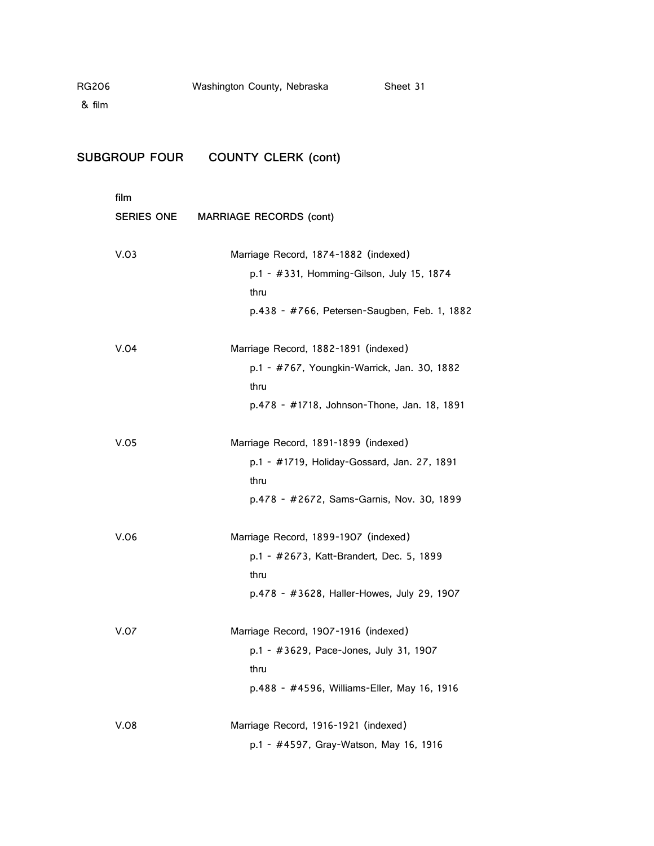| & film                    |                                                                                                                            |
|---------------------------|----------------------------------------------------------------------------------------------------------------------------|
| SUBGROUP FOUR             | <b>COUNTY CLERK (cont)</b>                                                                                                 |
| film<br><b>SERIES ONE</b> | <b>MARRIAGE RECORDS (cont)</b>                                                                                             |
| V.03                      | Marriage Record, 1874-1882 (indexed)<br>p.1 - #331, Homming-Gilson, July 15,<br>thru<br>p.438 - #766, Petersen-Saugben, Fe |
| V.04                      | Marriage Record, 1882-1891 (indexed)<br>n 1 +767 Vaunakin Warriok Jan 3                                                    |

| V.03 | Marriage Record, 1874-1882 (indexed)<br>p.1 - #331, Homming-Gilson, July 15, 1874<br>thru<br>p.438 - #766, Petersen-Saugben, Feb. 1, 1882  |
|------|--------------------------------------------------------------------------------------------------------------------------------------------|
| V.04 | Marriage Record, 1882-1891 (indexed)<br>p.1 - #767, Youngkin-Warrick, Jan. 30, 1882<br>thru<br>p.478 - #1718, Johnson-Thone, Jan. 18, 1891 |
| V.05 | Marriage Record, 1891-1899 (indexed)<br>p.1 - #1719, Holiday-Gossard, Jan. 27, 1891<br>thru<br>p.478 - #2672, Sams-Garnis, Nov. 30, 1899   |
| V.06 | Marriage Record, 1899-1907 (indexed)<br>p.1 - #2673, Katt-Brandert, Dec. 5, 1899<br>thru<br>p.478 - #3628, Haller-Howes, July 29, 1907     |
| V.07 | Marriage Record, 1907-1916 (indexed)<br>p.1 - #3629, Pace-Jones, July 31, 1907<br>thru<br>p.488 - #4596, Williams-Eller, May 16, 1916      |
| V.08 | Marriage Record, 1916-1921 (indexed)<br>p.1 - #4597, Gray-Watson, May 16, 1916                                                             |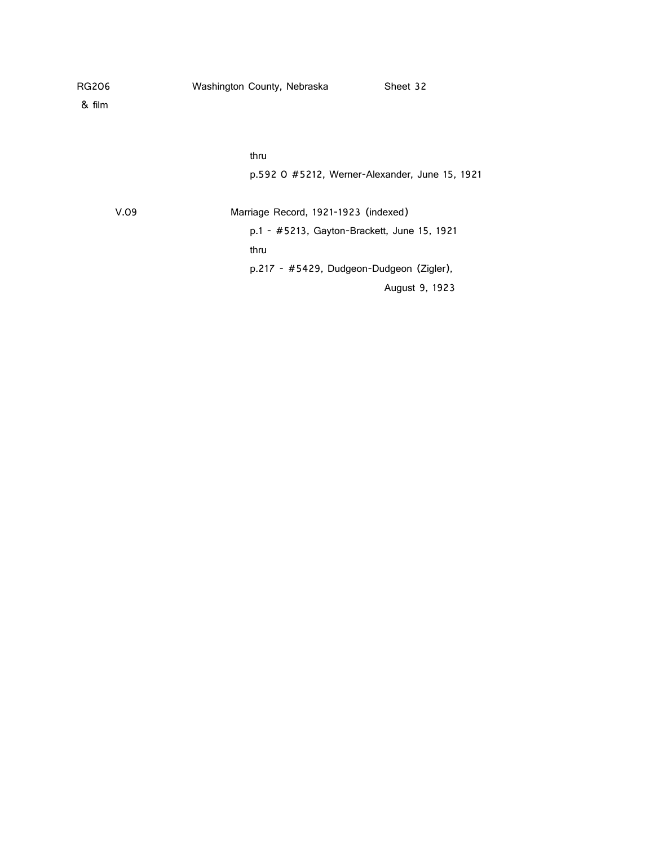| RG206  | Washington County, Nebraska                 | Sheet 32                                       |
|--------|---------------------------------------------|------------------------------------------------|
| & film |                                             |                                                |
|        |                                             |                                                |
|        | thru                                        |                                                |
|        |                                             | p.592 O #5212, Werner-Alexander, June 15, 1921 |
| V.09   | Marriage Record, 1921-1923 (indexed)        |                                                |
|        | p.1 - #5213, Gayton-Brackett, June 15, 1921 |                                                |
|        | thru                                        |                                                |
|        | p.217 - #5429, Dudgeon-Dudgeon (Zigler),    |                                                |
|        |                                             | August 9, 1923                                 |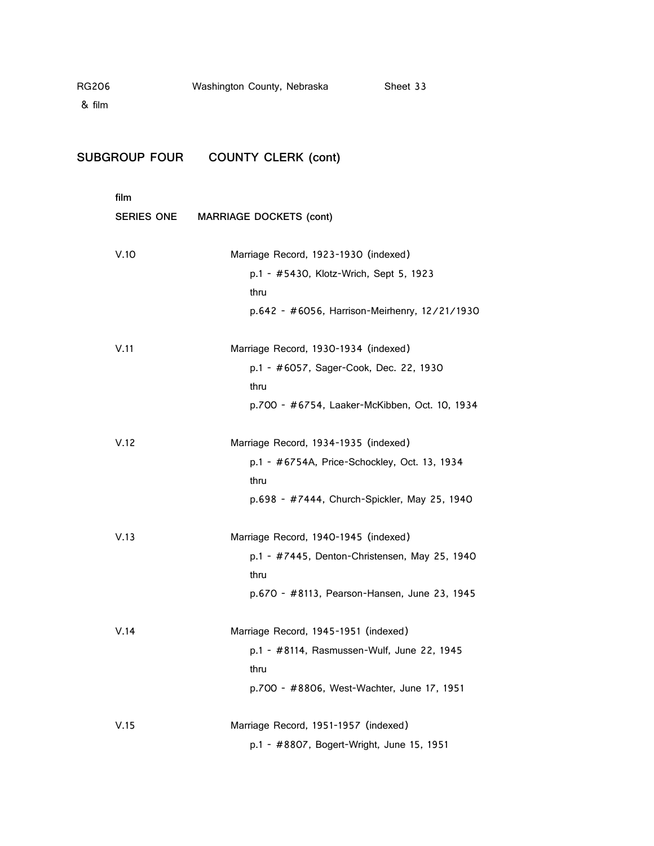| <b>RG206</b> |                      | Washington County, Nebraska                    | Sheet 33                                      |
|--------------|----------------------|------------------------------------------------|-----------------------------------------------|
| & film       |                      |                                                |                                               |
|              | <b>SUBGROUP FOUR</b> | <b>COUNTY CLERK (cont)</b>                     |                                               |
|              | film                 |                                                |                                               |
|              | SERIES ONE           | <b>MARRIAGE DOCKETS (cont)</b>                 |                                               |
|              | V.10                 | Marriage Record, 1923-1930 (indexed)           |                                               |
|              |                      | p.1 - #5430, Klotz-Wrich, Sept 5, 1923<br>thru |                                               |
|              |                      |                                                | p.642 - #6056, Harrison-Meirhenry, 12/21/1930 |
|              | V.11                 | Marriage Record, 1930-1934 (indexed)           |                                               |
|              |                      | p.1 - #6057, Sager-Cook, Dec. 22, 1930         |                                               |
|              |                      | thru                                           |                                               |
|              |                      |                                                | p.700 - #6754, Laaker-McKibben, Oct. 10, 1934 |
|              | V.12                 | Marriage Record, 1934-1935 (indexed)           |                                               |
|              |                      | thru                                           | p.1 - #6754A, Price-Schockley, Oct. 13, 1934  |
|              |                      |                                                | p.698 - #7444, Church-Spickler, May 25, 1940  |
|              | V.13                 | Marriage Record, 1940-1945 (indexed)           |                                               |
|              |                      | thru                                           | p.1 - #7445, Denton-Christensen, May 25, 1940 |
|              |                      |                                                | p.670 - #8113, Pearson-Hansen, June 23, 1945  |
|              | V.14                 | Marriage Record, 1945-1951 (indexed)           |                                               |
|              |                      |                                                | p.1 - #8114, Rasmussen-Wulf, June 22, 1945    |
|              |                      | thru                                           |                                               |
|              |                      |                                                | p.700 - #8806, West-Wachter, June 17, 1951    |
|              | V.15                 | Marriage Record, 1951-1957 (indexed)           |                                               |
|              |                      | p.1 - #8807, Bogert-Wright, June 15, 1951      |                                               |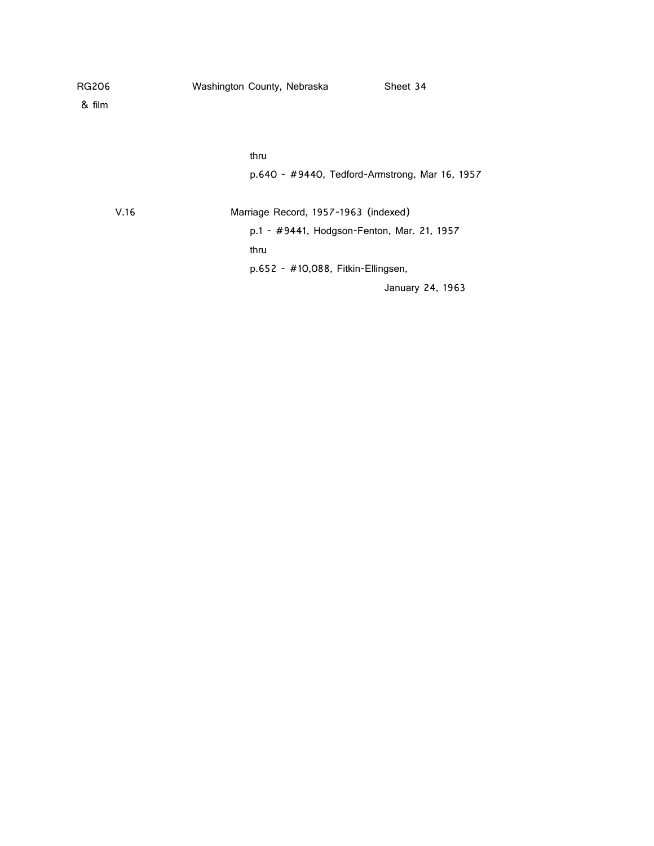| <b>RG206</b> | Washington County, Nebraska                | Sheet 34                                       |
|--------------|--------------------------------------------|------------------------------------------------|
| & film       |                                            |                                                |
|              |                                            |                                                |
|              | thru                                       |                                                |
|              |                                            | p.640 - #9440, Tedford-Armstrong, Mar 16, 1957 |
| V.16         | Marriage Record, 1957-1963 (indexed)       |                                                |
|              | p.1 - #9441, Hodgson-Fenton, Mar. 21, 1957 |                                                |
|              | thru                                       |                                                |
|              | $p.652 - #10,088$ , Fitkin-Ellingsen,      |                                                |
|              |                                            | January 24, 1963                               |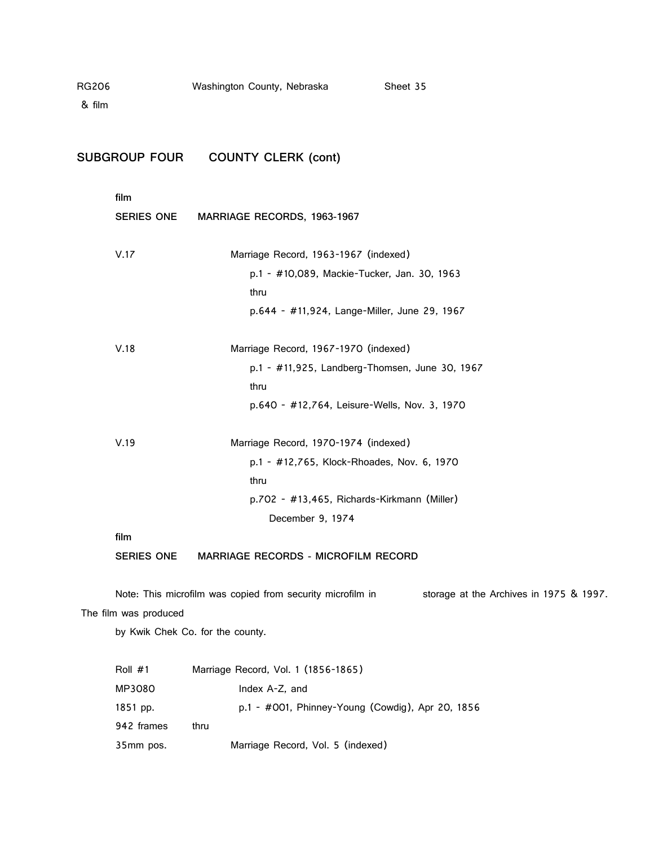| RG206  |                       | Washington County, Nebraska                                | Sheet 35                                         |
|--------|-----------------------|------------------------------------------------------------|--------------------------------------------------|
| & film |                       |                                                            |                                                  |
|        |                       |                                                            |                                                  |
|        | SUBGROUP FOUR         | <b>COUNTY CLERK (cont)</b>                                 |                                                  |
|        | film                  |                                                            |                                                  |
|        | <b>SERIES ONE</b>     | MARRIAGE RECORDS, 1963-1967                                |                                                  |
|        | V.17                  | Marriage Record, 1963-1967 (indexed)                       |                                                  |
|        |                       |                                                            | p.1 - #10,089, Mackie-Tucker, Jan. 30, 1963      |
|        |                       | thru                                                       |                                                  |
|        |                       |                                                            | p.644 - #11,924, Lange-Miller, June 29, 1967     |
|        | V.18                  | Marriage Record, 1967-1970 (indexed)                       |                                                  |
|        |                       |                                                            | p.1 - #11,925, Landberg-Thomsen, June 30, 1967   |
|        |                       | thru                                                       |                                                  |
|        |                       |                                                            | p.640 - #12,764, Leisure-Wells, Nov. 3, 1970     |
|        | V.19                  | Marriage Record, 1970-1974 (indexed)                       |                                                  |
|        |                       | p.1 - #12,765, Klock-Rhoades, Nov. 6, 1970                 |                                                  |
|        |                       | thru                                                       |                                                  |
|        |                       | p.702 - #13,465, Richards-Kirkmann (Miller)                |                                                  |
|        |                       | December 9, 1974                                           |                                                  |
|        | film                  |                                                            |                                                  |
|        | <b>SERIES ONE</b>     | MARRIAGE RECORDS - MICROFILM RECORD                        |                                                  |
|        |                       | Note: This microfilm was copied from security microfilm in | storage at the Archives in 1975 & 1997.          |
|        | The film was produced |                                                            |                                                  |
|        |                       | by Kwik Chek Co. for the county.                           |                                                  |
|        | Roll #1               | Marriage Record, Vol. 1 (1856-1865)                        |                                                  |
|        | MP3080                | Index A-Z, and                                             |                                                  |
|        | 1851 pp.              |                                                            | p.1 - #001, Phinney-Young (Cowdig), Apr 20, 1856 |

942 frames thru

35mm pos. Marriage Record, Vol. 5 (indexed)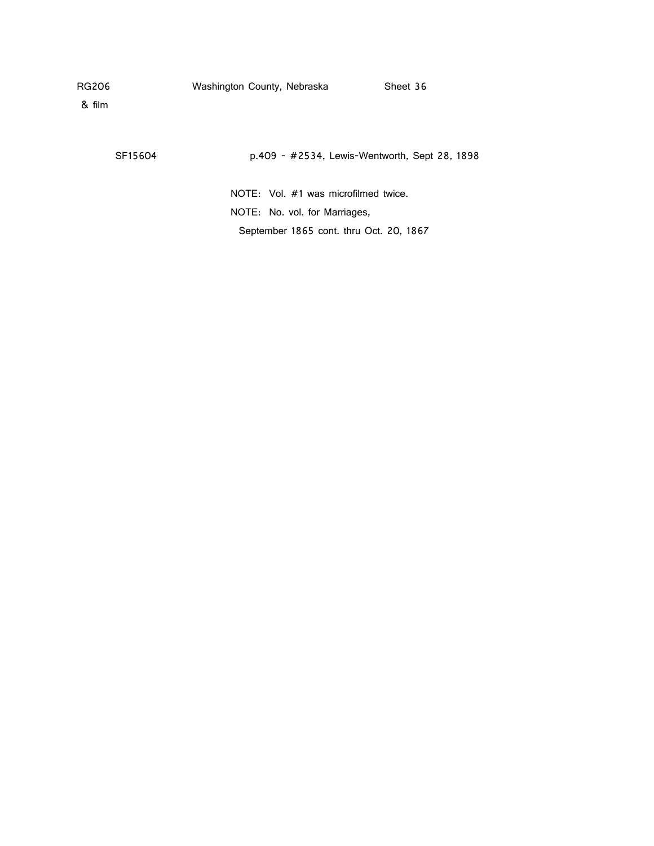& film

SF15604 p.409 - #2534, Lewis-Wentworth, Sept 28, 1898

NOTE: Vol. #1 was microfilmed twice. NOTE: No. vol. for Marriages, September 1865 cont. thru Oct. 20, 1867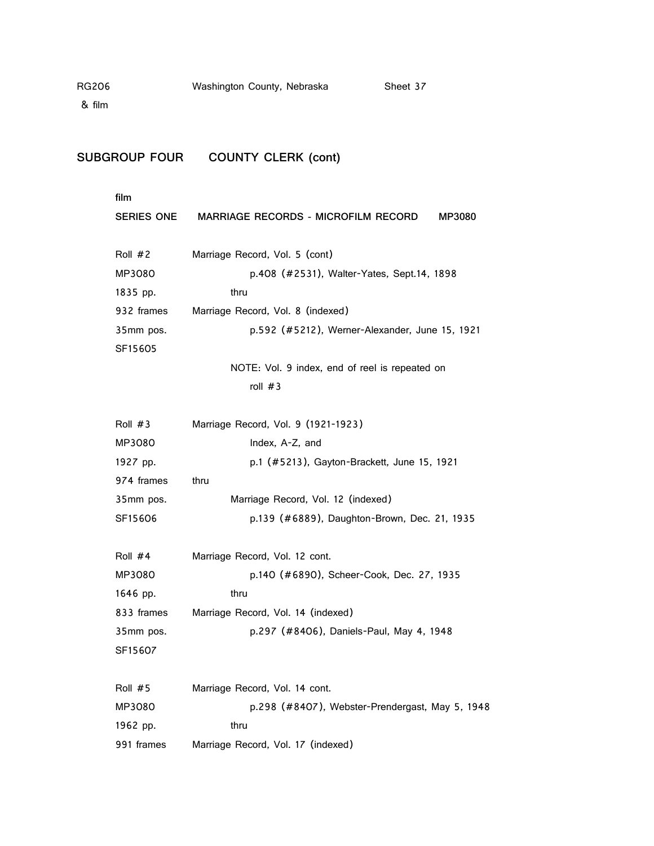# SUBGROUP FOUR COUNTY CLERK (cont)

| film                 |                                                      |
|----------------------|------------------------------------------------------|
| SERIES ONE           | <b>MARRIAGE RECORDS - MICROFILM RECORD</b><br>MP3080 |
|                      |                                                      |
| Roll #2              | Marriage Record, Vol. 5 (cont)                       |
| MP3080               | p.408 (#2531), Walter-Yates, Sept.14, 1898           |
| 1835 pp.             | thru                                                 |
| 932 frames           | Marriage Record, Vol. 8 (indexed)                    |
| 35mm pos.<br>SF15605 | p.592 (#5212), Werner-Alexander, June 15, 1921       |
|                      | NOTE: Vol. 9 index, end of reel is repeated on       |
|                      | roll $#3$                                            |
| Roll #3              | Marriage Record, Vol. 9 (1921-1923)                  |
| MP3080               | Index, A-Z, and                                      |
| 1927 pp.             | p.1 (#5213), Gayton-Brackett, June 15, 1921          |
| 974 frames           | thru                                                 |
| 35mm pos.            | Marriage Record, Vol. 12 (indexed)                   |
| SF15606              | p.139 (#6889), Daughton-Brown, Dec. 21, 1935         |
| Roll #4              | Marriage Record, Vol. 12 cont.                       |
| MP3080               | p.140 (#6890), Scheer-Cook, Dec. 27, 1935            |
| 1646 pp.             | thru                                                 |
| 833 frames           | Marriage Record, Vol. 14 (indexed)                   |
| 35mm pos.            | p.297 (#8406), Daniels-Paul, May 4, 1948             |
| SF15607              |                                                      |
| Roll #5              | Marriage Record, Vol. 14 cont.                       |
| MP3080               | p.298 (#8407), Webster-Prendergast, May 5, 1948      |
| 1962 pp.             | thru                                                 |
| 991 frames           | Marriage Record, Vol. 17 (indexed)                   |
|                      |                                                      |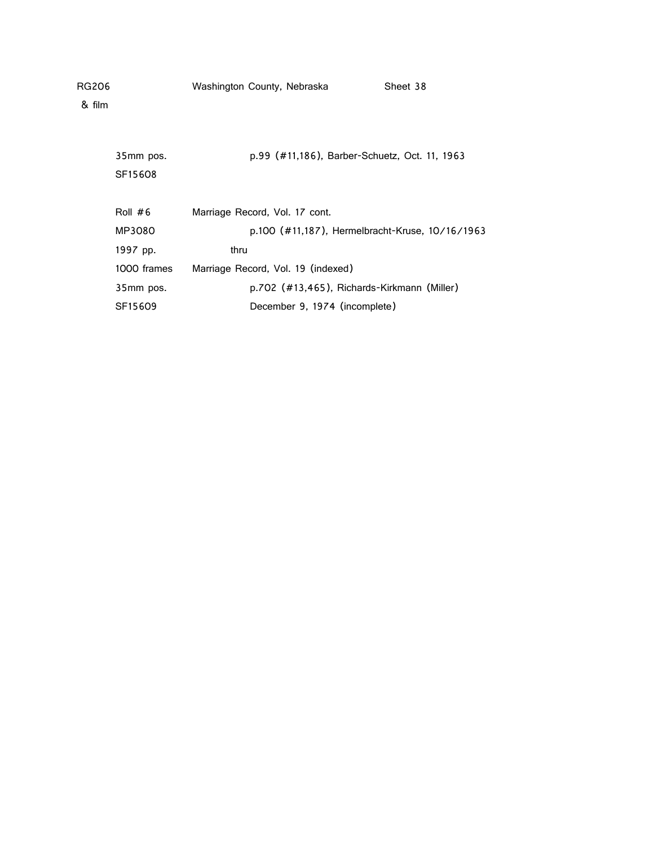| RG206  |             | Washington County, Nebraska        |                                               | Sheet 38                                        |
|--------|-------------|------------------------------------|-----------------------------------------------|-------------------------------------------------|
| & film |             |                                    |                                               |                                                 |
|        |             |                                    |                                               |                                                 |
|        | 35mm pos.   |                                    | p.99 (#11,186), Barber-Schuetz, Oct. 11, 1963 |                                                 |
|        | SF15608     |                                    |                                               |                                                 |
|        |             |                                    |                                               |                                                 |
|        | Roll $#6$   | Marriage Record, Vol. 17 cont.     |                                               |                                                 |
|        | MP3080      |                                    |                                               | p.100 (#11,187), Hermelbracht-Kruse, 10/16/1963 |
|        | 1997 pp.    | thru                               |                                               |                                                 |
|        | 1000 frames | Marriage Record, Vol. 19 (indexed) |                                               |                                                 |
|        | 35mm pos.   |                                    | p.702 (#13,465), Richards-Kirkmann (Miller)   |                                                 |
|        | SF15609     |                                    | December 9, 1974 (incomplete)                 |                                                 |
|        |             |                                    |                                               |                                                 |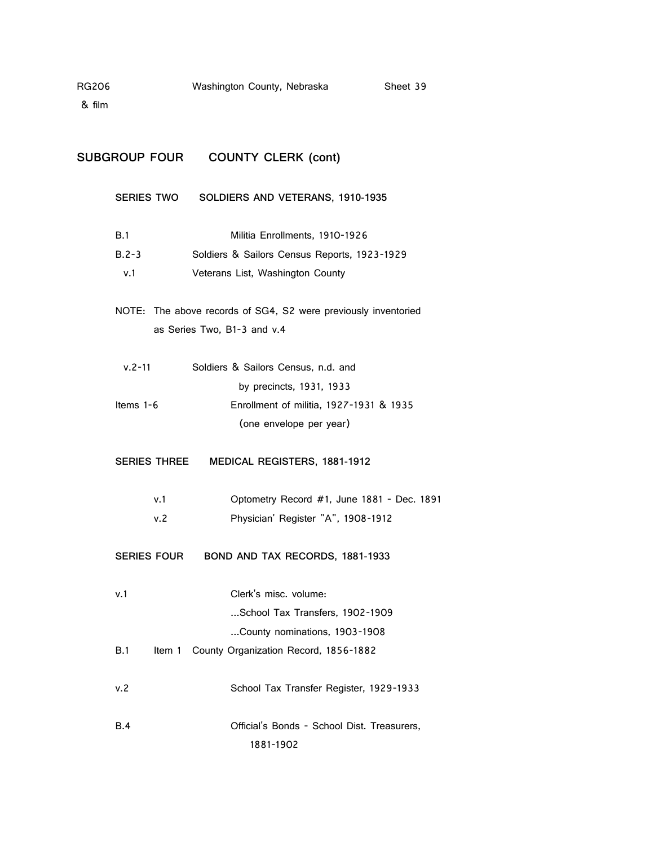& film

## **SUBGROUP FOUR COUNTY CLERK (cont)**

**SERIES TWO SOLDIERS AND VETERANS, 1910-1935** B.1 Militia Enrollments, 1910-1926 B.2-3 Soldiers & Sailors Census Reports, 1923-1929 v.1 Veterans List, Washington County NOTE: The above records of SG4, S2 were previously inventoried as Series Two, B1-3 and v.4 v.2-11 Soldiers & Sailors Census, n.d. and by precincts, 1931, 1933 Items 1-6 Enrollment of militia, 1927-1931 & 1935 (one envelope per year) **SERIES THREE MEDICAL REGISTERS, 1881-1912** v.1 Optometry Record #1, June 1881 - Dec. 1891 v.2 Physician' Register "A", 1908-1912 **SERIES FOUR BOND AND TAX RECORDS, 1881-1933** v.1 Clerk's misc. volume: ...School Tax Transfers, 1902-1909 ...County nominations, 1903-1908 B.1 Item 1 County Organization Record, 1856-1882 v.2 School Tax Transfer Register, 1929-1933 B.4 Official's Bonds - School Dist. Treasurers,

1881-1902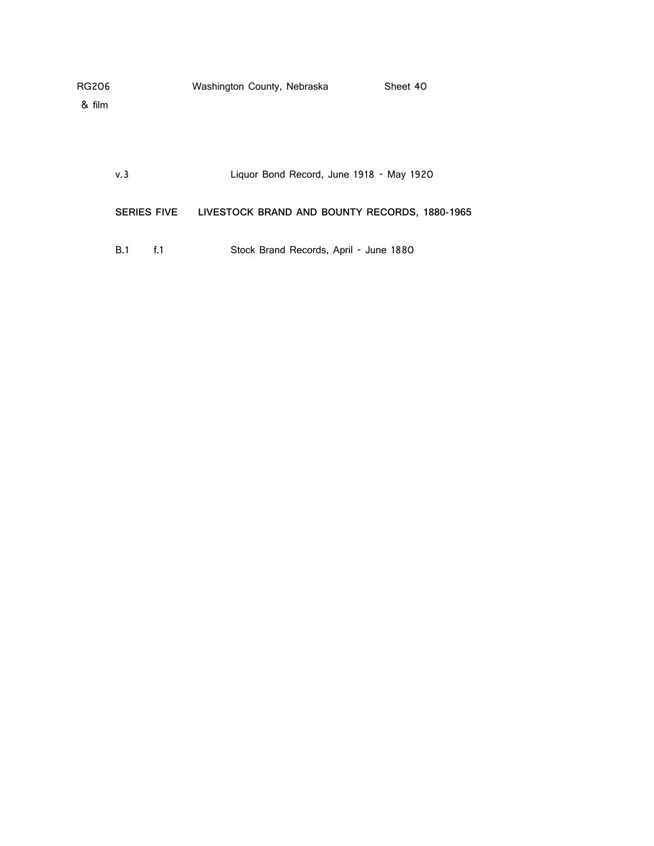| RG206              | Washington County, Nebraska                   | Sheet 40 |
|--------------------|-----------------------------------------------|----------|
| & film             |                                               |          |
|                    |                                               |          |
|                    |                                               |          |
|                    |                                               |          |
| v.3                | Liquor Bond Record, June 1918 - May 1920      |          |
|                    |                                               |          |
| <b>SERIES FIVE</b> | LIVESTOCK BRAND AND BOUNTY RECORDS, 1880-1965 |          |

B.1 f.1 Stock Brand Records, April - June 1880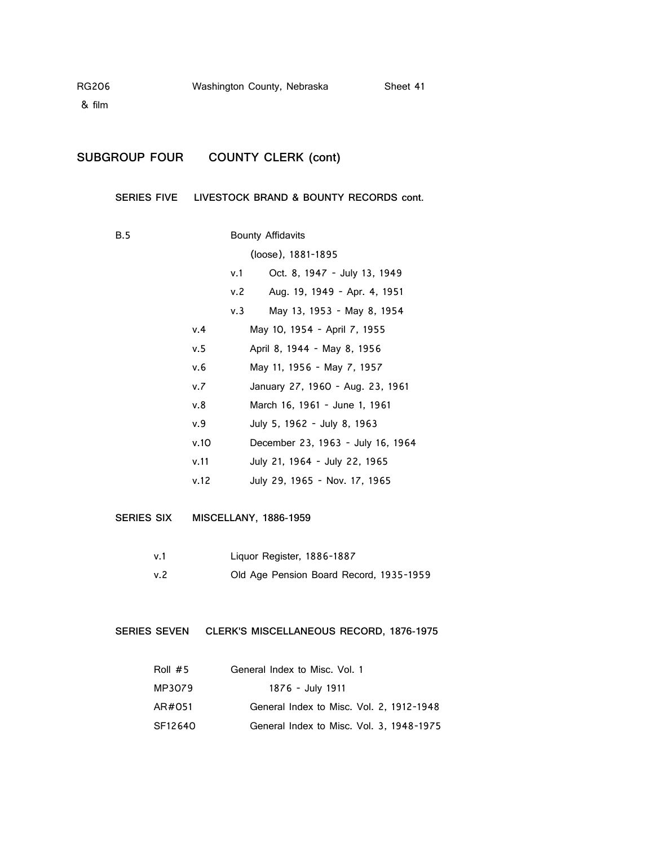## **SUBGROUP FOUR COUNTY CLERK (cont)**

**SERIES FIVE LIVESTOCK BRAND & BOUNTY RECORDS cont.**

B.5 Bounty Affidavits (loose), 1881-1895 v.1 Oct. 8, 1947 - July 13, 1949 v.2 Aug. 19, 1949 - Apr. 4, 1951 v.3 May 13, 1953 - May 8, 1954 v.4 May 10, 1954 - April 7, 1955 v.5 April 8, 1944 - May 8, 1956 v.6 May 11, 1956 - May 7, 1957 v.7 January 27, 1960 - Aug. 23, 1961 v.8 March 16, 1961 - June 1, 1961 v.9 July 5, 1962 - July 8, 1963 v.10 December 23, 1963 - July 16, 1964 v.11 July 21, 1964 - July 22, 1965 v.12 July 29, 1965 - Nov. 17, 1965

**SERIES SIX MISCELLANY, 1886-1959**

| v.1 | Liguor Register, 1886-1887              |
|-----|-----------------------------------------|
| v.2 | Old Age Pension Board Record, 1935-1959 |

### **SERIES SEVEN CLERK'S MISCELLANEOUS RECORD, 1876-1975**

| Roll $#5$ | General Index to Misc. Vol. 1            |
|-----------|------------------------------------------|
| MP3079    | 1876 - July 1911                         |
| AR#051    | General Index to Misc. Vol. 2, 1912-1948 |
| SF12640   | General Index to Misc. Vol. 3, 1948-1975 |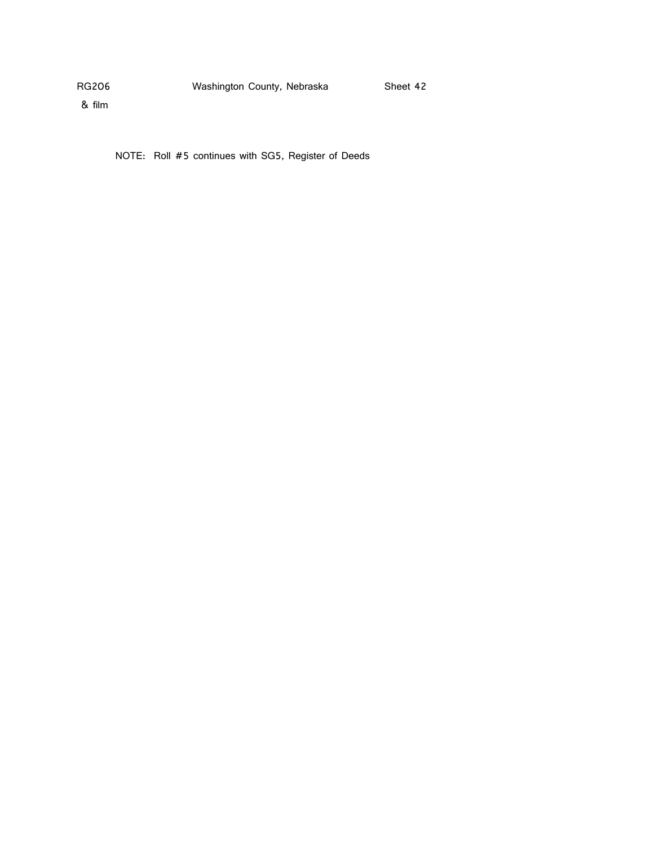& film

NOTE: Roll #5 continues with SG5, Register of Deeds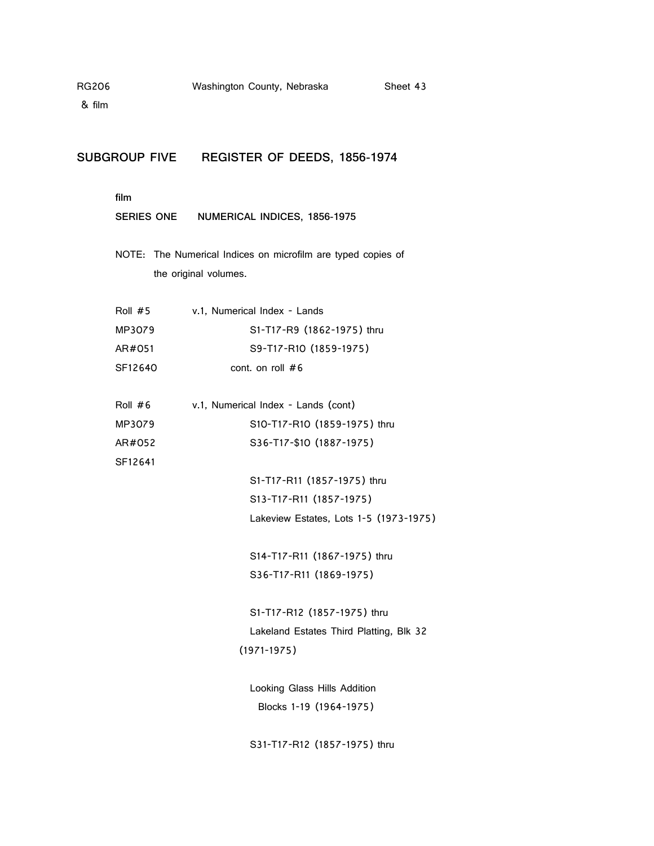## **SUBGROUP FIVE REGISTER OF DEEDS, 1856-1974**

**film**

| NUMERICAL INDICES, 1856-1975<br>SERIES ONE |  |
|--------------------------------------------|--|
|--------------------------------------------|--|

NOTE: The Numerical Indices on microfilm are typed copies of the original volumes.

| Roll $#5$ | v.1, Numerical Index - Lands |
|-----------|------------------------------|
| MP3079    | S1-T17-R9 (1862-1975) thru   |
| AR#051    | S9-T17-R10 (1859-1975)       |
| SF12640   | cont. on roll $#6$           |

Roll #6 v.1, Numerical Index - Lands (cont) MP3079 S10-T17-R10 (1859-1975) thru AR#052 S36-T17-\$10 (1887-1975) SF12641

> S1-T17-R11 (1857-1975) thru S13-T17-R11 (1857-1975) Lakeview Estates, Lots 1-5 (1973-1975)

S14-T17-R11 (1867-1975) thru S36-T17-R11 (1869-1975)

S1-T17-R12 (1857-1975) thru Lakeland Estates Third Platting, Blk 32 (1971-1975)

Looking Glass Hills Addition Blocks 1-19 (1964-1975)

S31-T17-R12 (1857-1975) thru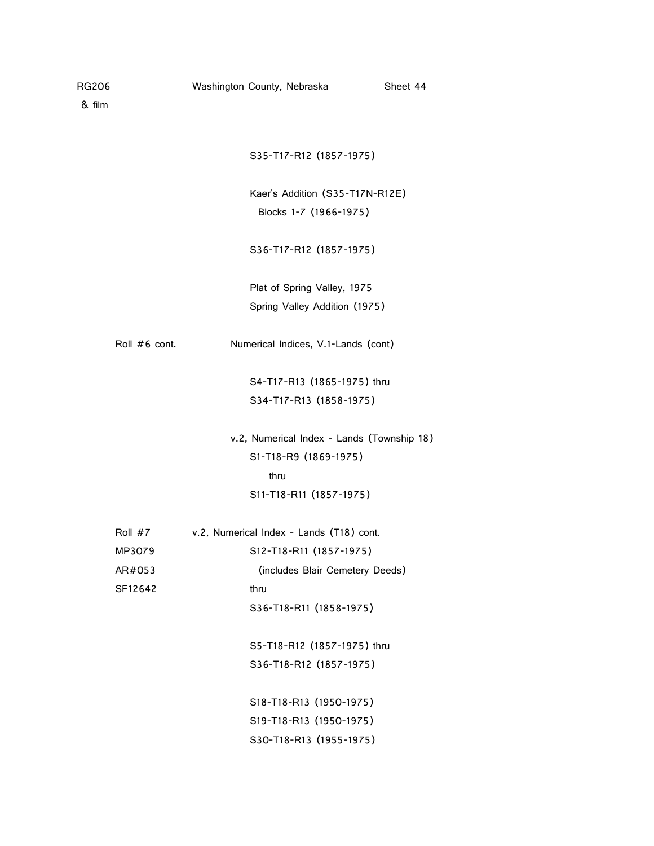| RG206  |               | Washington County, Nebraska<br>Sheet 44    |  |
|--------|---------------|--------------------------------------------|--|
| & film |               |                                            |  |
|        |               |                                            |  |
|        |               | S35-T17-R12 (1857-1975)                    |  |
|        |               | Kaer's Addition (S35-T17N-R12E)            |  |
|        |               | Blocks 1-7 (1966-1975)                     |  |
|        |               | S36-T17-R12 (1857-1975)                    |  |
|        |               | Plat of Spring Valley, 1975                |  |
|        |               | Spring Valley Addition (1975)              |  |
|        | Roll #6 cont. | Numerical Indices, V.1-Lands (cont)        |  |
|        |               | S4-T17-R13 (1865-1975) thru                |  |
|        |               | S34-T17-R13 (1858-1975)                    |  |
|        |               | v.2, Numerical Index - Lands (Township 18) |  |
|        |               | S1-T18-R9 (1869-1975)                      |  |
|        |               | thru                                       |  |
|        |               | S11-T18-R11 (1857-1975)                    |  |
|        | Roll #7       | v.2, Numerical Index - Lands (T18) cont.   |  |
|        | MP3079        | S12-T18-R11 (1857-1975)                    |  |
|        | AR#053        | (includes Blair Cemetery Deeds)            |  |
|        | SF12642       | thru                                       |  |
|        |               | S36-T18-R11 (1858-1975)                    |  |
|        |               | S5-T18-R12 (1857-1975) thru                |  |
|        |               | S36-T18-R12 (1857-1975)                    |  |
|        |               | S18-T18-R13 (1950-1975)                    |  |
|        |               |                                            |  |

S19-T18-R13 (1950-1975) S30-T18-R13 (1955-1975)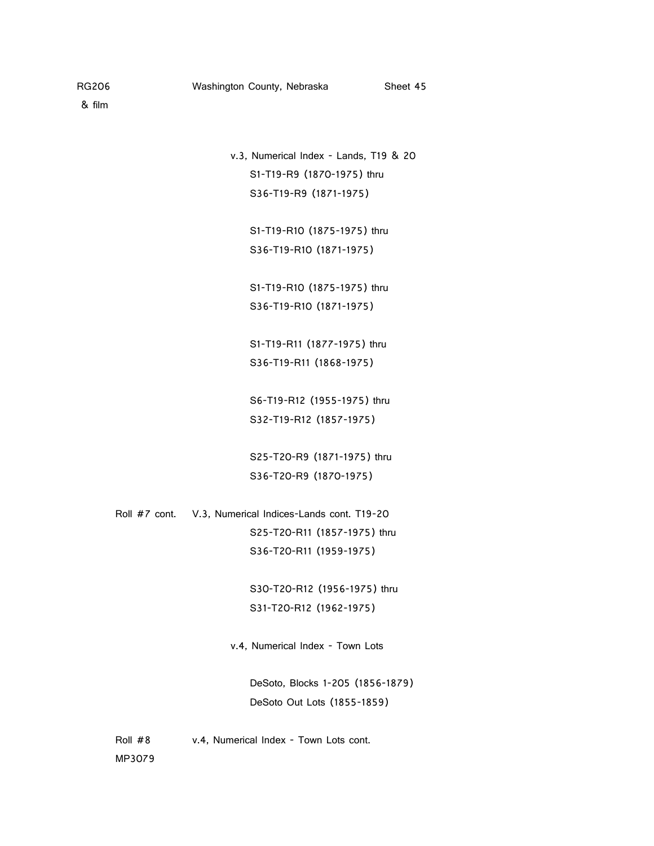v.3, Numerical Index - Lands, T19 & 20 S1-T19-R9 (1870-1975) thru S36-T19-R9 (1871-1975)

> S1-T19-R10 (1875-1975) thru S36-T19-R10 (1871-1975)

> S1-T19-R10 (1875-1975) thru S36-T19-R10 (1871-1975)

S1-T19-R11 (1877-1975) thru S36-T19-R11 (1868-1975)

S6-T19-R12 (1955-1975) thru S32-T19-R12 (1857-1975)

S25-T20-R9 (1871-1975) thru S36-T20-R9 (1870-1975)

Roll #7 cont. V.3, Numerical Indices-Lands cont. T19-20 S25-T20-R11 (1857-1975) thru S36-T20-R11 (1959-1975)

> S30-T20-R12 (1956-1975) thru S31-T20-R12 (1962-1975)

v.4, Numerical Index - Town Lots

DeSoto, Blocks 1-205 (1856-1879) DeSoto Out Lots (1855-1859)

Roll #8 v.4, Numerical Index - Town Lots cont. MP3079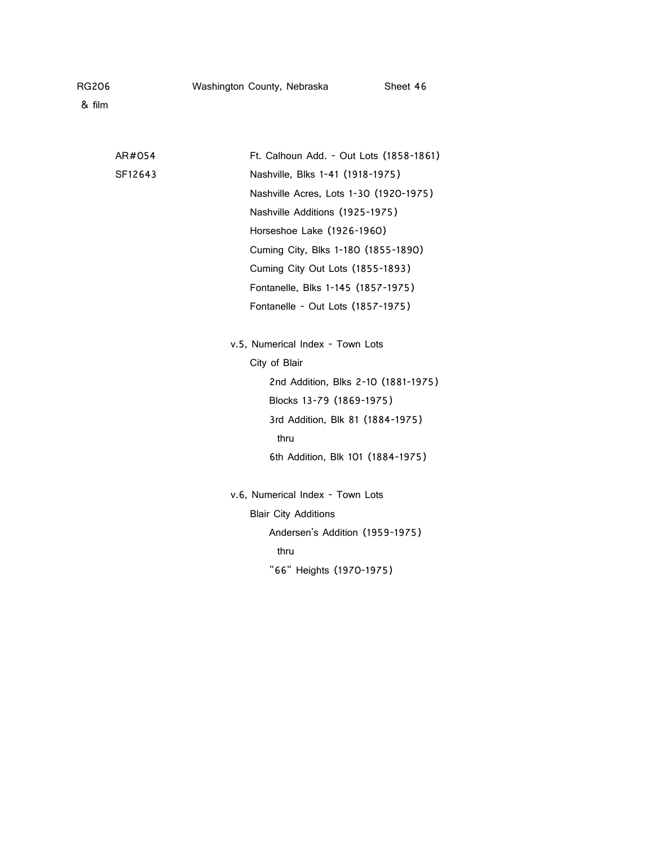| RG206 | Washington County, Nebraska | Sheet 46 |
|-------|-----------------------------|----------|
|-------|-----------------------------|----------|

| AR#054  | Ft. Calhoun Add. - Out Lots (1858-1861) |
|---------|-----------------------------------------|
| SF12643 | Nashville, Blks 1-41 (1918-1975)        |
|         | Nashville Acres, Lots 1-30 (1920-1975)  |
|         | Nashville Additions (1925-1975)         |
|         | Horseshoe Lake (1926-1960)              |
|         | Cuming City, Blks 1-180 (1855-1890)     |
|         | Cuming City Out Lots (1855-1893)        |
|         | Fontanelle, Blks 1-145 (1857-1975)      |
|         | Fontanelle - Out Lots (1857-1975)       |
|         |                                         |
|         | v.5, Numerical Index - Town Lots        |
|         | City of Blair                           |
|         | 2nd Addition, Blks 2-10 (1881-1975)     |
|         | Blocks 13-79 (1869-1975)                |
|         | 3rd Addition, Blk 81 (1884-1975)        |
|         | thru                                    |
|         | 6th Addition, Blk 101 (1884-1975)       |
|         |                                         |
|         | v.6, Numerical Index - Town Lots        |
|         | <b>Blair City Additions</b>             |
|         | Andersen's Addition (1959-1975)         |
|         | thru                                    |
|         | "66" Heights (1970-1975)                |
|         |                                         |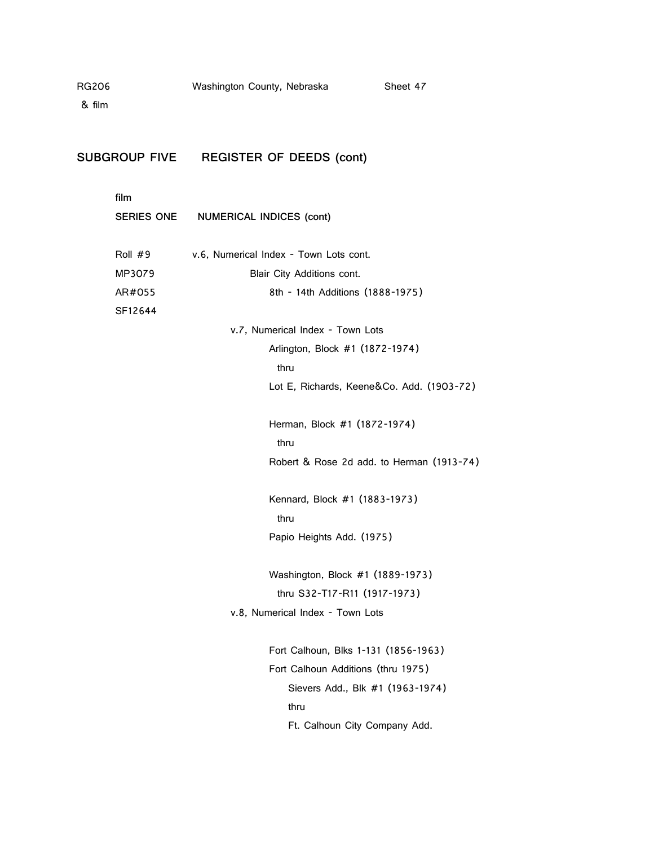& film

**SUBGROUP FIVE REGISTER OF DEEDS (cont)**

**film SERIES ONE NUMERICAL INDICES (cont)** Roll #9 v.6, Numerical Index - Town Lots cont. MP3079 Blair City Additions cont. AR#055 8th - 14th Additions (1888-1975) SF12644 v.7, Numerical Index - Town Lots Arlington, Block #1 (1872-1974) thru Lot E, Richards, Keene&Co. Add. (1903-72) Herman, Block #1 (1872-1974) thru Robert & Rose 2d add. to Herman (1913-74) Kennard, Block #1 (1883-1973) thru Papio Heights Add. (1975) Washington, Block #1 (1889-1973) thru S32-T17-R11 (1917-1973) v.8, Numerical Index - Town Lots Fort Calhoun, Blks 1-131 (1856-1963) Fort Calhoun Additions (thru 1975) Sievers Add., Blk #1 (1963-1974) thru Ft. Calhoun City Company Add.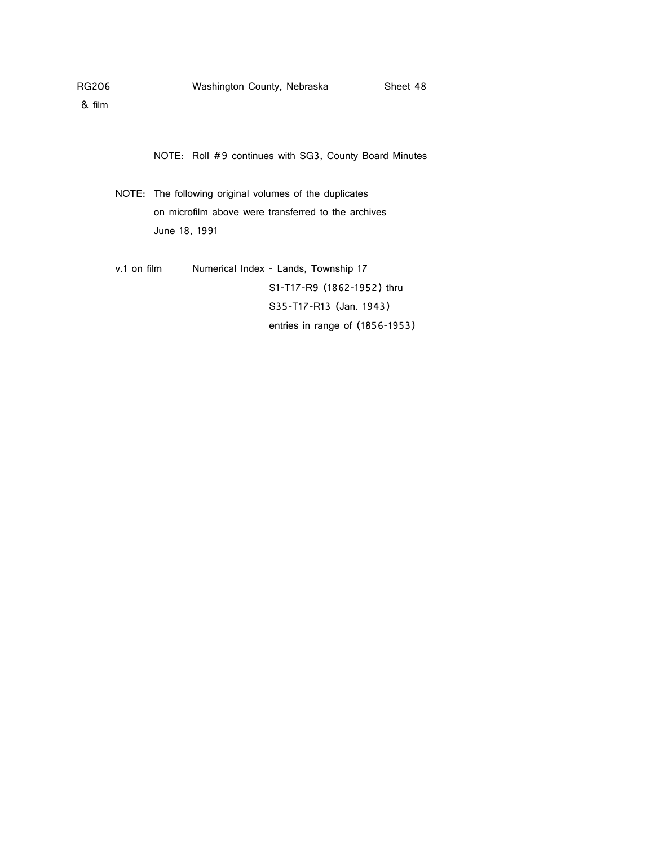NOTE: Roll #9 continues with SG3, County Board Minutes

NOTE: The following original volumes of the duplicates on microfilm above were transferred to the archives June 18, 1991

v.1 on film Numerical Index - Lands, Township 17 S1-T17-R9 (1862-1952) thru S35-T17-R13 (Jan. 1943) entries in range of (1856-1953)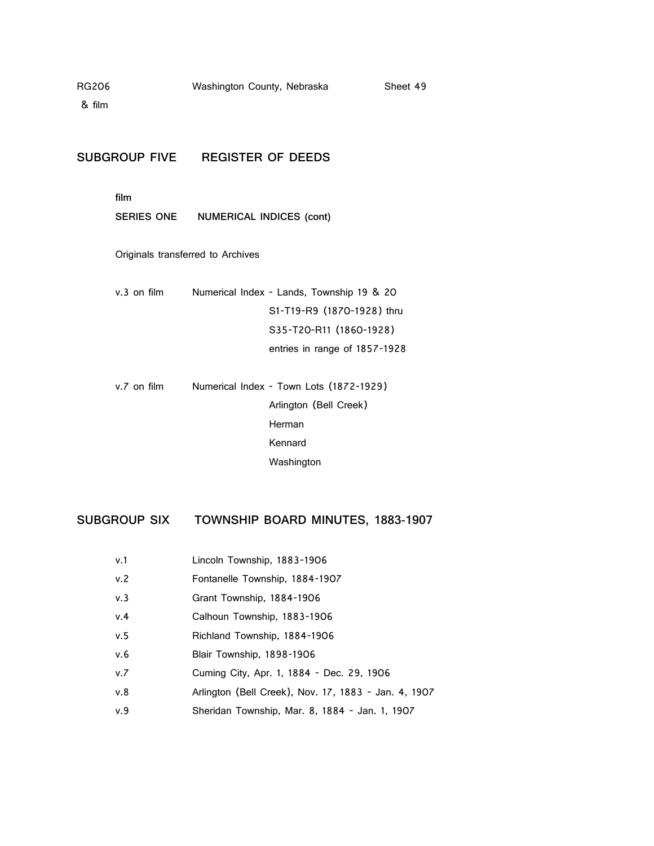#### **SUBGROUP FIVE REGISTER OF DEEDS**

**film**

**SERIES ONE NUMERICAL INDICES (cont)**

Originals transferred to Archives

| v.3 on film | Numerical Index - Lands, Township 19 & 20 |
|-------------|-------------------------------------------|
|             | S1-T19-R9 (1870-1928) thru                |
|             | S35-T20-R11 (1860-1928)                   |
|             | entries in range of 1857-1928             |

v.7 on film Numerical Index - Town Lots (1872-1929) Arlington (Bell Creek) Herman Kennard Washington

## **SUBGROUP SIX TOWNSHIP BOARD MINUTES, 1883-1907**

- v.1 Lincoln Township, 1883-1906
- v.2 Fontanelle Township, 1884-1907
- v.3 Grant Township, 1884-1906
- v.4 Calhoun Township, 1883-1906
- v.5 Richland Township, 1884-1906
- v.6 Blair Township, 1898-1906
- v.7 Cuming City, Apr. 1, 1884 Dec. 29, 1906
- v.8 Arlington (Bell Creek), Nov. 17, 1883 Jan. 4, 1907
- v.9 Sheridan Township, Mar. 8, 1884 Jan. 1, 1907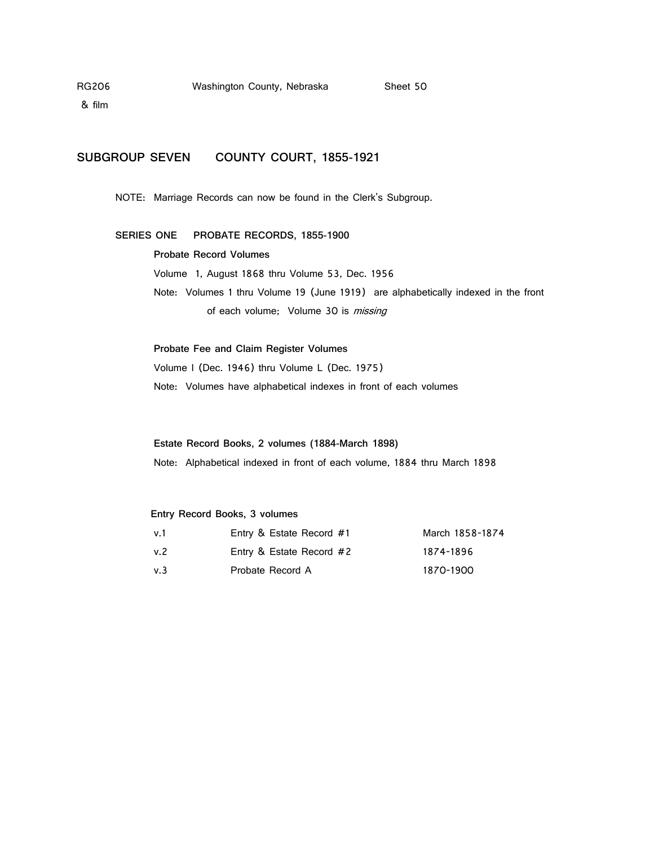& film

### **SUBGROUP SEVEN COUNTY COURT, 1855-1921**

NOTE: Marriage Records can now be found in the Clerk's Subgroup.

### **SERIES ONE PROBATE RECORDS, 1855-1900**

#### **Probate Record Volumes**

Volume 1, August 1868 thru Volume 53, Dec. 1956 Note: Volumes 1 thru Volume 19 (June 1919) are alphabetically indexed in the front of each volume; Volume 30 is missing

**Probate Fee and Claim Register Volumes** Volume I (Dec. 1946) thru Volume L (Dec. 1975) Note: Volumes have alphabetical indexes in front of each volumes

**Estate Record Books, 2 volumes (1884-March 1898)**  Note: Alphabetical indexed in front of each volume, 1884 thru March 1898

#### **Entry Record Books, 3 volumes**

| v.1  | Entry & Estate Record #1 | March 1858-1874 |
|------|--------------------------|-----------------|
| v. 2 | Entry & Estate Record #2 | 1874-1896       |
| v.3  | Probate Record A         | 1870-1900       |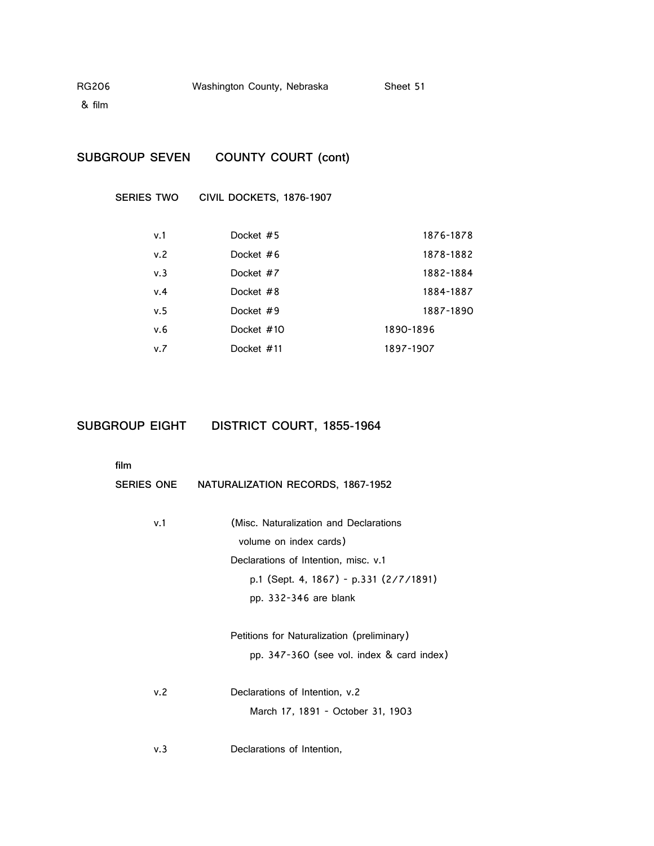| RG206 | Washington County, Nebraska | Sheet 51 |
|-------|-----------------------------|----------|
|-------|-----------------------------|----------|

## **SUBGROUP SEVEN COUNTY COURT (cont)**

**SERIES TWO CIVIL DOCKETS, 1876-1907**

| v.1 | Docket #5   | 1876-1878 |
|-----|-------------|-----------|
| v.2 | Docket $#6$ | 1878-1882 |
| v.3 | Docket #7   | 1882-1884 |
| v.4 | Docket #8   | 1884-1887 |
| v.5 | Docket #9   | 1887-1890 |
| v.6 | Docket #10  | 1890-1896 |
| v.7 | Docket #11  | 1897-1907 |

## **SUBGROUP EIGHT DISTRICT COURT, 1855-1964**

**film**

| film       |                                            |
|------------|--------------------------------------------|
| SERIES ONE | NATURALIZATION RECORDS, 1867-1952          |
|            |                                            |
| v.1        | (Misc. Naturalization and Declarations     |
|            | volume on index cards)                     |
|            | Declarations of Intention, misc. v.1       |
|            | p.1 (Sept. 4, 1867) - p.331 (2/7/1891)     |
|            | pp. $332-346$ are blank                    |
|            | Petitions for Naturalization (preliminary) |
|            | pp. 347-360 (see vol. index & card index)  |
| v.2        | Declarations of Intention, v.2             |
|            | March 17, 1891 - October 31, 1903          |
|            |                                            |

v.3 Declarations of Intention,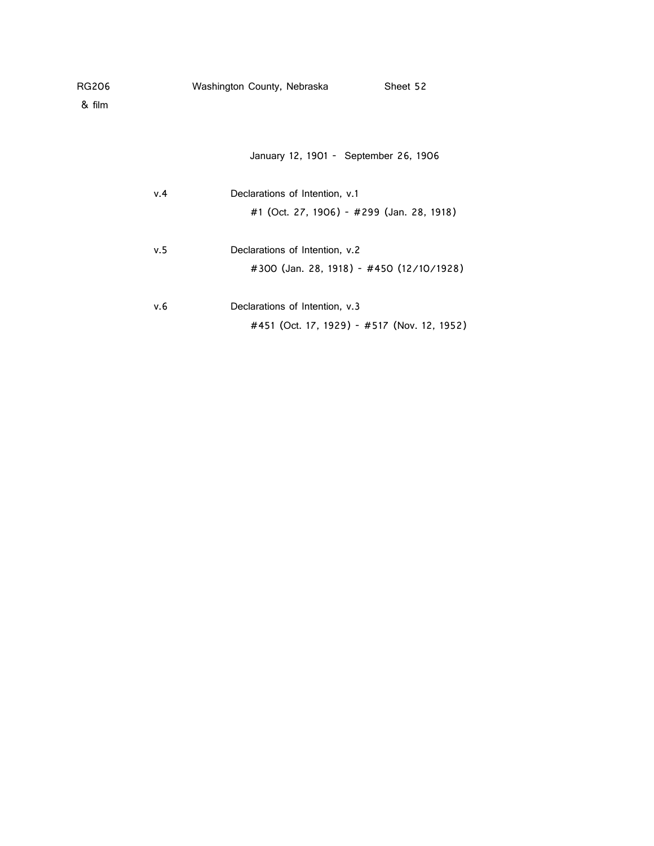| Washington County, Nebraska | Sheet 52 |
|-----------------------------|----------|
|                             |          |

January 12, 1901 - September 26, 1906

| v.4 | Declarations of Intention, v.1              |
|-----|---------------------------------------------|
|     | #1 (Oct. 27, 1906) - #299 (Jan. 28, 1918)   |
|     |                                             |
| v.5 | Declarations of Intention, v.2              |
|     | #300 (Jan. 28, 1918) - #450 (12/10/1928)    |
|     |                                             |
| v.6 | Declarations of Intention, v.3              |
|     | #451 (Oct. 17, 1929) - #517 (Nov. 12, 1952) |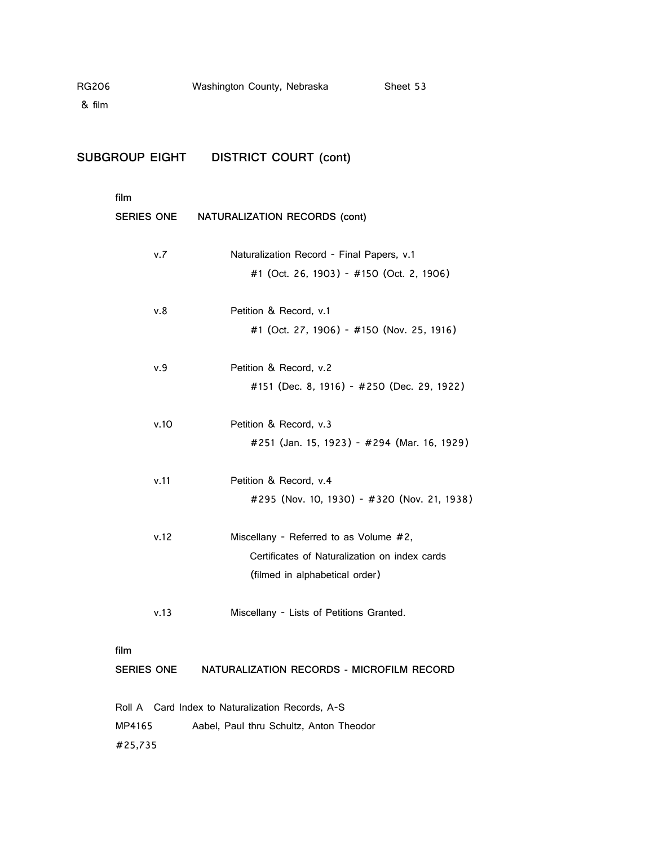| RG206 | Washington County, Nebraska | Sheet 53 |
|-------|-----------------------------|----------|
|       |                             |          |

# **SUBGROUP EIGHT DISTRICT COURT (cont)**

| film              |      |                                               |
|-------------------|------|-----------------------------------------------|
| <b>SERIES ONE</b> |      | NATURALIZATION RECORDS (cont)                 |
|                   |      |                                               |
|                   | v.7  | Naturalization Record - Final Papers, v.1     |
|                   |      | #1 (Oct. 26, 1903) - #150 (Oct. 2, 1906)      |
|                   | v.8  | Petition & Record, v.1                        |
|                   |      |                                               |
|                   |      | #1 (Oct. 27, 1906) - #150 (Nov. 25, 1916)     |
|                   | v.9  | Petition & Record, v.2                        |
|                   |      | #151 (Dec. 8, 1916) - #250 (Dec. 29, 1922)    |
|                   |      |                                               |
|                   | v.10 | Petition & Record, v.3                        |
|                   |      | #251 (Jan. 15, 1923) - #294 (Mar. 16, 1929)   |
|                   |      |                                               |
|                   | v.11 | Petition & Record, v.4                        |
|                   |      | #295 (Nov. 10, 1930) - #320 (Nov. 21, 1938)   |
|                   |      |                                               |
|                   | v.12 | Miscellany - Referred to as Volume #2,        |
|                   |      | Certificates of Naturalization on index cards |
|                   |      | (filmed in alphabetical order)                |
|                   |      |                                               |
|                   | v.13 | Miscellany - Lists of Petitions Granted.      |
|                   |      |                                               |
| film              |      |                                               |

**SERIES ONE NATURALIZATION RECORDS - MICROFILM RECORD**

|         | Roll A Card Index to Naturalization Records, A-S |  |                                         |  |
|---------|--------------------------------------------------|--|-----------------------------------------|--|
| MP4165  |                                                  |  | Aabel. Paul thru Schultz. Anton Theodor |  |
| #25.735 |                                                  |  |                                         |  |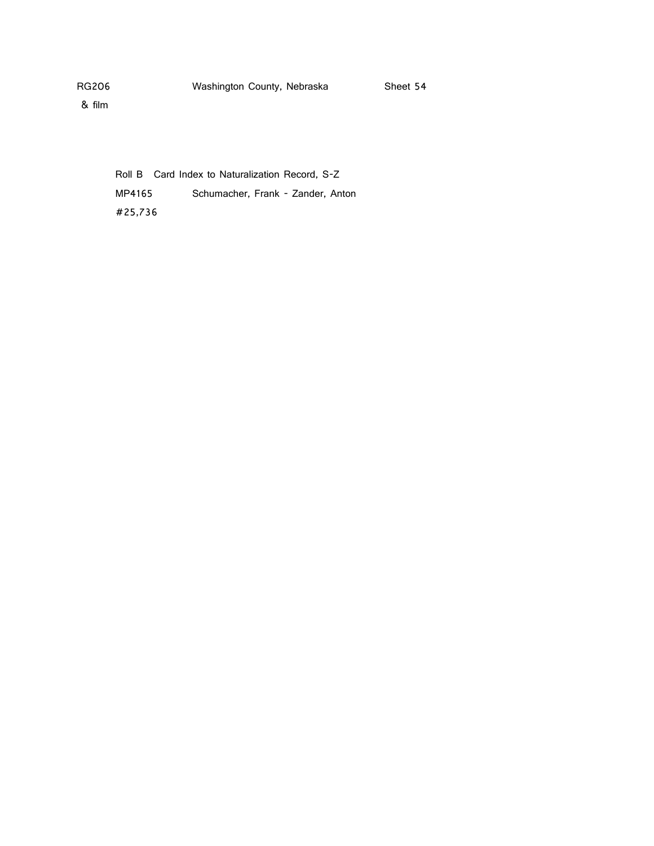Roll B Card Index to Naturalization Record, S-Z MP4165 Schumacher, Frank - Zander, Anton #25,736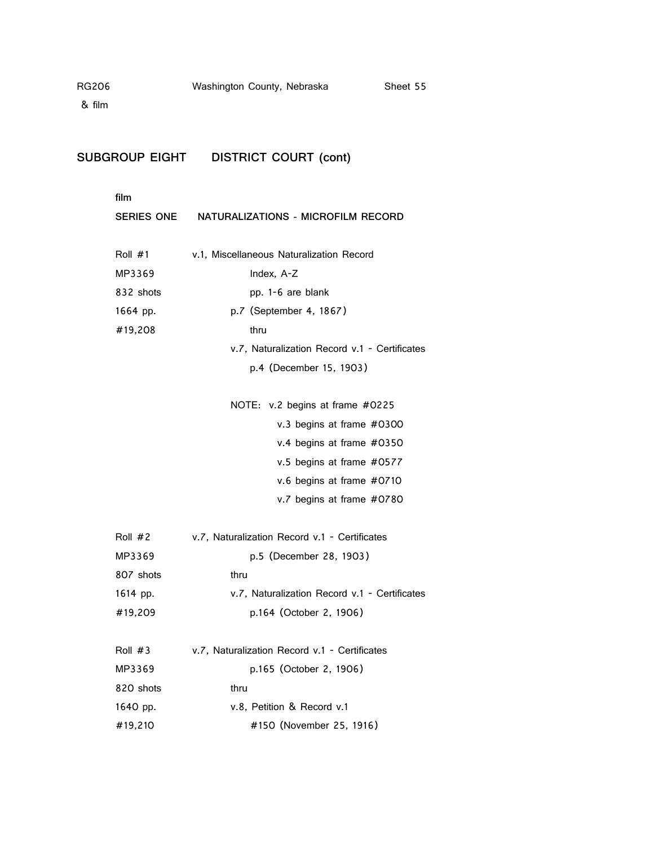# **SUBGROUP EIGHT DISTRICT COURT (cont)**

| film       |                                               |
|------------|-----------------------------------------------|
| SERIES ONE | NATURALIZATIONS - MICROFILM RECORD            |
|            |                                               |
| Roll $#1$  | v.1, Miscellaneous Naturalization Record      |
| MP3369     | Index, A-Z                                    |
| 832 shots  | pp. 1-6 are blank                             |
| 1664 pp.   | p.7 (September 4, 1867)                       |
| #19,208    | thru                                          |
|            | v.7, Naturalization Record v.1 - Certificates |
|            | p.4 (December 15, 1903)                       |
|            |                                               |
|            | NOTE: v.2 begins at frame #0225               |
|            | v.3 begins at frame #0300                     |
|            | v.4 begins at frame #0350                     |
|            | v.5 begins at frame #0577                     |
|            | v.6 begins at frame #0710                     |
|            | v.7 begins at frame #0780                     |
|            |                                               |
| Roll $#2$  | v.7, Naturalization Record v.1 - Certificates |
| MP3369     | p.5 (December 28, 1903)                       |
| 807 shots  | thru                                          |
| 1614 pp.   | v.7, Naturalization Record v.1 - Certificates |
| #19,209    | p.164 (October 2, 1906)                       |
|            |                                               |
| Roll $#3$  | v.7, Naturalization Record v.1 - Certificates |
| MP3369     | p.165 (October 2, 1906)                       |
| 820 shots  | thru                                          |
| 1640 pp.   | v.8, Petition & Record v.1                    |
| #19,210    | #150 (November 25, 1916)                      |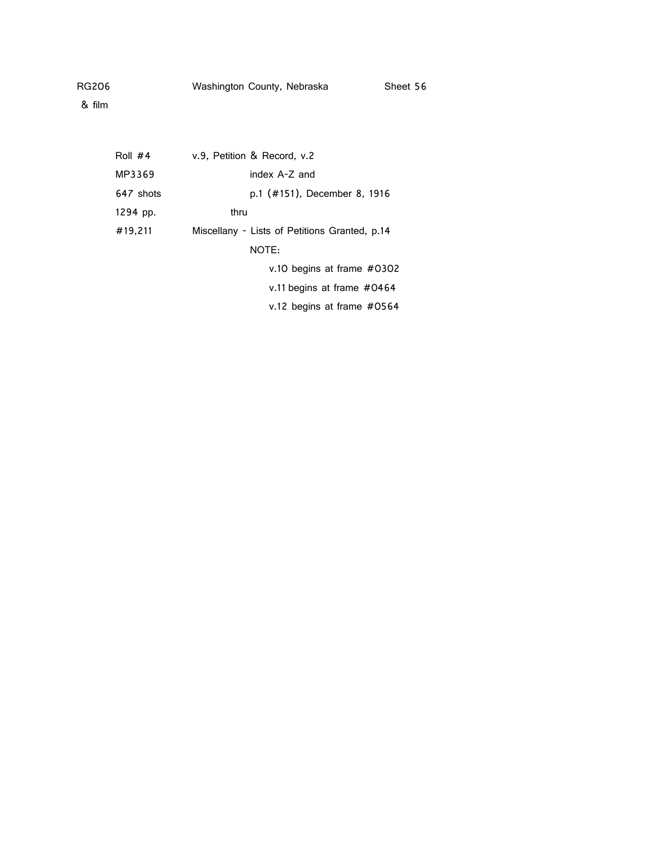| Roll $#4$ | v.9, Petition & Record, v.2                   |
|-----------|-----------------------------------------------|
| MP3369    | index A-Z and                                 |
| 647 shots | p.1 (#151), December 8, 1916                  |
| 1294 pp.  | thru                                          |
| #19,211   | Miscellany - Lists of Petitions Granted, p.14 |
|           | NOTE:                                         |
|           | v.10 begins at frame #0302                    |
|           | v.11 begins at frame $#0464$                  |
|           | v.12 begins at frame $#0564$                  |
|           |                                               |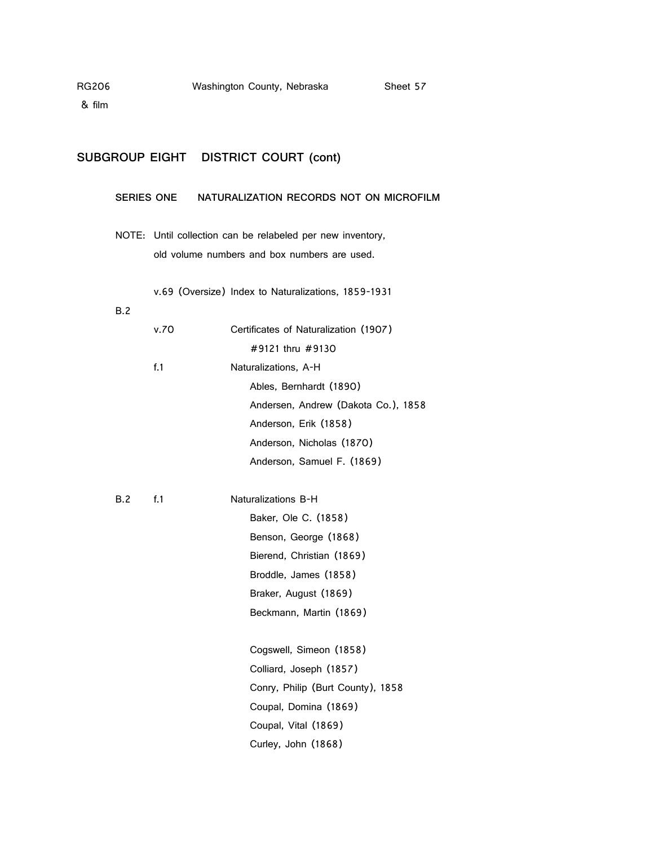## **SUBGROUP EIGHT DISTRICT COURT (cont)**

#### **SERIES ONE NATURALIZATION RECORDS NOT ON MICROFILM**

NOTE: Until collection can be relabeled per new inventory, old volume numbers and box numbers are used.

v.69 (Oversize) Index to Naturalizations, 1859-1931

#### B.2

|     | v.70 | Certificates of Naturalization (1907) |
|-----|------|---------------------------------------|
|     |      | #9121 thru #9130                      |
|     | f.1  | Naturalizations, A-H                  |
|     |      | Ables, Bernhardt (1890)               |
|     |      | Andersen, Andrew (Dakota Co.), 1858   |
|     |      | Anderson, Erik (1858)                 |
|     |      | Anderson, Nicholas (1870)             |
|     |      | Anderson, Samuel F. (1869)            |
|     |      |                                       |
| B.2 | f.1  | Naturalizations B-H                   |
|     |      | Baker, Ole C. (1858)                  |
|     |      | Benson, George (1868)                 |
|     |      | Bierend, Christian (1869)             |
|     |      | Broddle, James (1858)                 |
|     |      | Braker, August (1869)                 |
|     |      | Beckmann, Martin (1869)               |
|     |      |                                       |
|     |      | Cogswell, Simeon (1858)               |
|     |      | Colliard, Joseph (1857)               |
|     |      | Conry, Philip (Burt County), 1858     |
|     |      | Coupal, Domina (1869)                 |
|     |      | Coupal, Vital (1869)                  |
|     |      | Curley, John (1868)                   |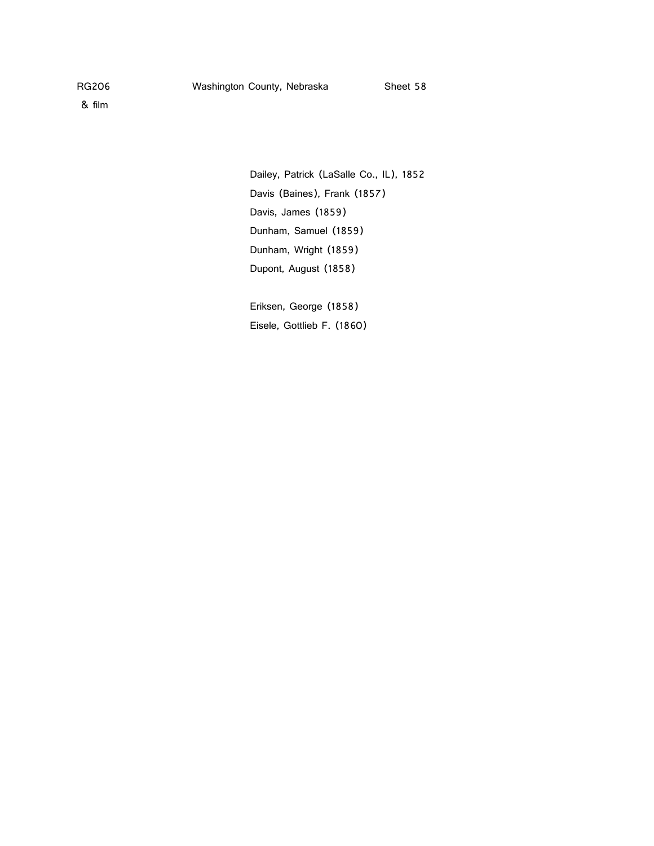Dailey, Patrick (LaSalle Co., IL), 1852 Davis (Baines), Frank (1857) Davis, James (1859) Dunham, Samuel (1859) Dunham, Wright (1859) Dupont, August (1858)

Eriksen, George (1858) Eisele, Gottlieb F. (1860)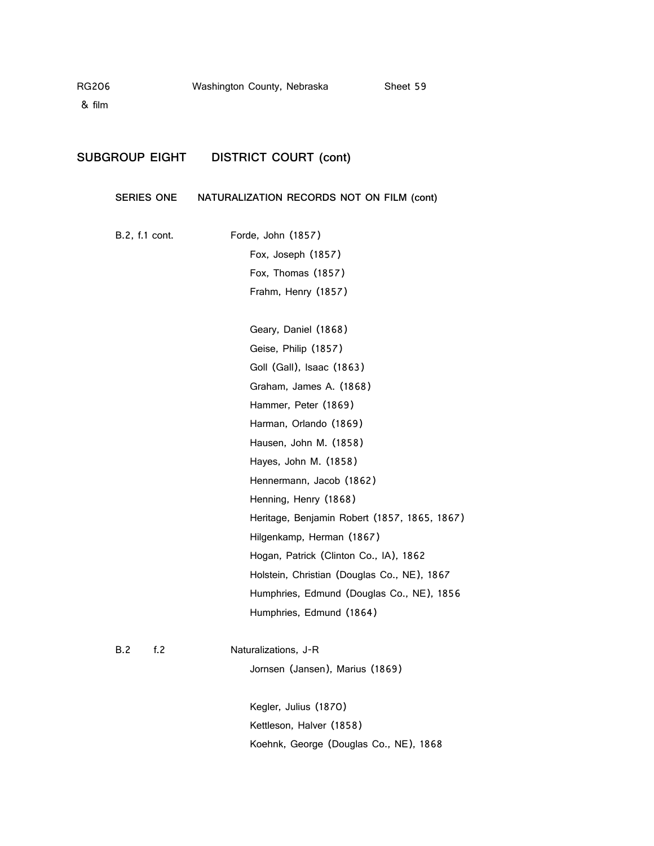## **SUBGROUP EIGHT DISTRICT COURT (cont)**

#### **SERIES ONE NATURALIZATION RECORDS NOT ON FILM (cont)**

B.2, f.1 cont. Forde, John (1857) Fox, Joseph (1857) Fox, Thomas (1857) Frahm, Henry (1857)

> Geary, Daniel (1868) Geise, Philip (1857) Goll (Gall), Isaac (1863) Graham, James A. (1868) Hammer, Peter (1869) Harman, Orlando (1869) Hausen, John M. (1858) Hayes, John M. (1858) Hennermann, Jacob (1862) Henning, Henry (1868) Heritage, Benjamin Robert (1857, 1865, 1867) Hilgenkamp, Herman (1867) Hogan, Patrick (Clinton Co., IA), 1862 Holstein, Christian (Douglas Co., NE), 1867 Humphries, Edmund (Douglas Co., NE), 1856 Humphries, Edmund (1864)

#### B.2 f.2 Naturalizations, J-R

Jornsen (Jansen), Marius (1869)

Kegler, Julius (1870) Kettleson, Halver (1858) Koehnk, George (Douglas Co., NE), 1868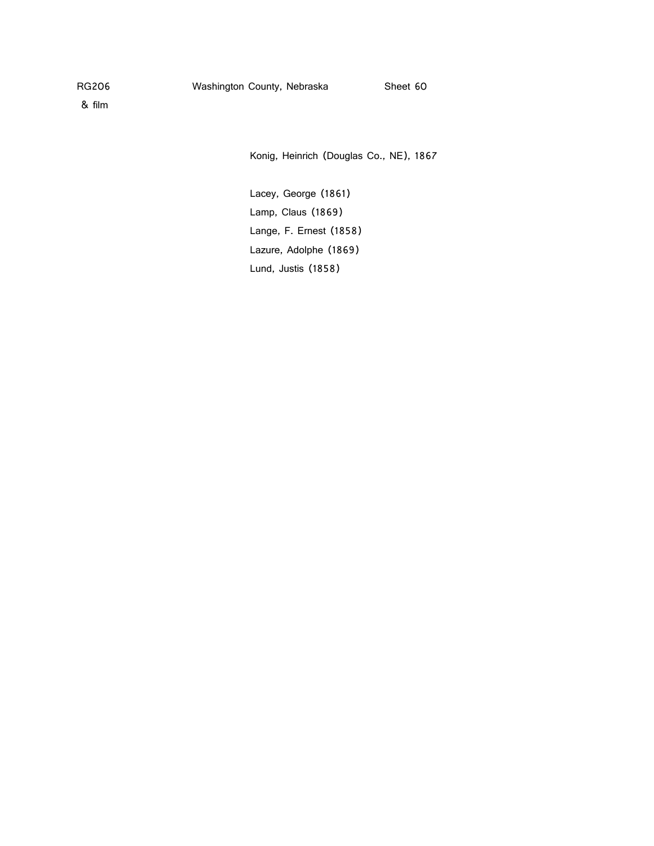& film

Konig, Heinrich (Douglas Co., NE), 1867

Lacey, George (1861) Lamp, Claus (1869) Lange, F. Ernest (1858) Lazure, Adolphe (1869) Lund, Justis (1858)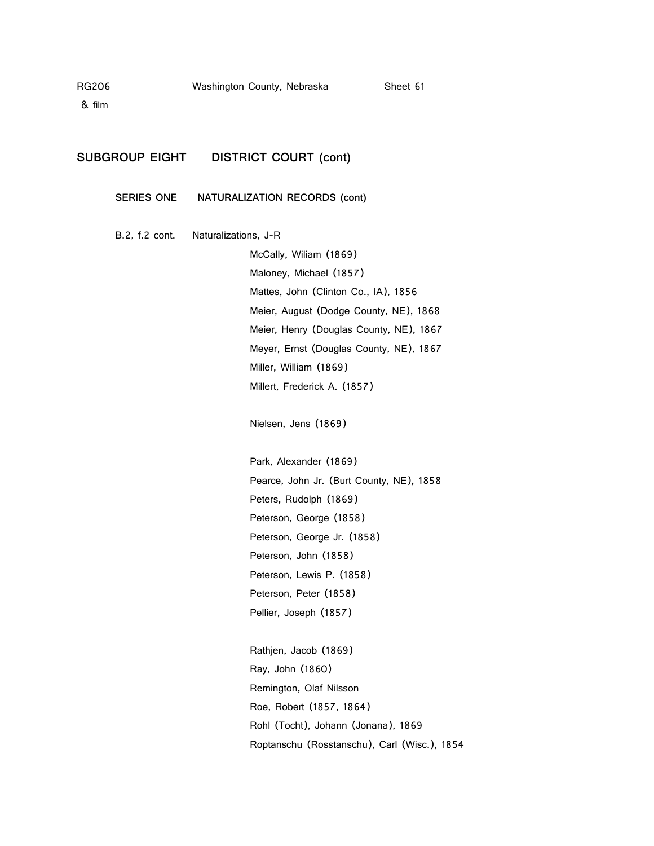& film

## **SUBGROUP EIGHT DISTRICT COURT (cont)**

**SERIES ONE NATURALIZATION RECORDS (cont)**

B.2, f.2 cont. Naturalizations, J-R

McCally, Wiliam (1869) Maloney, Michael (1857) Mattes, John (Clinton Co., IA), 1856 Meier, August (Dodge County, NE), 1868 Meier, Henry (Douglas County, NE), 1867 Meyer, Ernst (Douglas County, NE), 1867 Miller, William (1869) Millert, Frederick A. (1857)

Nielsen, Jens (1869)

Park, Alexander (1869) Pearce, John Jr. (Burt County, NE), 1858 Peters, Rudolph (1869) Peterson, George (1858) Peterson, George Jr. (1858) Peterson, John (1858) Peterson, Lewis P. (1858) Peterson, Peter (1858) Pellier, Joseph (1857)

Rathjen, Jacob (1869) Ray, John (1860) Remington, Olaf Nilsson Roe, Robert (1857, 1864) Rohl (Tocht), Johann (Jonana), 1869 Roptanschu (Rosstanschu), Carl (Wisc.), 1854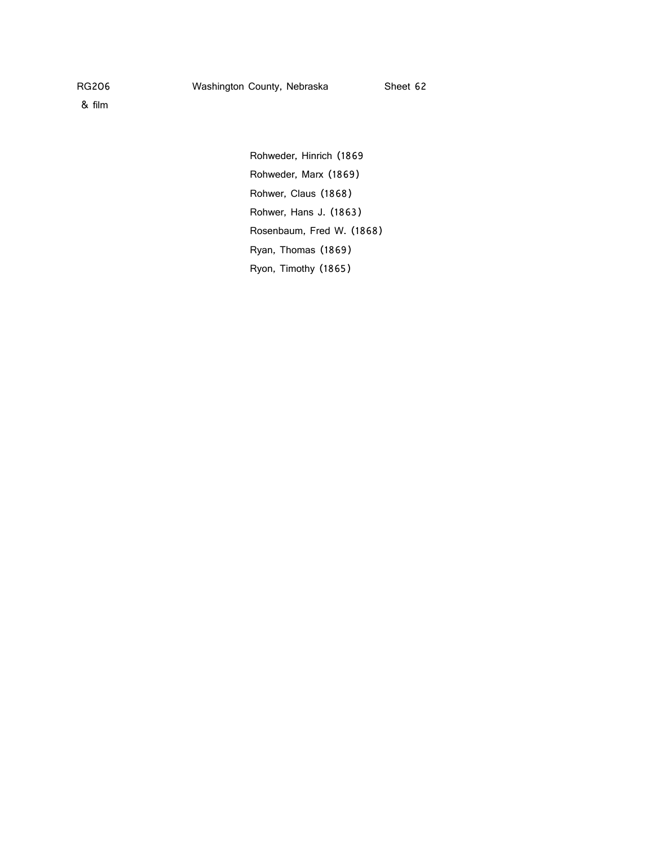Rohweder, Hinrich (1869 Rohweder, Marx (1869) Rohwer, Claus (1868) Rohwer, Hans J. (1863) Rosenbaum, Fred W. (1868) Ryan, Thomas (1869) Ryon, Timothy (1865)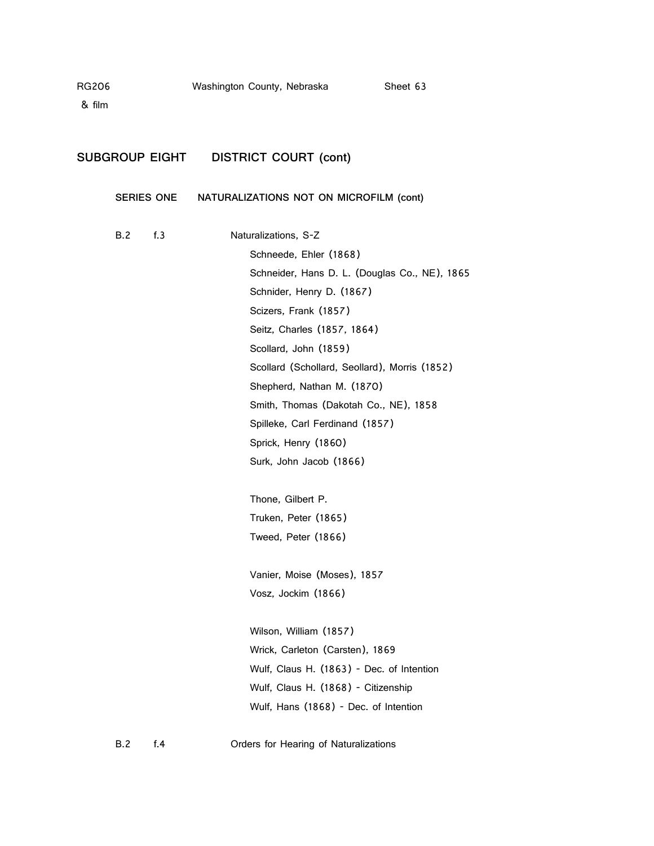& film

# **SUBGROUP EIGHT DISTRICT COURT (cont)**

### **SERIES ONE NATURALIZATIONS NOT ON MICROFILM (cont)**

| B.2 | f.3 | Naturalizations, S-Z                          |
|-----|-----|-----------------------------------------------|
|     |     | Schneede, Ehler (1868)                        |
|     |     | Schneider, Hans D. L. (Douglas Co., NE), 1865 |
|     |     | Schnider, Henry D. (1867)                     |
|     |     | Scizers, Frank (1857)                         |
|     |     | Seitz, Charles (1857, 1864)                   |
|     |     | Scollard, John (1859)                         |
|     |     | Scollard (Schollard, Seollard), Morris (1852) |
|     |     | Shepherd, Nathan M. (1870)                    |
|     |     | Smith, Thomas (Dakotah Co., NE), 1858         |
|     |     | Spilleke, Carl Ferdinand (1857)               |
|     |     | Sprick, Henry (1860)                          |
|     |     | Surk, John Jacob (1866)                       |
|     |     |                                               |
|     |     | Thone, Gilbert P.                             |
|     |     | Truken, Peter (1865)                          |
|     |     | Tweed, Peter (1866)                           |
|     |     |                                               |
|     |     | Vanier, Moise (Moses), 1857                   |
|     |     | Vosz, Jockim (1866)                           |
|     |     |                                               |
|     |     | Wilson, William (1857)                        |
|     |     | Wrick, Carleton (Carsten), 1869               |
|     |     | Wulf, Claus H. (1863) - Dec. of Intention     |
|     |     | Wulf, Claus H. (1868) - Citizenship           |
|     |     | Wulf, Hans (1868) - Dec. of Intention         |
|     |     |                                               |

B.2 f.4 Orders for Hearing of Naturalizations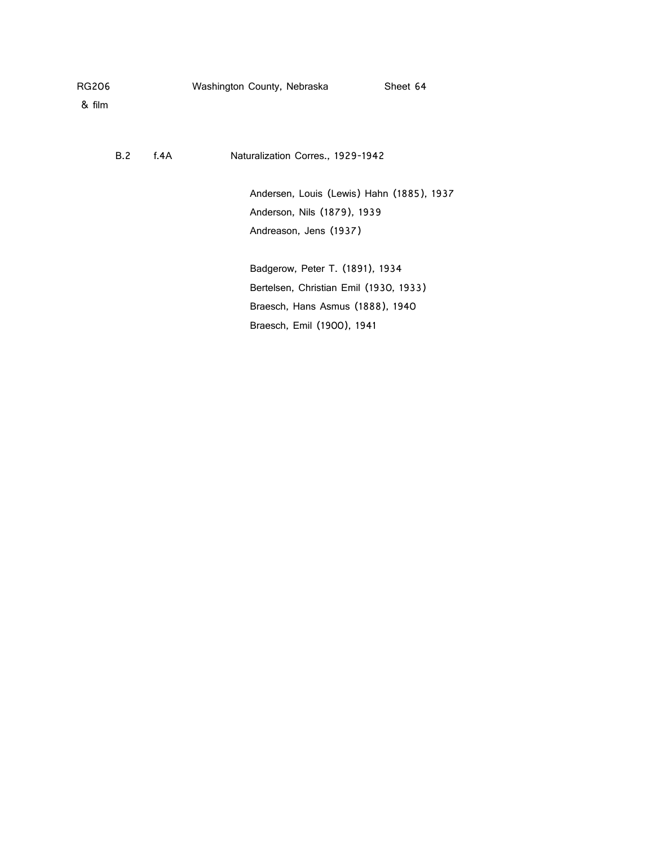| RG206  |     |         | Washington County, Nebraska               | Sheet 64 |
|--------|-----|---------|-------------------------------------------|----------|
| & film |     |         |                                           |          |
|        |     |         |                                           |          |
|        | B.2 | f. $4A$ | Naturalization Corres., 1929-1942         |          |
|        |     |         | Andersen, Louis (Lewis) Hahn (1885), 1937 |          |
|        |     |         | Anderson, Nils (1879), 1939               |          |
|        |     |         | Andreason, Jens (1937)                    |          |
|        |     |         |                                           |          |
|        |     |         | Badgerow, Peter T. (1891), 1934           |          |
|        |     |         | Bertelsen, Christian Emil (1930, 1933)    |          |
|        |     |         | Braesch, Hans Asmus (1888), 1940          |          |
|        |     |         | Braesch, Emil (1900), 1941                |          |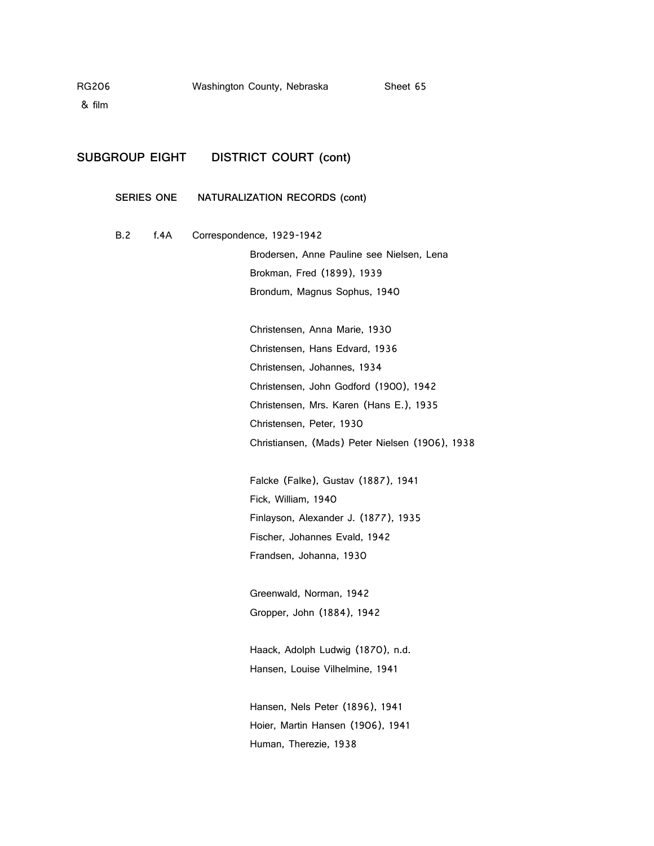& film

### **SUBGROUP EIGHT DISTRICT COURT (cont)**

**SERIES ONE NATURALIZATION RECORDS (cont)**

B.2 f.4A Correspondence, 1929-1942

Brodersen, Anne Pauline see Nielsen, Lena Brokman, Fred (1899), 1939 Brondum, Magnus Sophus, 1940

Christensen, Anna Marie, 1930 Christensen, Hans Edvard, 1936 Christensen, Johannes, 1934 Christensen, John Godford (1900), 1942 Christensen, Mrs. Karen (Hans E.), 1935 Christensen, Peter, 1930 Christiansen, (Mads) Peter Nielsen (1906), 1938

Falcke (Falke), Gustav (1887), 1941 Fick, William, 1940 Finlayson, Alexander J. (1877), 1935 Fischer, Johannes Evald, 1942 Frandsen, Johanna, 1930

Greenwald, Norman, 1942 Gropper, John (1884), 1942

Haack, Adolph Ludwig (1870), n.d. Hansen, Louise Vilhelmine, 1941

Hansen, Nels Peter (1896), 1941 Hoier, Martin Hansen (1906), 1941 Human, Therezie, 1938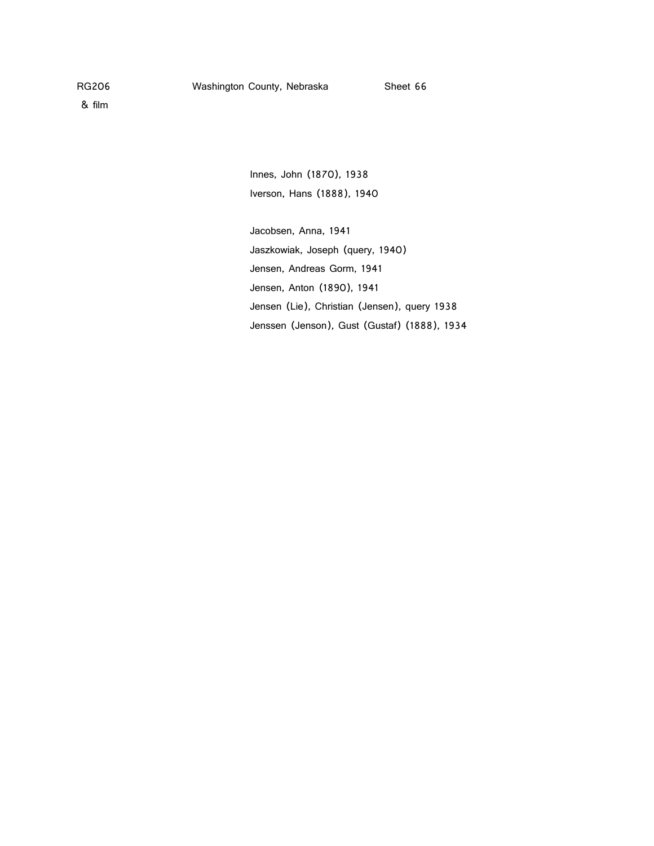Innes, John (1870), 1938 Iverson, Hans (1888), 1940

Jacobsen, Anna, 1941 Jaszkowiak, Joseph (query, 1940) Jensen, Andreas Gorm, 1941 Jensen, Anton (1890), 1941 Jensen (Lie), Christian (Jensen), query 1938 Jenssen (Jenson), Gust (Gustaf) (1888), 1934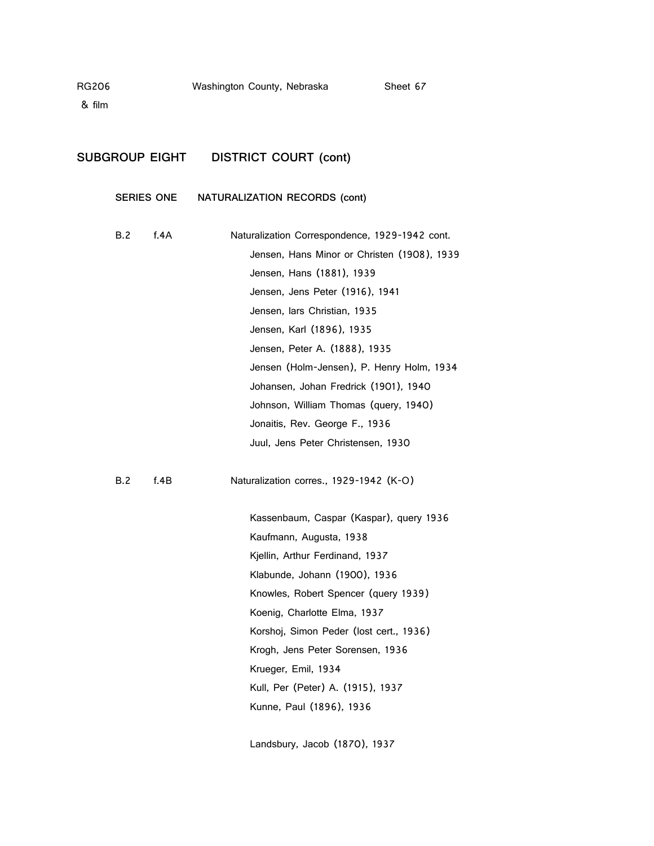& film

### **SUBGROUP EIGHT DISTRICT COURT (cont)**

**SERIES ONE NATURALIZATION RECORDS (cont)**

| B.2 | f. $4A$ | Naturalization Correspondence, 1929-1942 cont. |  |  |
|-----|---------|------------------------------------------------|--|--|
|     |         | Jensen, Hans Minor or Christen (1908), 1939    |  |  |
|     |         | Jensen, Hans (1881), 1939                      |  |  |
|     |         | Jensen, Jens Peter (1916), 1941                |  |  |
|     |         | Jensen, Jars Christian, 1935                   |  |  |
|     |         | Jensen, Karl (1896), 1935                      |  |  |
|     |         | Jensen, Peter A. (1888), 1935                  |  |  |
|     |         | Jensen (Holm-Jensen), P. Henry Holm, 1934      |  |  |
|     |         | Johansen, Johan Fredrick (1901), 1940          |  |  |
|     |         | Johnson, William Thomas (query, 1940)          |  |  |
|     |         | Jonaitis, Rev. George F., 1936                 |  |  |
|     |         | Juul, Jens Peter Christensen, 1930             |  |  |

B.2 f.4B Naturalization corres., 1929-1942 (K-O)

Kassenbaum, Caspar (Kaspar), query 1936 Kaufmann, Augusta, 1938 Kjellin, Arthur Ferdinand, 1937 Klabunde, Johann (1900), 1936 Knowles, Robert Spencer (query 1939) Koenig, Charlotte Elma, 1937 Korshoj, Simon Peder (lost cert., 1936) Krogh, Jens Peter Sorensen, 1936 Krueger, Emil, 1934 Kull, Per (Peter) A. (1915), 1937 Kunne, Paul (1896), 1936

Landsbury, Jacob (1870), 1937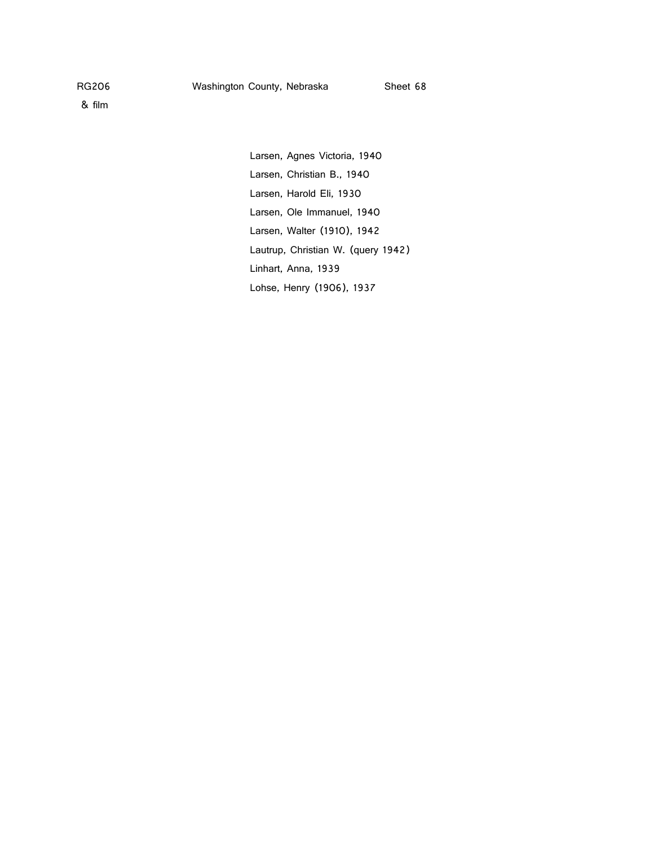Larsen, Agnes Victoria, 1940 Larsen, Christian B., 1940 Larsen, Harold Eli, 1930 Larsen, Ole Immanuel, 1940 Larsen, Walter (1910), 1942 Lautrup, Christian W. (query 1942) Linhart, Anna, 1939 Lohse, Henry (1906), 1937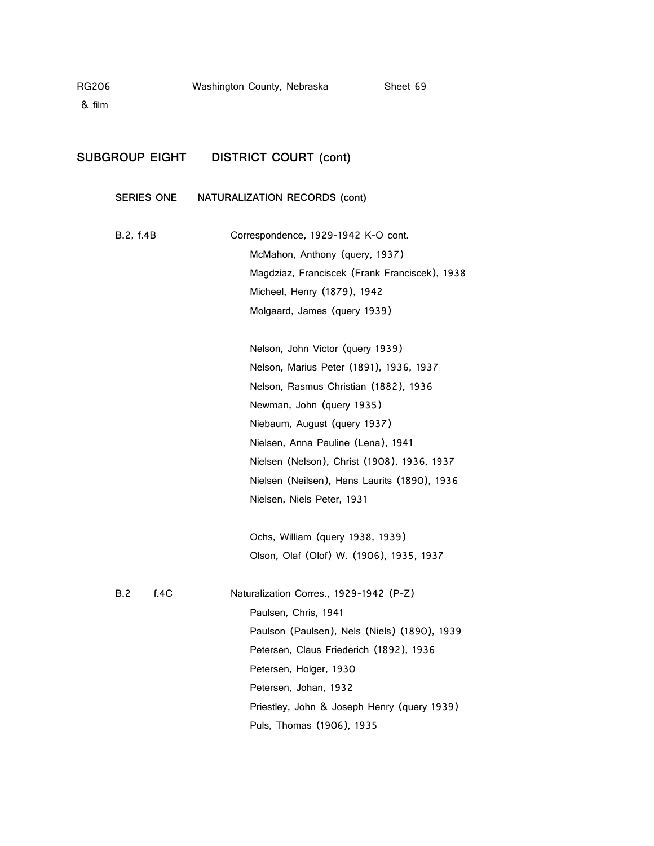& film

### **SUBGROUP EIGHT DISTRICT COURT (cont)**

**SERIES ONE NATURALIZATION RECORDS (cont)**

- B.2, f.4B Correspondence, 1929-1942 K-O cont. McMahon, Anthony (query, 1937) Magdziaz, Franciscek (Frank Franciscek), 1938 Micheel, Henry (1879), 1942 Molgaard, James (query 1939)
	- Nelson, John Victor (query 1939) Nelson, Marius Peter (1891), 1936, 1937 Nelson, Rasmus Christian (1882), 1936 Newman, John (query 1935) Niebaum, August (query 1937) Nielsen, Anna Pauline (Lena), 1941 Nielsen (Nelson), Christ (1908), 1936, 1937 Nielsen (Neilsen), Hans Laurits (1890), 1936 Nielsen, Niels Peter, 1931

Ochs, William (query 1938, 1939) Olson, Olaf (Olof) W. (1906), 1935, 1937

| R 2 | 14C | Naturalization Corres., 1929-1942 (P-Z)      |
|-----|-----|----------------------------------------------|
|     |     | Paulsen, Chris, 1941                         |
|     |     | Paulson (Paulsen), Nels (Niels) (1890), 1939 |
|     |     | Petersen, Claus Friederich (1892), 1936      |
|     |     | Petersen, Holger, 1930                       |
|     |     | Petersen, Johan, 1932                        |
|     |     | Priestley, John & Joseph Henry (query 1939)  |
|     |     | Puls, Thomas (1906), 1935                    |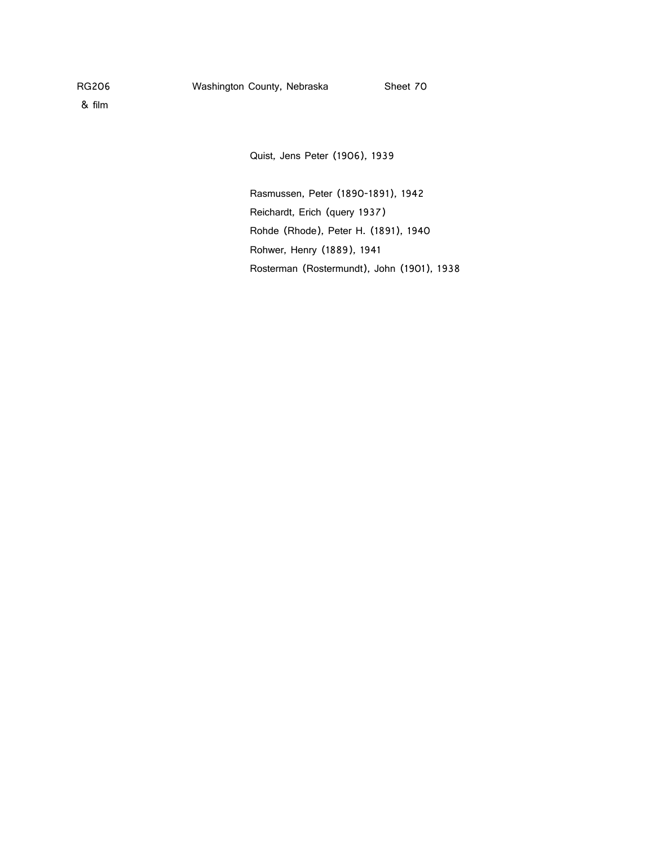& film

Quist, Jens Peter (1906), 1939

Rasmussen, Peter (1890-1891), 1942 Reichardt, Erich (query 1937) Rohde (Rhode), Peter H. (1891), 1940 Rohwer, Henry (1889), 1941 Rosterman (Rostermundt), John (1901), 1938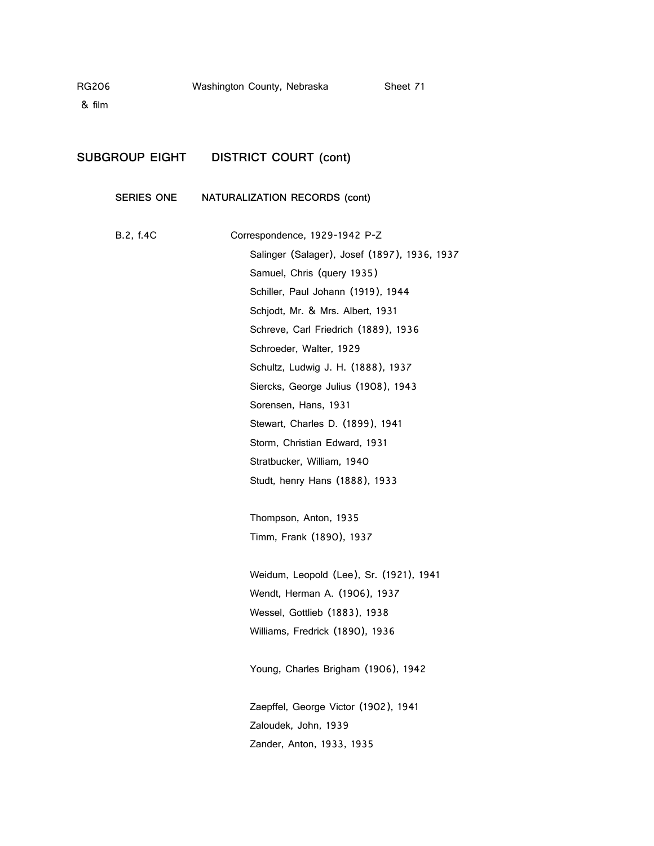& film

# **SUBGROUP EIGHT DISTRICT COURT (cont)**

## **SERIES ONE NATURALIZATION RECORDS (cont)**

| B.2, f.4C | Correspondence, 1929-1942 P-Z                |
|-----------|----------------------------------------------|
|           | Salinger (Salager), Josef (1897), 1936, 1937 |
|           | Samuel, Chris (query 1935)                   |
|           | Schiller, Paul Johann (1919), 1944           |
|           | Schjodt, Mr. & Mrs. Albert, 1931             |
|           | Schreve, Carl Friedrich (1889), 1936         |
|           | Schroeder, Walter, 1929                      |
|           | Schultz, Ludwig J. H. (1888), 1937           |
|           | Siercks, George Julius (1908), 1943          |
|           | Sorensen, Hans, 1931                         |
|           | Stewart, Charles D. (1899), 1941             |
|           | Storm, Christian Edward, 1931                |
|           | Stratbucker, William, 1940                   |
|           | Studt, henry Hans (1888), 1933               |
|           |                                              |
|           | Thompson, Anton, 1935                        |
|           | Timm, Frank (1890), 1937                     |
|           |                                              |
|           | Weidum, Leopold (Lee), Sr. (1921), 1941      |
|           | Wendt, Herman A. (1906), 1937                |
|           | Wessel, Gottlieb (1883), 1938                |
|           | Williams, Fredrick (1890), 1936              |
|           |                                              |
|           | Young, Charles Brigham (1906), 1942          |
|           |                                              |
|           | Zaepffel, George Victor (1902), 1941         |
|           | Zaloudek, John, 1939                         |
|           | Zander, Anton, 1933, 1935                    |
|           |                                              |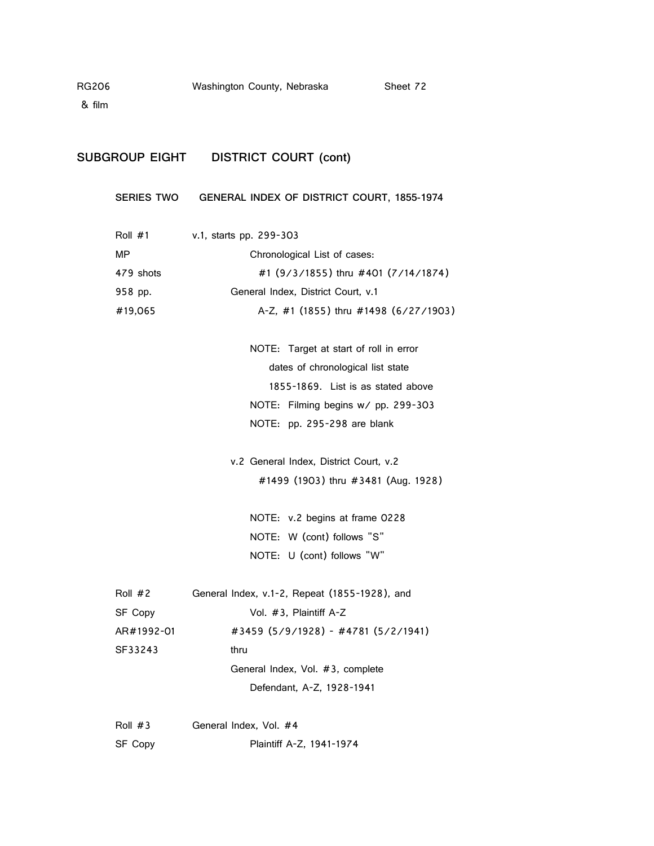& film

### **SUBGROUP EIGHT DISTRICT COURT (cont)**

#### **SERIES TWO GENERAL INDEX OF DISTRICT COURT, 1855-1974**

| Roll $#1$ | v.1, starts pp. 299-303               |
|-----------|---------------------------------------|
| MP        | Chronological List of cases:          |
| 479 shots | #1 (9/3/1855) thru #401 (7/14/1874)   |
| 958 pp.   | General Index, District Court, v.1    |
| #19,065   | A-Z, #1 (1855) thru #1498 (6/27/1903) |

NOTE: Target at start of roll in error dates of chronological list state 1855-1869. List is as stated above NOTE: Filming begins w/ pp. 299-303 NOTE: pp. 295-298 are blank

v.2 General Index, District Court, v.2 #1499 (1903) thru #3481 (Aug. 1928)

NOTE: v.2 begins at frame 0228 NOTE: W (cont) follows "S" NOTE: U (cont) follows "W"

| Roll #2    | General Index, v.1-2, Repeat (1855-1928), and |  |
|------------|-----------------------------------------------|--|
| SF Copy    | Vol. #3, Plaintiff A-Z                        |  |
| AR#1992-01 | #3459 (5/9/1928) - #4781 (5/2/1941)           |  |
| SF33243    | thru                                          |  |
|            | General Index, Vol. #3, complete              |  |
|            | Defendant, A-Z, 1928-1941                     |  |
|            |                                               |  |

Roll #3 General Index, Vol. #4 SF Copy Plaintiff A-Z, 1941-1974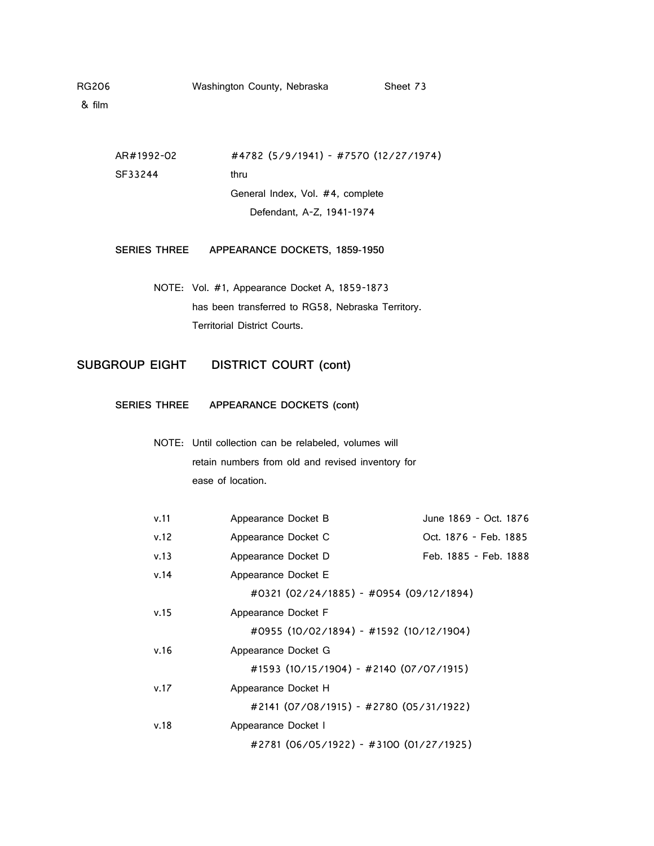| AR#1992-02          | #4782 (5/9/1941) - #7570 (12/27/1974) |
|---------------------|---------------------------------------|
| SE33244             | thru                                  |
|                     | General Index, Vol. #4, complete      |
|                     | Defendant, A-Z, 1941-1974             |
|                     |                                       |
| <b>SERIES THREE</b> | APPEARANCE DOCKETS, 1859-1950         |
|                     |                                       |

NOTE: Vol. #1, Appearance Docket A, 1859-1873 has been transferred to RG58, Nebraska Territory. Territorial District Courts.

**SUBGROUP EIGHT DISTRICT COURT (cont)**

**SERIES THREE APPEARANCE DOCKETS (cont)**

NOTE: Until collection can be relabeled, volumes will retain numbers from old and revised inventory for ease of location.

| v.11 | Appearance Docket B |                                         | June 1869 - Oct. 1876 |
|------|---------------------|-----------------------------------------|-----------------------|
| v.12 | Appearance Docket C |                                         | Oct. 1876 - Feb. 1885 |
| v.13 | Appearance Docket D |                                         | Feb. 1885 - Feb. 1888 |
| v.14 | Appearance Docket E |                                         |                       |
|      |                     | #0321 (02/24/1885) - #0954 (09/12/1894) |                       |
| v.15 | Appearance Docket F |                                         |                       |
|      |                     | #0955 (10/02/1894) - #1592 (10/12/1904) |                       |
| v.16 | Appearance Docket G |                                         |                       |
|      |                     | #1593 (10/15/1904) - #2140 (07/07/1915) |                       |
| v.17 | Appearance Docket H |                                         |                       |
|      |                     | #2141 (07/08/1915) - #2780 (05/31/1922) |                       |
| v.18 | Appearance Docket I |                                         |                       |
|      |                     | #2781 (06/05/1922) - #3100 (01/27/1925) |                       |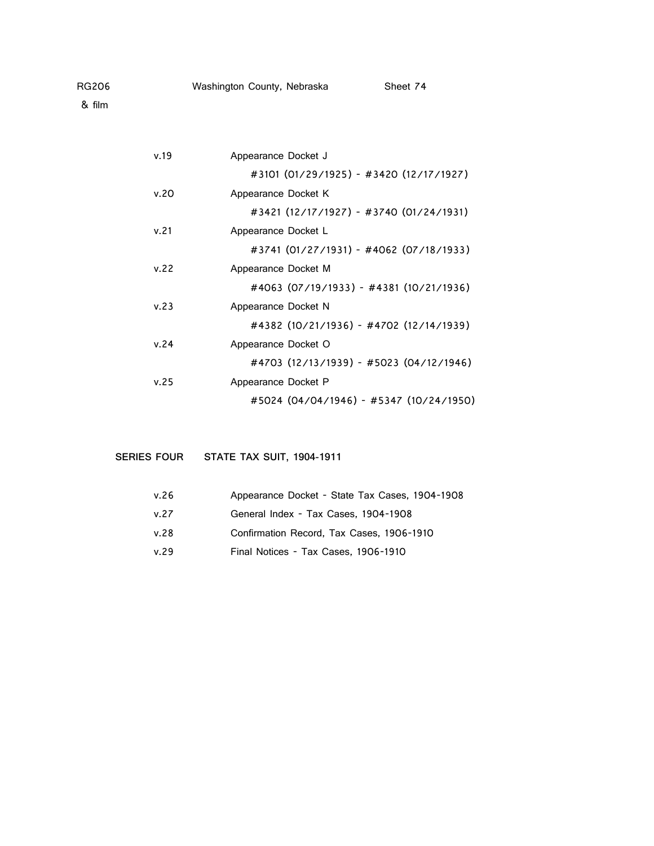| Appearance Docket J                     |
|-----------------------------------------|
| #3101 (01/29/1925) - #3420 (12/17/1927) |
| Appearance Docket K                     |
| #3421 (12/17/1927) - #3740 (01/24/1931) |
| Appearance Docket L                     |
| #3741 (01/27/1931) - #4062 (07/18/1933) |
| Appearance Docket M                     |
| #4063 (07/19/1933) - #4381 (10/21/1936) |
| Appearance Docket N                     |
| #4382 (10/21/1936) - #4702 (12/14/1939) |
| Appearance Docket O                     |
| #4703 (12/13/1939) - #5023 (04/12/1946) |
| Appearance Docket P                     |
| #5024 (04/04/1946) - #5347 (10/24/1950) |
|                                         |

**SERIES FOUR STATE TAX SUIT, 1904-1911**

| v.26 | Appearance Docket - State Tax Cases, 1904-1908 |
|------|------------------------------------------------|
| v.27 | General Index - Tax Cases, 1904-1908           |
| v.28 | Confirmation Record, Tax Cases, 1906-1910      |
| v.29 | Final Notices - Tax Cases, 1906-1910           |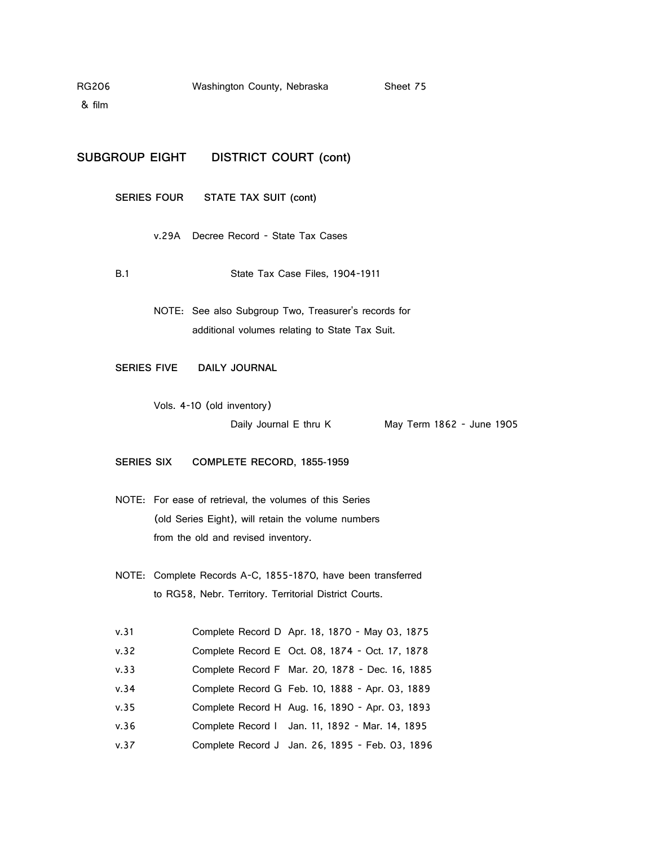& film

**SUBGROUP EIGHT DISTRICT COURT (cont)**

**SERIES FOUR STATE TAX SUIT (cont)**

v.29A Decree Record - State Tax Cases

B.1 State Tax Case Files, 1904-1911

NOTE: See also Subgroup Two, Treasurer's records for additional volumes relating to State Tax Suit.

**SERIES FIVE DAILY JOURNAL**

Vols. 4-10 (old inventory) Daily Journal E thru K May Term 1862 - June 1905

**SERIES SIX COMPLETE RECORD, 1855-1959**

- NOTE: For ease of retrieval, the volumes of this Series (old Series Eight), will retain the volume numbers from the old and revised inventory.
- NOTE: Complete Records A-C, 1855-1870, have been transferred to RG58, Nebr. Territory. Territorial District Courts.

| v.31 | Complete Record D Apr. 18, 1870 - May 03, 1875  |
|------|-------------------------------------------------|
| v.32 | Complete Record E Oct. 08, 1874 - Oct. 17, 1878 |
| v.33 | Complete Record F Mar. 20, 1878 - Dec. 16, 1885 |
| v.34 | Complete Record G Feb. 10, 1888 - Apr. 03, 1889 |
| v.35 | Complete Record H Aug. 16, 1890 - Apr. 03, 1893 |
| v.36 | Complete Record I Jan. 11, 1892 - Mar. 14, 1895 |
| v.37 | Complete Record J Jan. 26, 1895 - Feb. 03, 1896 |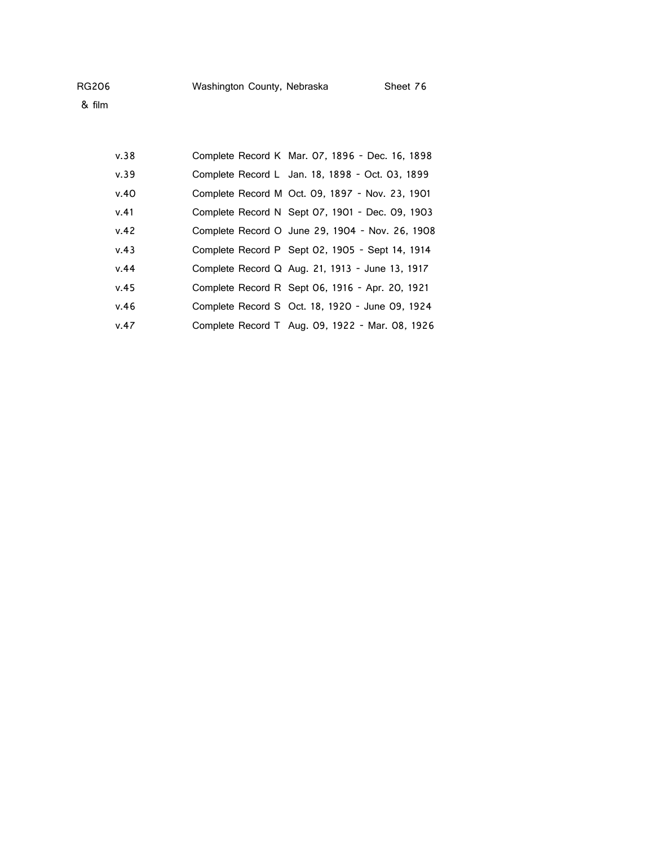| Washington County, Nebraska | Sheet 76 |
|-----------------------------|----------|
|                             |          |

| v.38 | Complete Record K Mar. 07, 1896 - Dec. 16, 1898 |
|------|-------------------------------------------------|
| v.39 | Complete Record L Jan. 18, 1898 - Oct. 03, 1899 |
| v.40 | Complete Record M Oct. 09, 1897 - Nov. 23, 1901 |
| v.41 | Complete Record N Sept 07, 1901 - Dec. 09, 1903 |
| v.42 | Complete Record O June 29, 1904 - Nov. 26, 1908 |
| v.43 | Complete Record P Sept 02, 1905 - Sept 14, 1914 |
| v.44 | Complete Record Q Aug. 21, 1913 - June 13, 1917 |
| v.45 | Complete Record R Sept 06, 1916 - Apr. 20, 1921 |
| v.46 | Complete Record S Oct. 18, 1920 - June 09, 1924 |
| v.47 | Complete Record T Aug. 09, 1922 - Mar. 08, 1926 |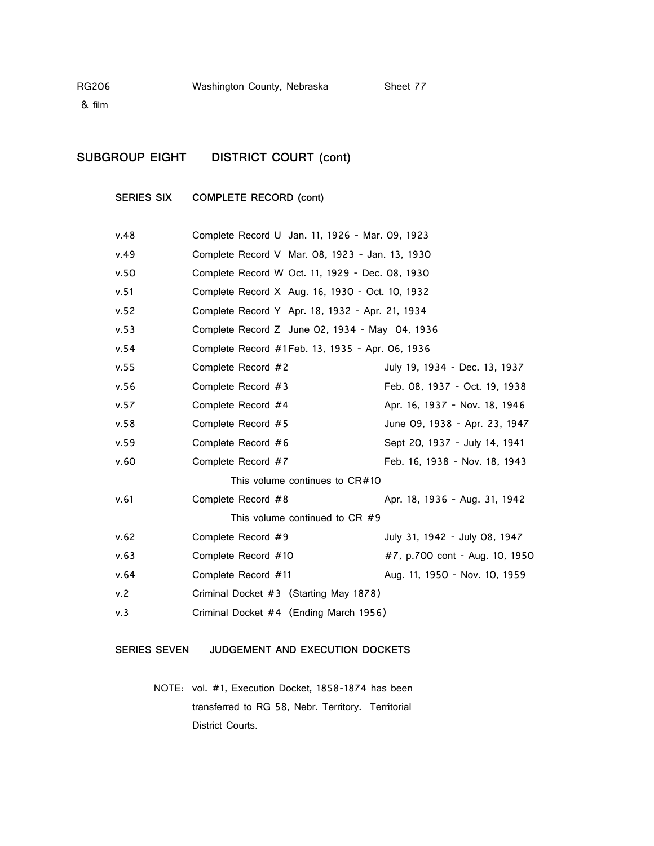## **SUBGROUP EIGHT DISTRICT COURT (cont)**

**SERIES SIX COMPLETE RECORD (cont)**

| v.48 | Complete Record U Jan. 11, 1926 - Mar. 09, 1923 |                                |
|------|-------------------------------------------------|--------------------------------|
| v.49 | Complete Record V Mar. 08, 1923 - Jan. 13, 1930 |                                |
| v.50 | Complete Record W Oct. 11, 1929 - Dec. 08, 1930 |                                |
| v.51 | Complete Record X Aug. 16, 1930 - Oct. 10, 1932 |                                |
| v.52 | Complete Record Y Apr. 18, 1932 - Apr. 21, 1934 |                                |
| v.53 | Complete Record Z June 02, 1934 - May 04, 1936  |                                |
| v.54 | Complete Record #1Feb. 13, 1935 - Apr. 06, 1936 |                                |
| v.55 | Complete Record #2                              | July 19, 1934 - Dec. 13, 1937  |
| v.56 | Complete Record #3                              | Feb. 08, 1937 - Oct. 19, 1938  |
| v.57 | Complete Record #4                              | Apr. 16, 1937 - Nov. 18, 1946  |
| v.58 | Complete Record #5                              | June 09, 1938 - Apr. 23, 1947  |
| v.59 | Complete Record #6                              | Sept 20, 1937 - July 14, 1941  |
| v.60 | Complete Record #7                              | Feb. 16, 1938 - Nov. 18, 1943  |
|      | This volume continues to $CR#10$                |                                |
| v.61 | Complete Record #8                              | Apr. 18, 1936 - Aug. 31, 1942  |
|      | This volume continued to CR #9                  |                                |
| v.62 | Complete Record #9                              | July 31, 1942 - July 08, 1947  |
| v.63 | Complete Record #10                             | #7, p.700 cont - Aug. 10, 1950 |
| v.64 | Complete Record #11                             | Aug. 11, 1950 - Nov. 10, 1959  |
| v.2  | Criminal Docket #3 (Starting May 1878)          |                                |
| v.3  | Criminal Docket #4 (Ending March 1956)          |                                |

#### **SERIES SEVEN JUDGEMENT AND EXECUTION DOCKETS**

NOTE: vol. #1, Execution Docket, 1858-1874 has been transferred to RG 58, Nebr. Territory. Territorial District Courts.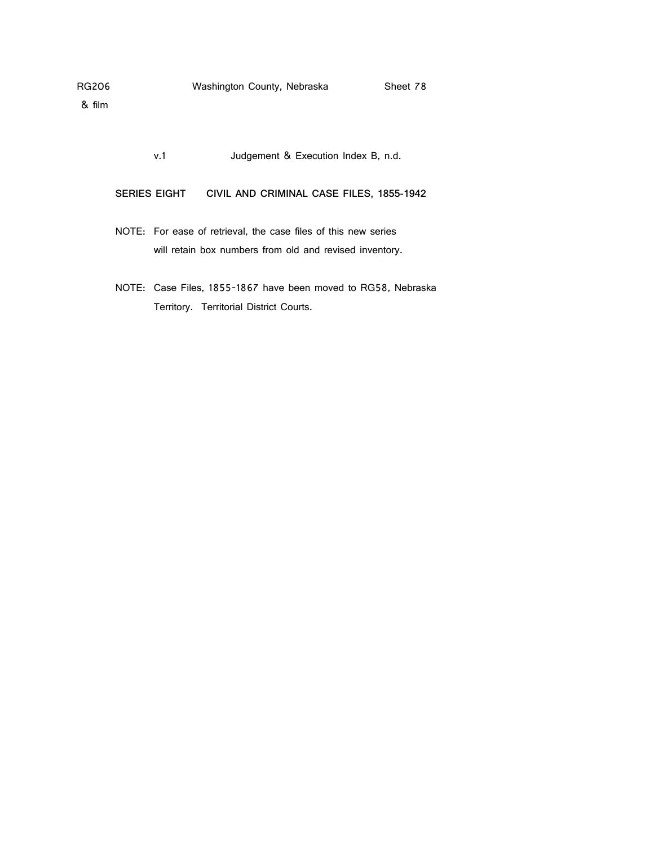v.1 Judgement & Execution Index B, n.d.

**SERIES EIGHT CIVIL AND CRIMINAL CASE FILES, 1855-1942**

- NOTE: For ease of retrieval, the case files of this new series will retain box numbers from old and revised inventory.
- NOTE: Case Files, 1855-1867 have been moved to RG58, Nebraska Territory. Territorial District Courts.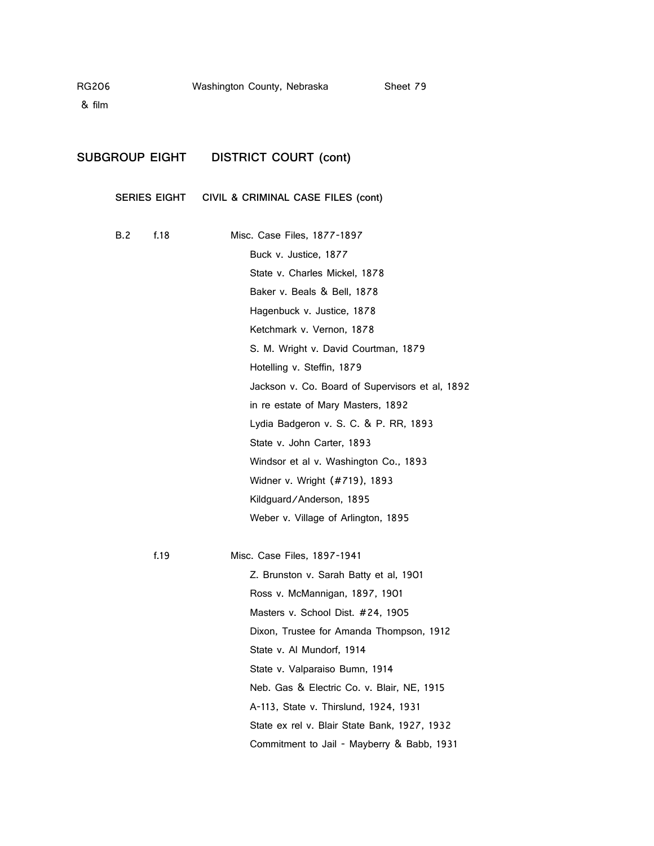### **SUBGROUP EIGHT DISTRICT COURT (cont)**

**SERIES EIGHT CIVIL & CRIMINAL CASE FILES (cont)**

| B.2 | f.18 | Misc. Case Files, 1877-1897                     |
|-----|------|-------------------------------------------------|
|     |      | Buck v. Justice, 1877                           |
|     |      | State v. Charles Mickel, 1878                   |
|     |      | Baker v. Beals & Bell, 1878                     |
|     |      | Hagenbuck v. Justice, 1878                      |
|     |      | Ketchmark v. Vernon, 1878                       |
|     |      | S. M. Wright v. David Courtman, 1879            |
|     |      | Hotelling v. Steffin, 1879                      |
|     |      | Jackson v. Co. Board of Supervisors et al, 1892 |
|     |      | in re estate of Mary Masters, 1892              |
|     |      | Lydia Badgeron v. S. C. & P. RR, 1893           |
|     |      | State v. John Carter, 1893                      |
|     |      | Windsor et al v. Washington Co., 1893           |
|     |      | Widner v. Wright (#719), 1893                   |
|     |      | Kildguard/Anderson, 1895                        |
|     |      | Weber v. Village of Arlington, 1895             |
|     |      |                                                 |
|     |      |                                                 |

f.19 Misc. Case Files, 1897-1941 Z. Brunston v. Sarah Batty et al, 1901 Ross v. McMannigan, 1897, 1901 Masters v. School Dist. #24, 1905 Dixon, Trustee for Amanda Thompson, 1912 State v. Al Mundorf, 1914 State v. Valparaiso Bumn, 1914 Neb. Gas & Electric Co. v. Blair, NE, 1915 A-113, State v. Thirslund, 1924, 1931 State ex rel v. Blair State Bank, 1927, 1932 Commitment to Jail - Mayberry & Babb, 1931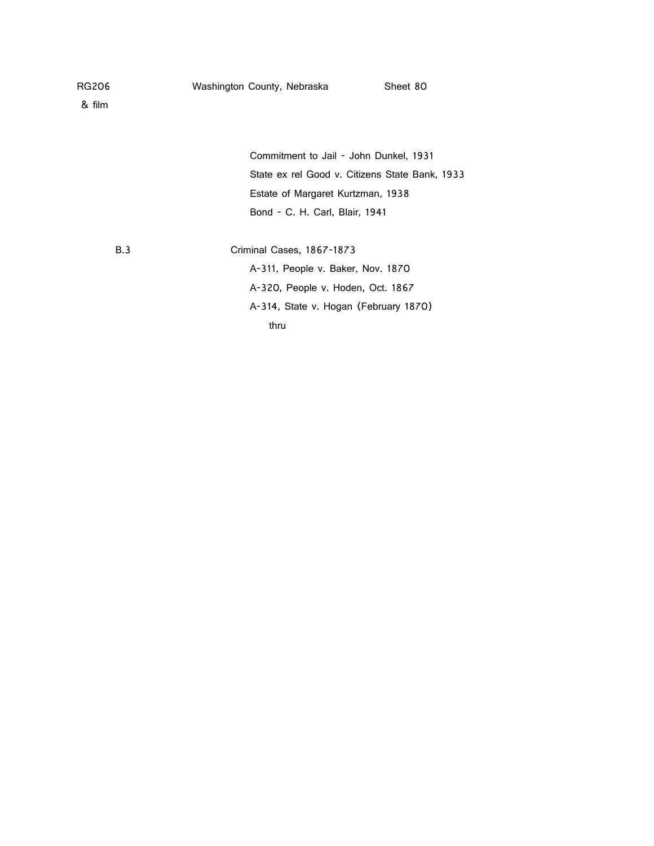| RG206 |  |  |
|-------|--|--|

| Commitment to Jail - John Dunkel, 1931         |
|------------------------------------------------|
| State ex rel Good v. Citizens State Bank, 1933 |
| Estate of Margaret Kurtzman, 1938              |
| Bond - C. H. Carl. Blair, 1941                 |

B.3 Criminal Cases, 1867-1873

A-311, People v. Baker, Nov. 1870 A-320, People v. Hoden, Oct. 1867 A-314, State v. Hogan (February 1870) thru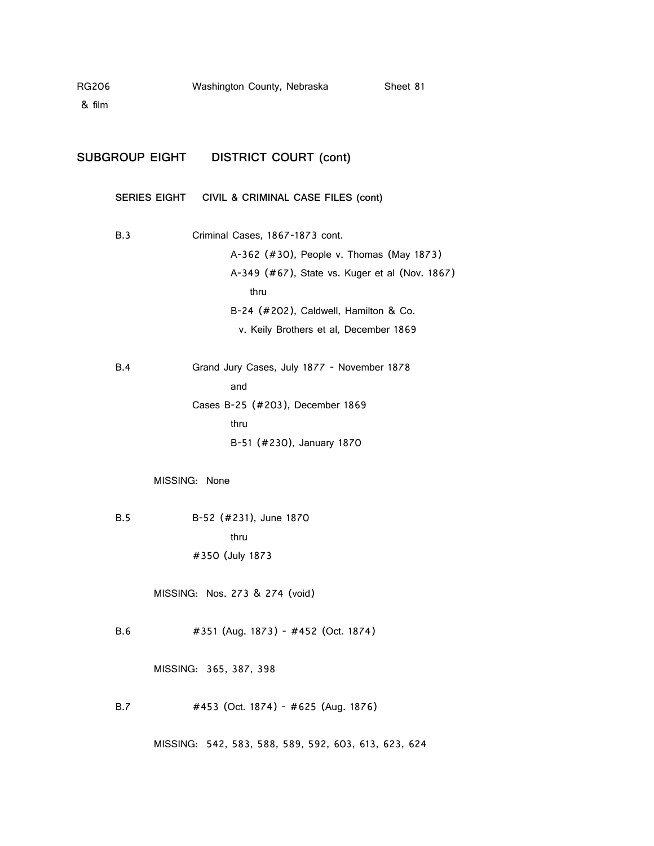| RG206<br>& film |            | Washington County, Nebraska                       |                                                                                                                                                                               | Sheet 81 |
|-----------------|------------|---------------------------------------------------|-------------------------------------------------------------------------------------------------------------------------------------------------------------------------------|----------|
|                 |            | SUBGROUP EIGHT  DISTRICT COURT (cont)             |                                                                                                                                                                               |          |
|                 |            |                                                   | SERIES EIGHT CIVIL & CRIMINAL CASE FILES (cont)                                                                                                                               |          |
|                 | B.3        | Criminal Cases, 1867-1873 cont.<br>thru           | A-362 (#30), People v. Thomas (May 1873)<br>A-349 (#67), State vs. Kuger et al (Nov. 1867)<br>B-24 (#202), Caldwell, Hamilton & Co.<br>v. Keily Brothers et al, December 1869 |          |
|                 | B.4        | and<br>Cases B-25 (#203), December 1869<br>thru   | Grand Jury Cases, July 1877 - November 1878<br>B-51 (#230), January 1870                                                                                                      |          |
|                 | <b>B.5</b> | MISSING: None<br>B-52 (#231), June 1870<br>thru   |                                                                                                                                                                               |          |
|                 |            | #350 (July 1873<br>MISSING: Nos. 273 & 274 (void) |                                                                                                                                                                               |          |
|                 | B.6        | MISSING: 365, 387, 398                            | #351 (Aug. 1873) - #452 (Oct. 1874)                                                                                                                                           |          |
|                 | <b>B.7</b> |                                                   | #453 (Oct. 1874) - #625 (Aug. 1876)<br>MISSING: 542, 583, 588, 589, 592, 603, 613, 623, 624                                                                                   |          |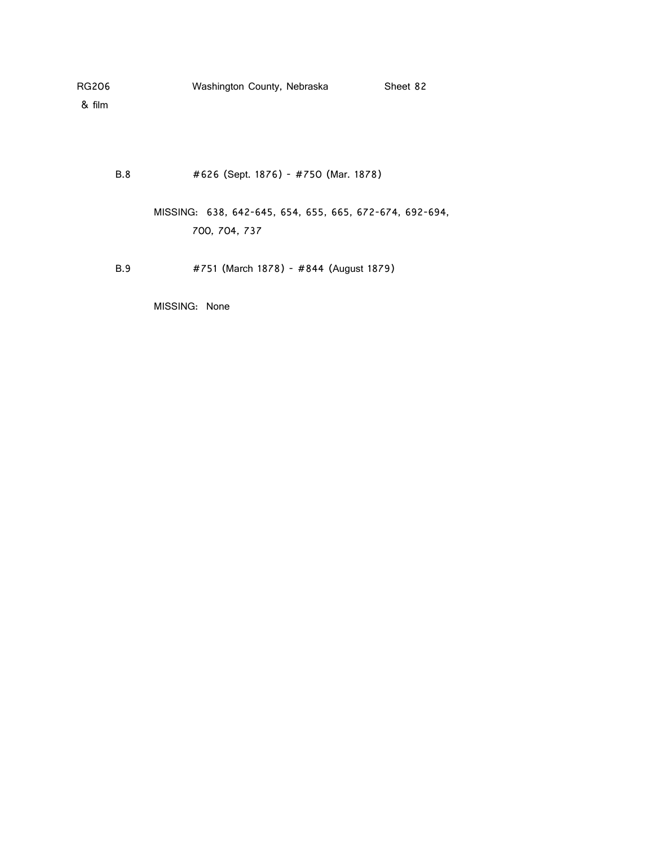& film

B.8 #626 (Sept. 1876) - #750 (Mar. 1878)

MISSING: 638, 642-645, 654, 655, 665, 672-674, 692-694, 700, 704, 737

B.9 #751 (March 1878) - #844 (August 1879)

MISSING: None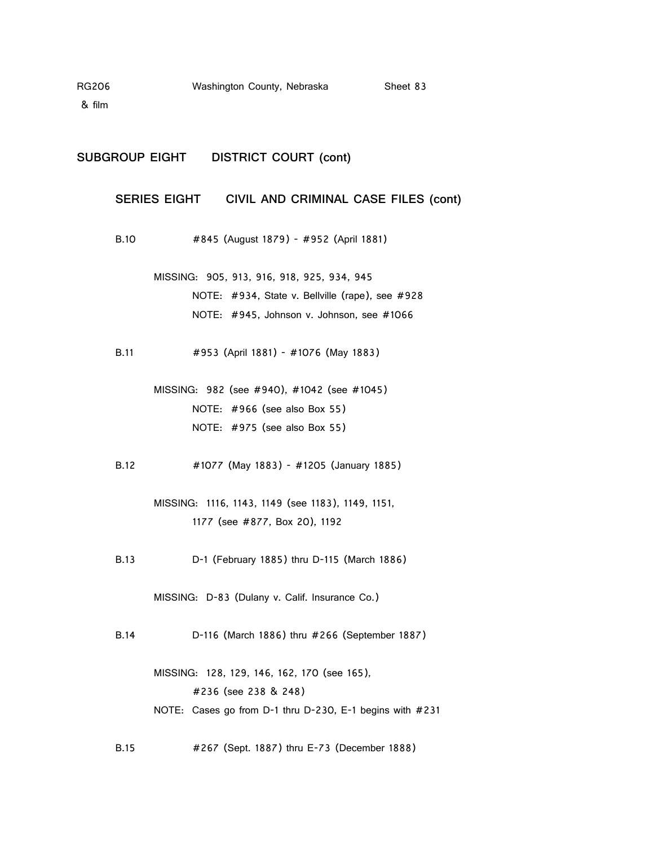& film

#### **SUBGROUP EIGHT DISTRICT COURT (cont)**

#### **SERIES EIGHT CIVIL AND CRIMINAL CASE FILES (cont)**

- B.10 #845 (August 1879) #952 (April 1881)
	- MISSING: 905, 913, 916, 918, 925, 934, 945 NOTE: #934, State v. Bellville (rape), see #928 NOTE: #945, Johnson v. Johnson, see #1066
- B.11 #953 (April 1881) #1076 (May 1883)
	- MISSING: 982 (see #940), #1042 (see #1045) NOTE: #966 (see also Box 55) NOTE: #975 (see also Box 55)
- B.12 #1077 (May 1883) #1205 (January 1885)
	- MISSING: 1116, 1143, 1149 (see 1183), 1149, 1151, 1177 (see #877, Box 20), 1192
- B.13 D-1 (February 1885) thru D-115 (March 1886)

MISSING: D-83 (Dulany v. Calif. Insurance Co.)

B.14 D-116 (March 1886) thru #266 (September 1887)

MISSING: 128, 129, 146, 162, 170 (see 165), #236 (see 238 & 248) NOTE: Cases go from D-1 thru D-230, E-1 begins with #231

B.15 #267 (Sept. 1887) thru E-73 (December 1888)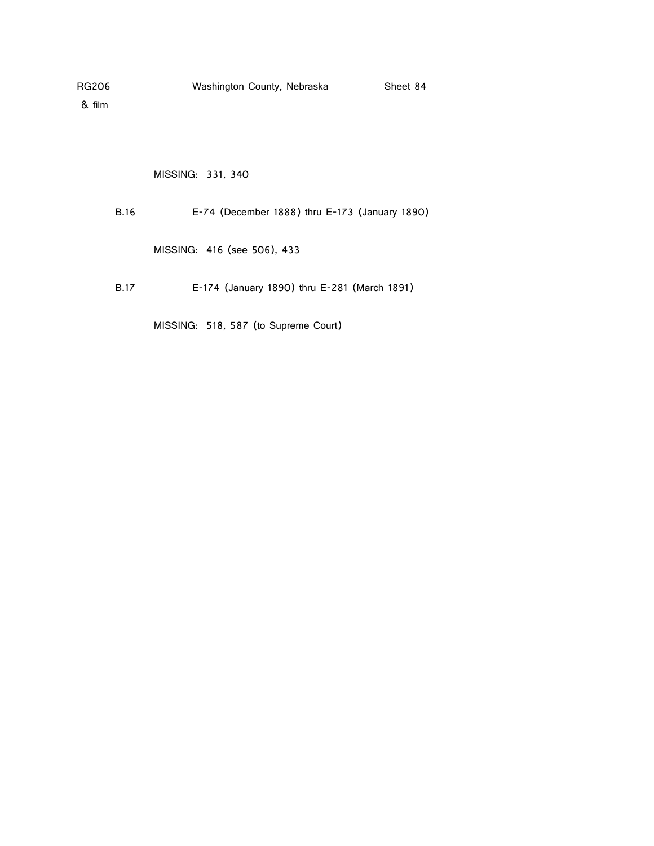MISSING: 331, 340

B.16 E-74 (December 1888) thru E-173 (January 1890)

MISSING: 416 (see 506), 433

B.17 E-174 (January 1890) thru E-281 (March 1891)

MISSING: 518, 587 (to Supreme Court)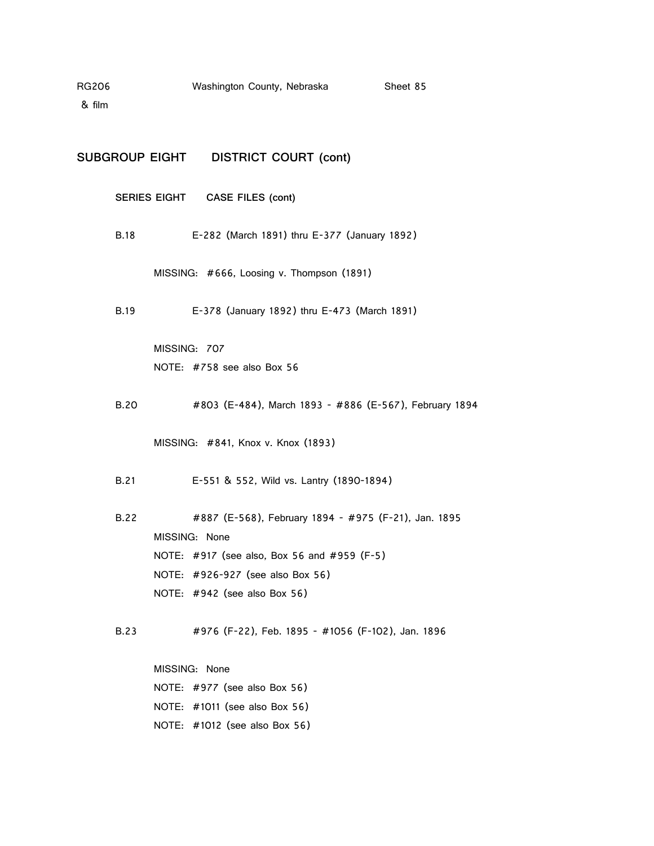& film

| <b>DISTRICT COURT (cont)</b><br><b>SUBGROUP EIGHT</b> |  |
|-------------------------------------------------------|--|
|-------------------------------------------------------|--|

**SERIES EIGHT CASE FILES (cont)**

B.18 E-282 (March 1891) thru E-377 (January 1892)

MISSING: #666, Loosing v. Thompson (1891)

B.19 E-378 (January 1892) thru E-473 (March 1891)

MISSING: 707 NOTE: #758 see also Box 56

B.20 #803 (E-484), March 1893 - #886 (E-567), February 1894

MISSING: #841, Knox v. Knox (1893)

B.21 E-551 & 552, Wild vs. Lantry (1890-1894)

B.22 #887 (E-568), February 1894 - #975 (F-21), Jan. 1895 MISSING: None NOTE: #917 (see also, Box 56 and #959 (F-5) NOTE: #926-927 (see also Box 56) NOTE: #942 (see also Box 56)

B.23 #976 (F-22), Feb. 1895 - #1056 (F-102), Jan. 1896

MISSING: None NOTE: #977 (see also Box 56) NOTE: #1011 (see also Box 56) NOTE: #1012 (see also Box 56)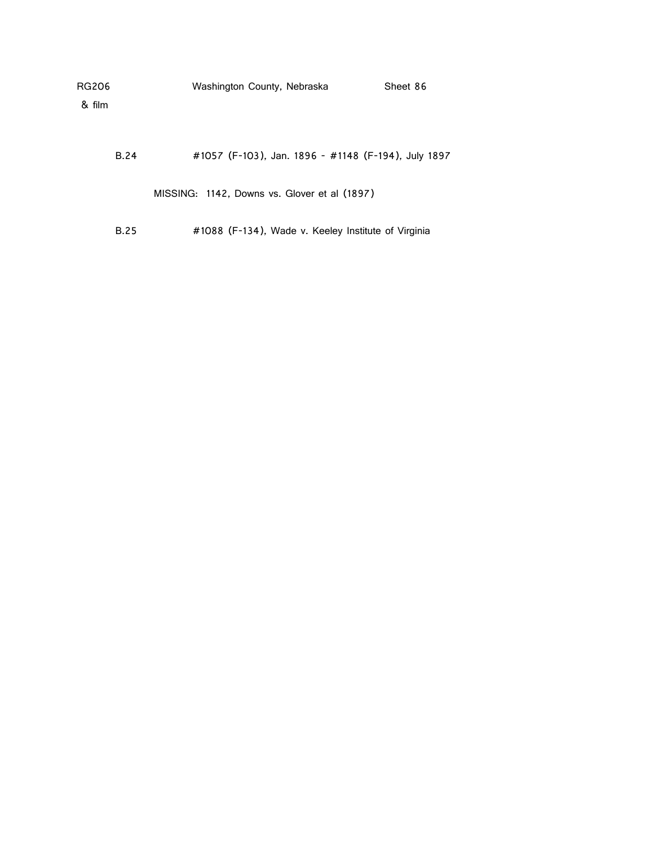| RG206<br>& film |             | Washington County, Nebraska                         | Sheet 86 |
|-----------------|-------------|-----------------------------------------------------|----------|
|                 | <b>B.24</b> | #1057 (F-103), Jan. 1896 - #1148 (F-194), July 1897 |          |
|                 |             | MISSING: 1142, Downs vs. Glover et al (1897)        |          |
|                 | B.25        | #1088 (F-134), Wade v. Keeley Institute of Virginia |          |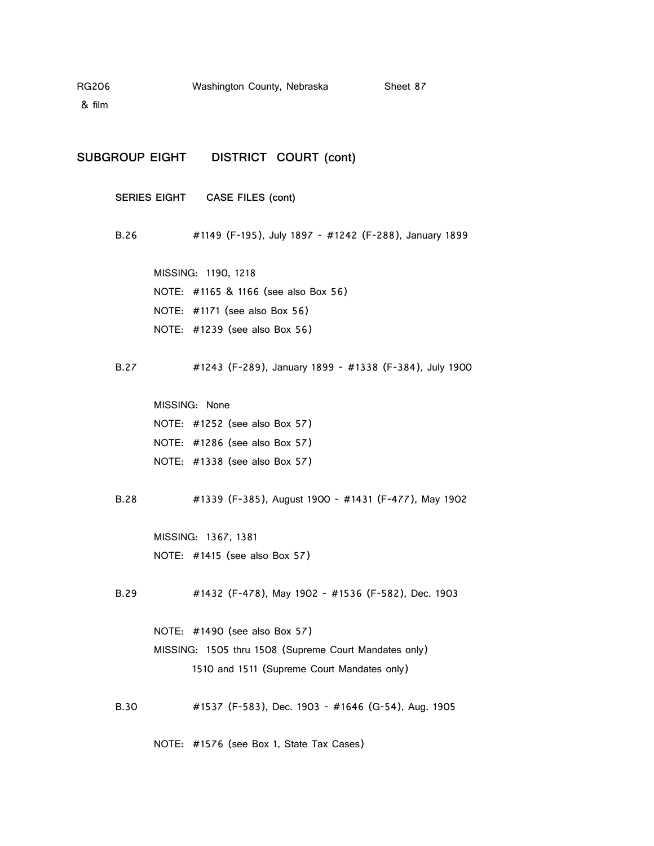& film

**SUBGROUP EIGHT DISTRICT COURT (cont)**

**SERIES EIGHT CASE FILES (cont)**

B.26 #1149 (F-195), July 1897 - #1242 (F-288), January 1899

MISSING: 1190, 1218 NOTE: #1165 & 1166 (see also Box 56) NOTE: #1171 (see also Box 56) NOTE: #1239 (see also Box 56)

B.27 #1243 (F-289), January 1899 - #1338 (F-384), July 1900

MISSING: None NOTE: #1252 (see also Box 57) NOTE: #1286 (see also Box 57) NOTE: #1338 (see also Box 57)

B.28 #1339 (F-385), August 1900 - #1431 (F-477), May 1902

MISSING: 1367, 1381 NOTE: #1415 (see also Box 57)

B.29 #1432 (F-478), May 1902 - #1536 (F-582), Dec. 1903

NOTE: #1490 (see also Box 57) MISSING: 1505 thru 1508 (Supreme Court Mandates only) 1510 and 1511 (Supreme Court Mandates only)

B.30 #1537 (F-583), Dec. 1903 - #1646 (G-54), Aug. 1905

NOTE: #1576 (see Box 1, State Tax Cases)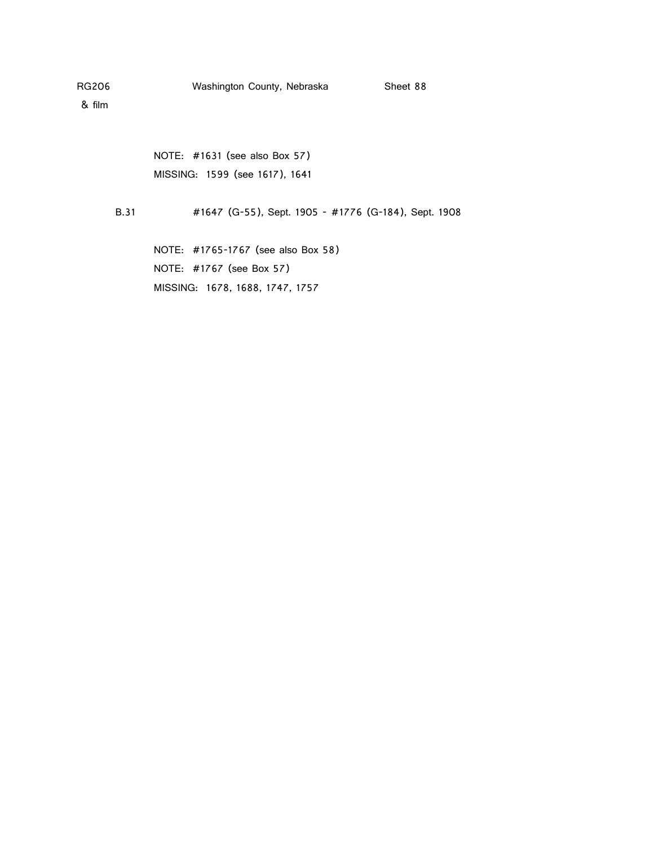NOTE: #1631 (see also Box 57) MISSING: 1599 (see 1617), 1641

B.31 #1647 (G-55), Sept. 1905 - #1776 (G-184), Sept. 1908

NOTE: #1765-1767 (see also Box 58) NOTE: #1767 (see Box 57) MISSING: 1678, 1688, 1747, 1757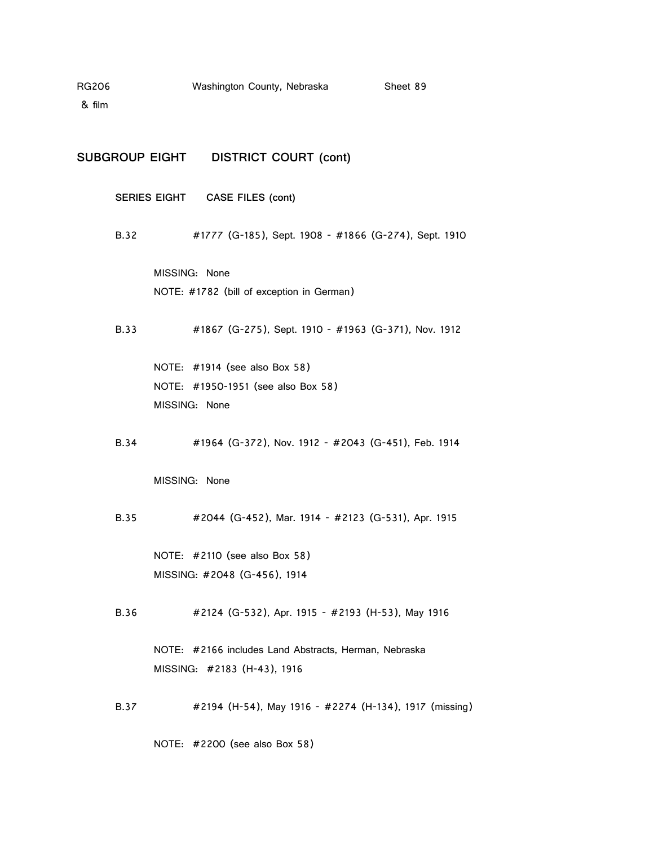& film

**SUBGROUP EIGHT DISTRICT COURT (cont)**

**SERIES EIGHT CASE FILES (cont)**

B.32 #1777 (G-185), Sept. 1908 - #1866 (G-274), Sept. 1910

MISSING: None NOTE: #1782 (bill of exception in German)

B.33 #1867 (G-275), Sept. 1910 - #1963 (G-371), Nov. 1912

NOTE: #1914 (see also Box 58) NOTE: #1950-1951 (see also Box 58) MISSING: None

B.34 #1964 (G-372), Nov. 1912 - #2043 (G-451), Feb. 1914

MISSING: None

B.35 #2044 (G-452), Mar. 1914 - #2123 (G-531), Apr. 1915

NOTE: #2110 (see also Box 58) MISSING: #2048 (G-456), 1914

B.36 #2124 (G-532), Apr. 1915 - #2193 (H-53), May 1916

NOTE: #2166 includes Land Abstracts, Herman, Nebraska MISSING: #2183 (H-43), 1916

B.37 #2194 (H-54), May 1916 - #2274 (H-134), 1917 (missing)

NOTE: #2200 (see also Box 58)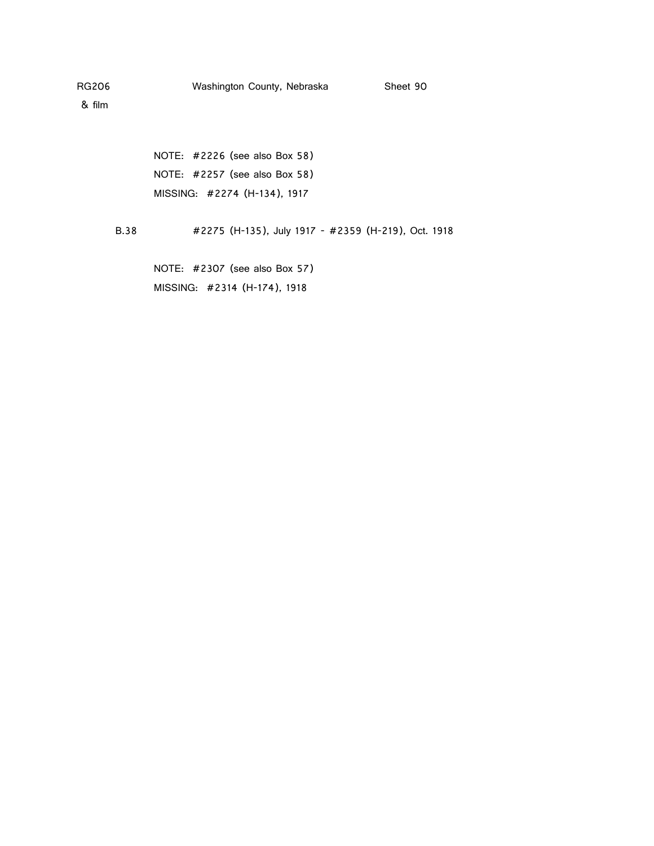NOTE: #2226 (see also Box 58) NOTE: #2257 (see also Box 58) MISSING: #2274 (H-134), 1917

B.38 #2275 (H-135), July 1917 - #2359 (H-219), Oct. 1918

NOTE: #2307 (see also Box 57) MISSING: #2314 (H-174), 1918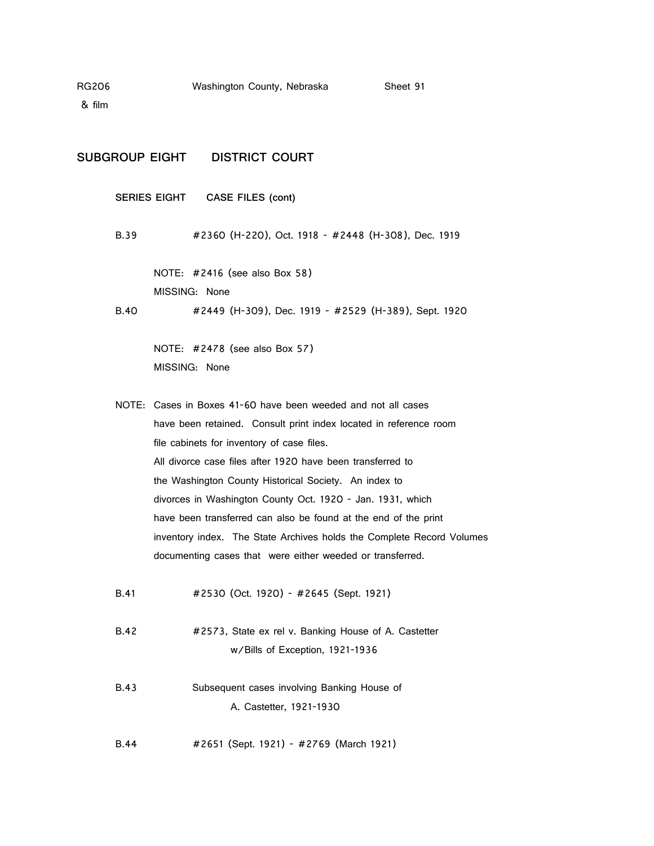& film

**SUBGROUP EIGHT DISTRICT COURT SERIES EIGHT CASE FILES (cont)** B.39 #2360 (H-220), Oct. 1918 - #2448 (H-308), Dec. 1919 NOTE: #2416 (see also Box 58) MISSING: None B.40 #2449 (H-309), Dec. 1919 - #2529 (H-389), Sept. 1920 NOTE: #2478 (see also Box 57) MISSING: None NOTE: Cases in Boxes 41-60 have been weeded and not all cases have been retained. Consult print index located in reference room file cabinets for inventory of case files. All divorce case files after 1920 have been transferred to the Washington County Historical Society. An index to divorces in Washington County Oct. 1920 - Jan. 1931, which have been transferred can also be found at the end of the print inventory index. The State Archives holds the Complete Record Volumes documenting cases that were either weeded or transferred. B.41 #2530 (Oct. 1920) - #2645 (Sept. 1921) B.42 #2573, State ex rel v. Banking House of A. Castetter w/Bills of Exception, 1921-1936 B.43 Subsequent cases involving Banking House of A. Castetter, 1921-1930 B.44 #2651 (Sept. 1921) - #2769 (March 1921)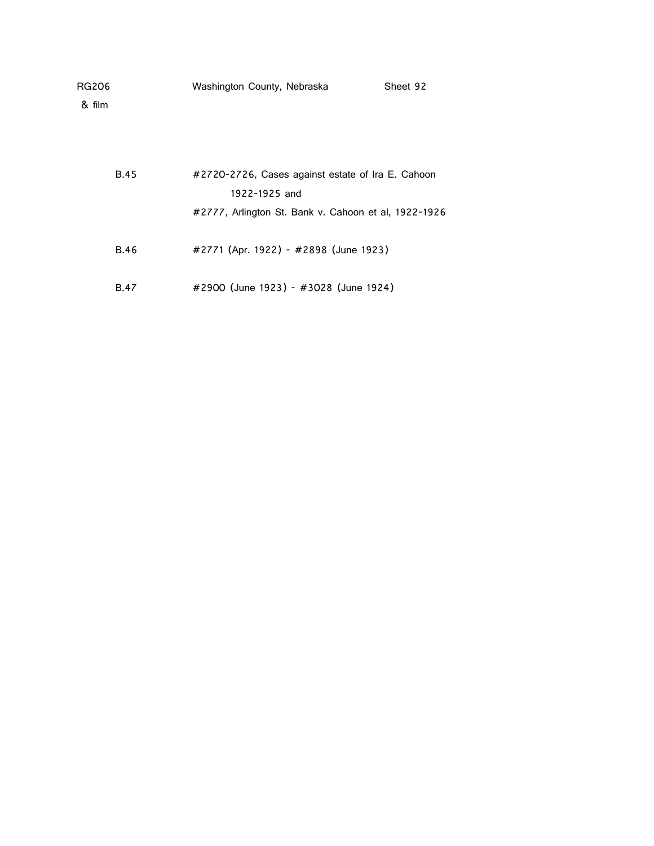|  | Sheet 92                    |
|--|-----------------------------|
|  | Washington County, Nebraska |

| <b>B.45</b> | #2720-2726, Cases against estate of Ira E. Cahoon    |
|-------------|------------------------------------------------------|
|             | 1922-1925 and                                        |
|             | #2777, Arlington St. Bank v. Cahoon et al, 1922-1926 |
| <b>B.46</b> | #2771 (Apr. 1922) - #2898 (June 1923)                |
| <b>B.47</b> | #2900 (June 1923) - #3028 (June 1924)                |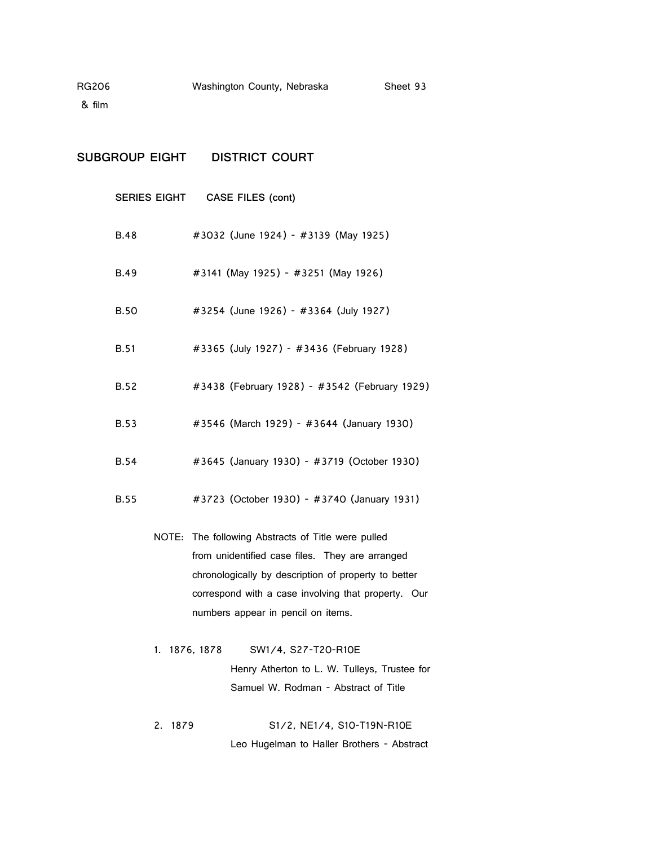& film

# **SUBGROUP EIGHT DISTRICT COURT**

|             | SERIES EIGHT CASE FILES (cont)                                                                                                                                                                                                                             |
|-------------|------------------------------------------------------------------------------------------------------------------------------------------------------------------------------------------------------------------------------------------------------------|
| B.48        | #3032 (June 1924) - #3139 (May 1925)                                                                                                                                                                                                                       |
| <b>B.49</b> | #3141 (May 1925) - #3251 (May 1926)                                                                                                                                                                                                                        |
| <b>B.50</b> | #3254 (June 1926) - #3364 (July 1927)                                                                                                                                                                                                                      |
| <b>B.51</b> | #3365 (July 1927) - #3436 (February 1928)                                                                                                                                                                                                                  |
| <b>B.52</b> | #3438 (February 1928) - #3542 (February 1929)                                                                                                                                                                                                              |
| <b>B.53</b> | #3546 (March 1929) - #3644 (January 1930)                                                                                                                                                                                                                  |
| <b>B.54</b> | #3645 (January 1930) - #3719 (October 1930)                                                                                                                                                                                                                |
| <b>B.55</b> | #3723 (October 1930) - #3740 (January 1931)                                                                                                                                                                                                                |
|             | NOTE: The following Abstracts of Title were pulled<br>from unidentified case files. They are arranged<br>chronologically by description of property to better<br>correspond with a case involving that property. Our<br>numbers appear in pencil on items. |
|             | 1. 1876, 1878<br>SW1/4, S27-T20-R10E<br>Henry Atherton to L. W. Tulleys, Trustee for<br>Samuel W. Rodman - Abstract of Title                                                                                                                               |
| 2.<br>1879  | S1/2, NE1/4, S10-T19N-R10E                                                                                                                                                                                                                                 |

Leo Hugelman to Haller Brothers - Abstract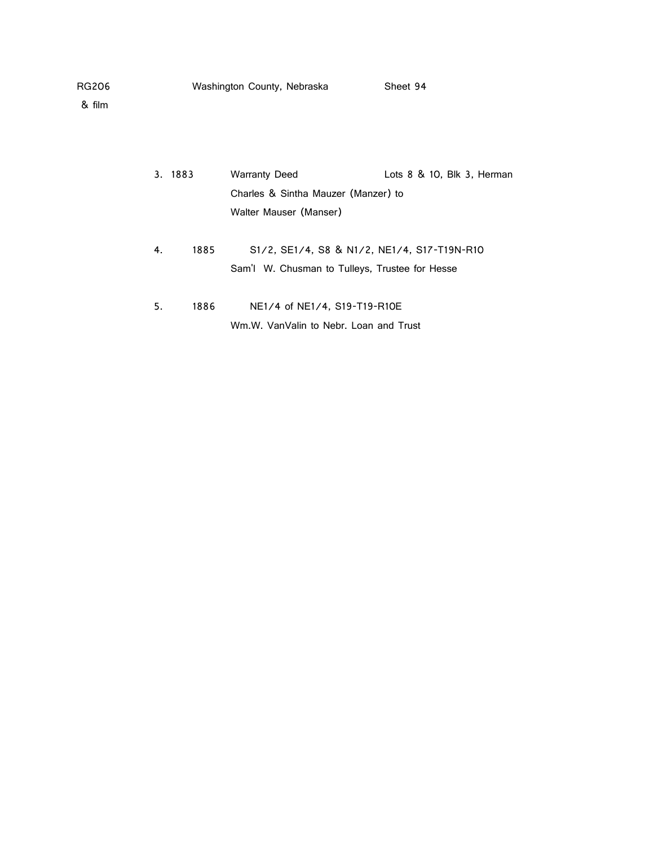|    | 3. 1883 | <b>Warranty Deed</b>                                                                                                                              | Lots $8 \& 10$ , Blk $3$ , Herman |
|----|---------|---------------------------------------------------------------------------------------------------------------------------------------------------|-----------------------------------|
|    |         | Charles & Sintha Mauzer (Manzer) to                                                                                                               |                                   |
|    |         | Walter Mauser (Manser)                                                                                                                            |                                   |
|    |         |                                                                                                                                                   |                                   |
| 4. | 1885    | S <sub>1</sub> /2, SE <sub>1</sub> /4, S <sub>8</sub> & N <sub>1</sub> /2, NE <sub>1</sub> /4, S <sub>17</sub> -T <sub>19</sub> N-R <sub>10</sub> |                                   |
|    |         | Sam'l W. Chusman to Tulleys, Trustee for Hesse                                                                                                    |                                   |
|    |         |                                                                                                                                                   |                                   |
| 5. | 1886    | NE1/4 of NE1/4, S19-T19-R10E                                                                                                                      |                                   |
|    |         | Wm.W. VanValin to Nebr. Loan and Trust                                                                                                            |                                   |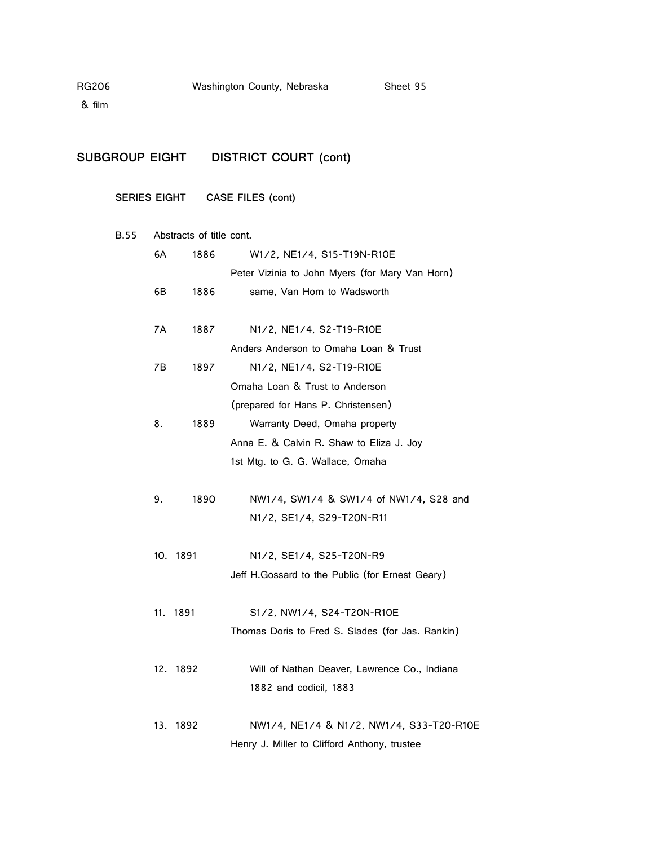# **SUBGROUP EIGHT DISTRICT COURT (cont)**

### **SERIES EIGHT CASE FILES (cont)**

#### B.55 Abstracts of title cont.

| 6A  | 1886     | W1/2, NE1/4, S15-T19N-R10E                       |  |
|-----|----------|--------------------------------------------------|--|
|     |          | Peter Vizinia to John Myers (for Mary Van Horn)  |  |
| 6В  | 1886     | same, Van Horn to Wadsworth                      |  |
|     |          |                                                  |  |
| 7A  | 1887     | N1/2, NE1/4, S2-T19-R10E                         |  |
|     |          | Anders Anderson to Omaha Loan & Trust            |  |
| 7B  | 1897     | N1/2, NE1/4, S2-T19-R10E                         |  |
|     |          | Omaha Loan & Trust to Anderson                   |  |
|     |          | (prepared for Hans P. Christensen)               |  |
| 8.  | 1889     | Warranty Deed, Omaha property                    |  |
|     |          | Anna E. & Calvin R. Shaw to Eliza J. Joy         |  |
|     |          | 1st Mtg. to G. G. Wallace, Omaha                 |  |
|     |          |                                                  |  |
| 9.  | 1890     | NW1/4, SW1/4 & SW1/4 of NW1/4, S28 and           |  |
|     |          | N1/2, SE1/4, S29-T20N-R11                        |  |
| 10. | 1891     | N1/2, SE1/4, S25-T20N-R9                         |  |
|     |          |                                                  |  |
|     |          | Jeff H.Gossard to the Public (for Ernest Geary)  |  |
|     | 11. 1891 | S1/2, NW1/4, S24-T20N-R10E                       |  |
|     |          | Thomas Doris to Fred S. Slades (for Jas. Rankin) |  |
|     |          |                                                  |  |
|     | 12. 1892 | Will of Nathan Deaver, Lawrence Co., Indiana     |  |
|     |          | 1882 and codicil, 1883                           |  |
|     |          |                                                  |  |
| 13. | -1892    | NW1/4, NE1/4 & N1/2, NW1/4, S33-T20-R10E         |  |
|     |          | Henry J. Miller to Clifford Anthony, trustee     |  |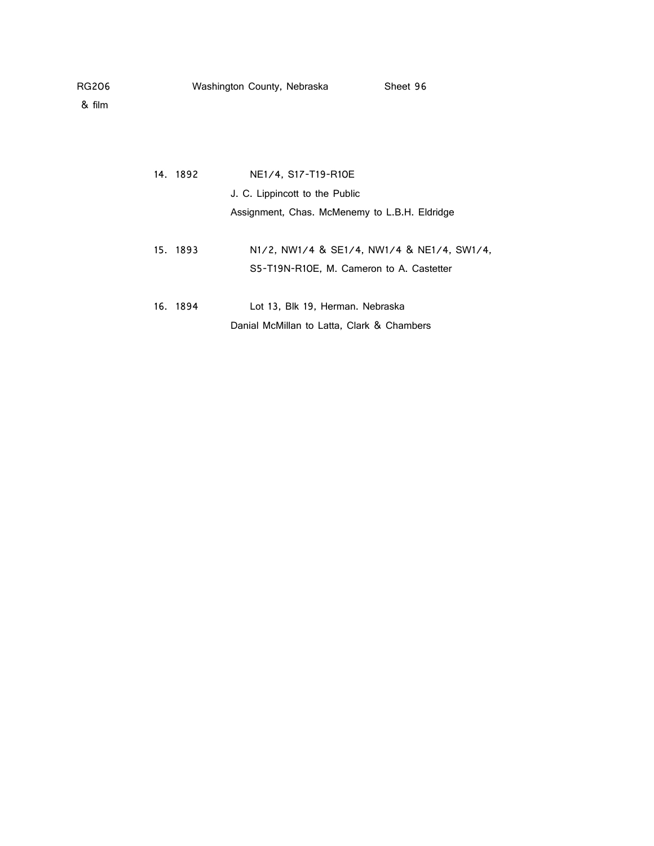14. 1892 NE1/4, S17-T19-R10E J. C. Lippincott to the Public Assignment, Chas. McMenemy to L.B.H. Eldridge 15. 1893 N1/2, NW1/4 & SE1/4, NW1/4 & NE1/4, SW1/4, S5-T19N-R10E, M. Cameron to A. Castetter 16. 1894 Lot 13, Blk 19, Herman. Nebraska Danial McMillan to Latta, Clark & Chambers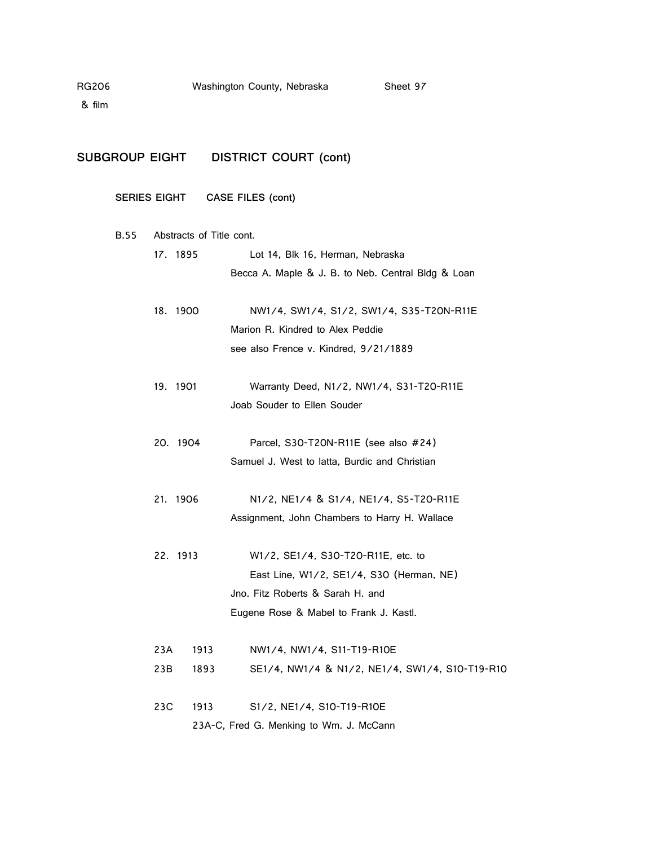**B.55** 

# **SUBGROUP EIGHT DISTRICT COURT (cont)**

## **SERIES EIGHT CASE FILES (cont)**

| Abstracts of Title cont. |                                                    |
|--------------------------|----------------------------------------------------|
| 17. 1895                 | Lot 14, Blk 16, Herman, Nebraska                   |
|                          | Becca A. Maple & J. B. to Neb. Central Bldg & Loan |
| 18. 1900                 | NW1/4, SW1/4, S1/2, SW1/4, S35-T20N-R11E           |
|                          | Marion R. Kindred to Alex Peddie                   |
|                          | see also Frence v. Kindred, 9/21/1889              |
| 19. 1901                 | Warranty Deed, N1/2, NW1/4, S31-T20-R11E           |
|                          | Joab Souder to Ellen Souder                        |
| 20. 1904                 | Parcel, S30-T20N-R11E (see also #24)               |
|                          | Samuel J. West to latta, Burdic and Christian      |
| 21. 1906                 | N1/2, NE1/4 & S1/4, NE1/4, S5-T20-R11E             |
|                          | Assignment, John Chambers to Harry H. Wallace      |
| 22. 1913                 | W1/2, SE1/4, S30-T20-R11E, etc. to                 |
|                          | East Line, W1/2, SE1/4, S30 (Herman, NE)           |
|                          | Jno. Fitz Roberts & Sarah H. and                   |
|                          | Eugene Rose & Mabel to Frank J. Kastl.             |
| 23A<br>1913              | NW1/4, NW1/4, S11-T19-R10E                         |
| 23B<br>1893              | SE1/4, NW1/4 & N1/2, NE1/4, SW1/4, S10-T19-R10     |
|                          |                                                    |
| 23C<br>1913              | S1/2, NE1/4, S10-T19-R10E                          |
|                          | 23A-C, Fred G. Menking to Wm. J. McCann            |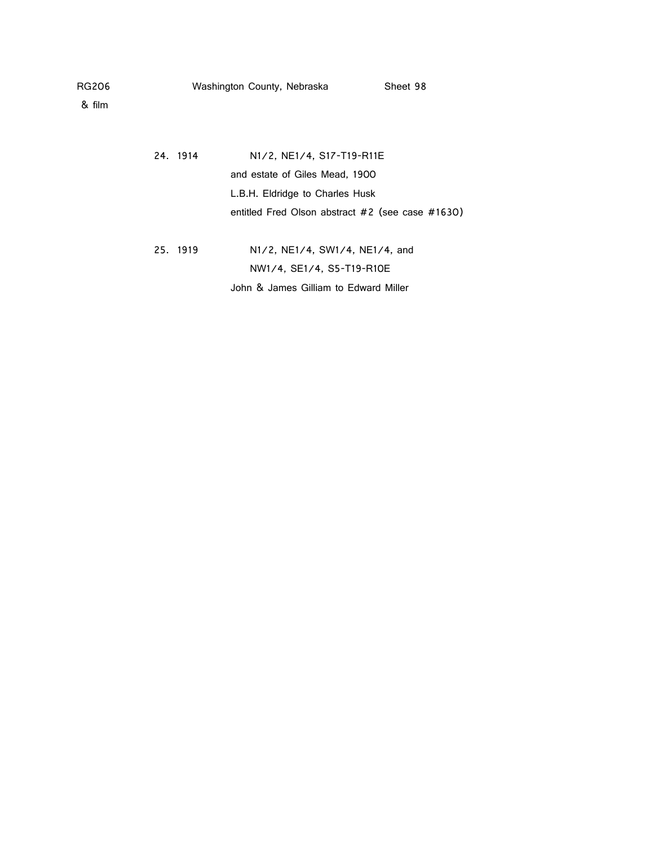& film

24. 1914 N1/2, NE1/4, S17-T19-R11E and estate of Giles Mead, 1900 L.B.H. Eldridge to Charles Husk entitled Fred Olson abstract #2 (see case #1630) 25. 1919 N1/2, NE1/4, SW1/4, NE1/4, and

NW1/4, SE1/4, S5-T19-R10E

John & James Gilliam to Edward Miller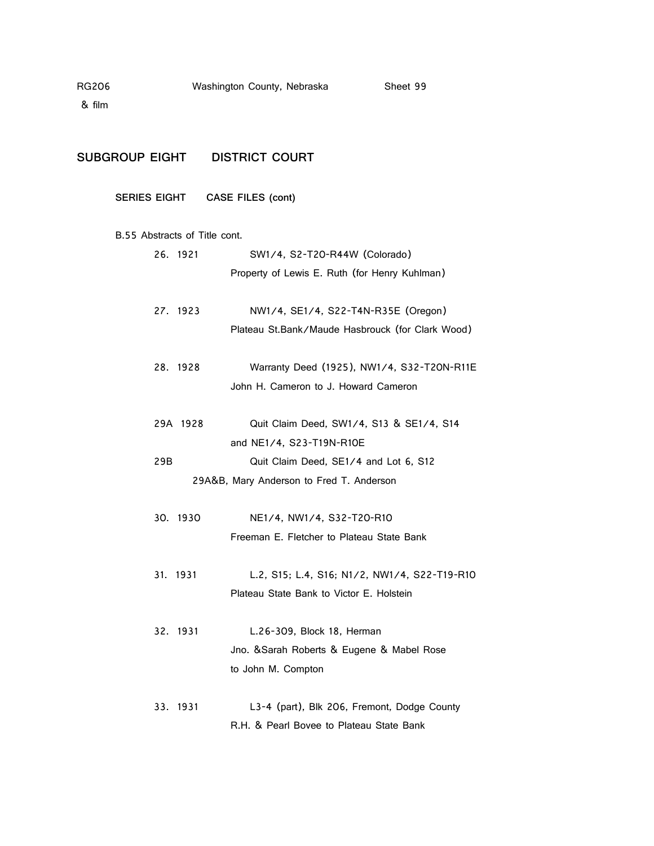& film

# **SUBGROUP EIGHT DISTRICT COURT**

# **SERIES EIGHT CASE FILES (cont)**

#### B.55 Abstracts of Title cont.

| 26. 1921 | SW1/4, S2-T20-R44W (Colorado)                    |
|----------|--------------------------------------------------|
|          | Property of Lewis E. Ruth (for Henry Kuhlman)    |
| 27. 1923 | NW1/4, SE1/4, S22-T4N-R35E (Oregon)              |
|          | Plateau St.Bank/Maude Hasbrouck (for Clark Wood) |
| 28. 1928 | Warranty Deed (1925), NW1/4, S32-T20N-R11E       |
|          | John H. Cameron to J. Howard Cameron             |
| 29A 1928 | Quit Claim Deed, SW1/4, S13 & SE1/4, S14         |
|          | and NE1/4, S23-T19N-R10E                         |
| 29B      | Quit Claim Deed, SE1/4 and Lot 6, S12            |
|          | 29A&B, Mary Anderson to Fred T. Anderson         |
|          |                                                  |
| 30. 1930 | NE1/4, NW1/4, S32-T20-R10                        |
|          | Freeman E. Fletcher to Plateau State Bank        |
| 31. 1931 | L.2, S15; L.4, S16; N1/2, NW1/4, S22-T19-R10     |
|          | Plateau State Bank to Victor E. Holstein         |
|          |                                                  |
| 32. 1931 | L.26-309, Block 18, Herman                       |
|          | Jno. & Sarah Roberts & Eugene & Mabel Rose       |
|          | to John M. Compton                               |
| 33. 1931 | L3-4 (part), Blk 206, Fremont, Dodge County      |
|          |                                                  |

R.H. & Pearl Bovee to Plateau State Bank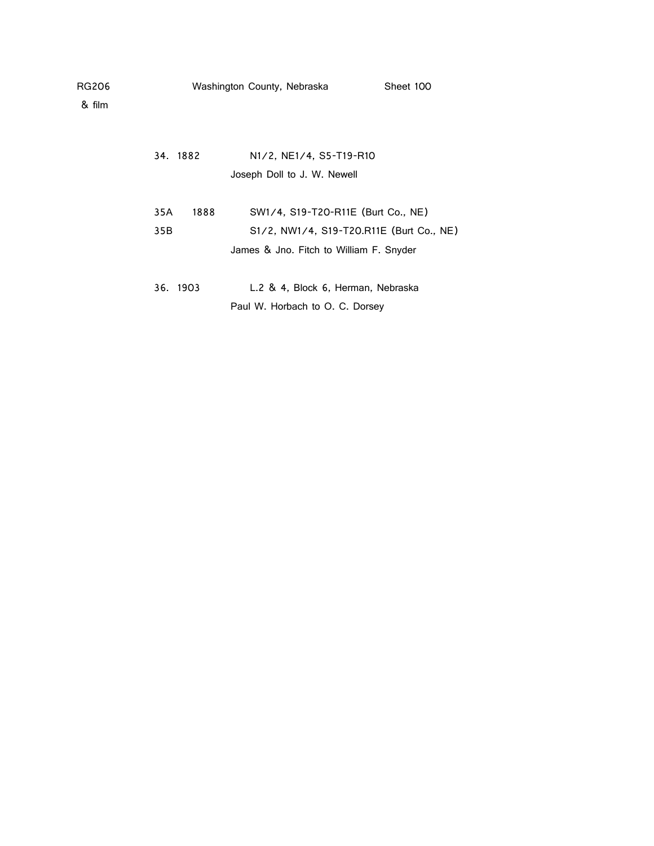| RG206<br>& film | Washington County, Nebraska |      | Sheet 100                                                                               |  |
|-----------------|-----------------------------|------|-----------------------------------------------------------------------------------------|--|
|                 | 34. 1882                    |      | N <sub>1</sub> /2, N <sub>E1</sub> /4, S <sub>5</sub> -T <sub>19</sub> -R <sub>10</sub> |  |
|                 |                             |      | Joseph Doll to J. W. Newell                                                             |  |
|                 | 35A                         | 1888 | SW1/4, S19-T20-R11E (Burt Co., NE)                                                      |  |
|                 | 35B                         |      | S1/2, NW1/4, S19-T20.R11E (Burt Co., NE)                                                |  |
|                 |                             |      | James & Jno. Fitch to William F. Snyder                                                 |  |
|                 |                             |      |                                                                                         |  |

| 36. 1903 | L.2 & 4, Block 6, Herman, Nebraska |
|----------|------------------------------------|
|          | Paul W. Horbach to O. C. Dorsey    |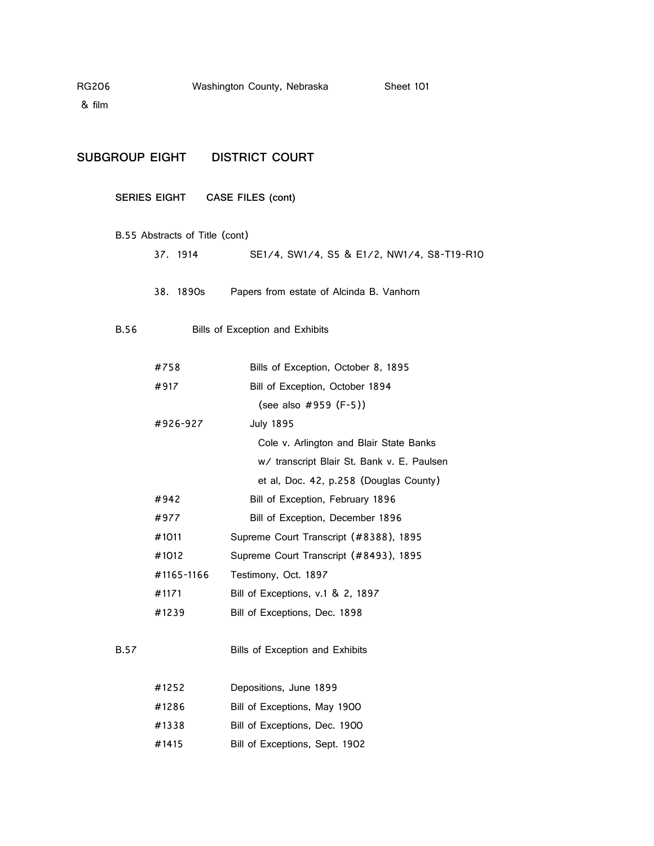& film

### **SUBGROUP EIGHT DISTRICT COURT**

**SERIES EIGHT CASE FILES (cont)**

- B.55 Abstracts of Title (cont) 37. 1914 SE1/4, SW1/4, S5 & E1/2, NW1/4, S8-T19-R10
	- 38. 1890s Papers from estate of Alcinda B. Vanhorn
- B.56 Bills of Exception and Exhibits

| #758       | Bills of Exception, October 8, 1895        |
|------------|--------------------------------------------|
| #917       | Bill of Exception, October 1894            |
|            | (see also $\#959$ (F-5))                   |
| #926-927   | <b>July 1895</b>                           |
|            | Cole v. Arlington and Blair State Banks    |
|            | w/ transcript Blair St. Bank v. E. Paulsen |
|            | et al, Doc. 42, p.258 (Douglas County)     |
| #942       | Bill of Exception, February 1896           |
| #977       | Bill of Exception, December 1896           |
| #1011      | Supreme Court Transcript (#8388), 1895     |
| #1012      | Supreme Court Transcript (#8493), 1895     |
| #1165-1166 | Testimony, Oct. 1897                       |
| #1171      | Bill of Exceptions, v.1 & 2, 1897          |
| #1239      | Bill of Exceptions, Dec. 1898              |
|            |                                            |
|            |                                            |

## B.57 Bills of Exception and Exhibits

| #1252 | Depositions, June 1899         |
|-------|--------------------------------|
| #1286 | Bill of Exceptions, May 1900   |
| #1338 | Bill of Exceptions, Dec. 1900  |
| #1415 | Bill of Exceptions, Sept. 1902 |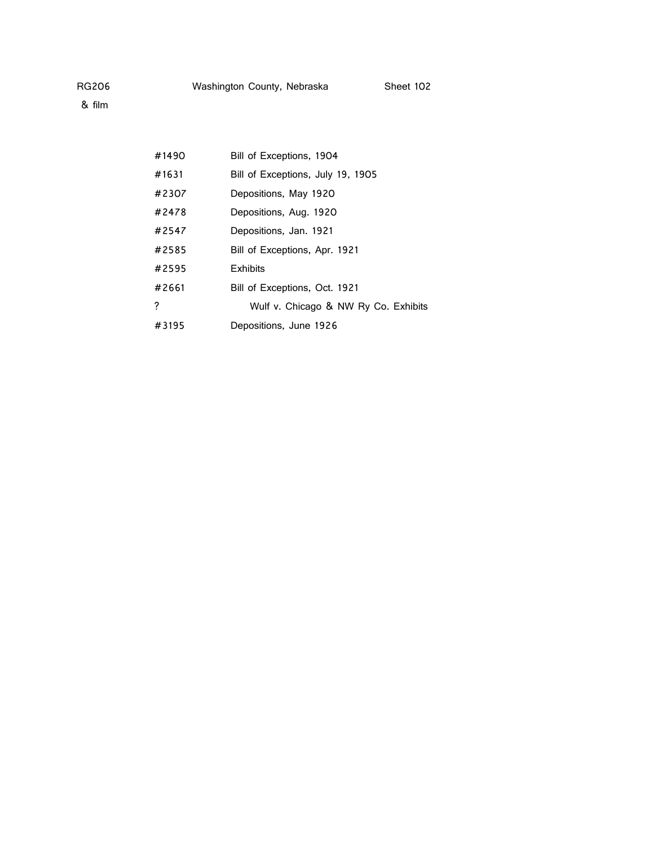| #1490 | Bill of Exceptions, 1904             |
|-------|--------------------------------------|
| #1631 | Bill of Exceptions, July 19, 1905    |
| #2307 | Depositions, May 1920                |
| #2478 | Depositions, Aug. 1920               |
| #2547 | Depositions, Jan. 1921               |
| #2585 | Bill of Exceptions, Apr. 1921        |
| #2595 | <b>Exhibits</b>                      |
| #2661 | Bill of Exceptions, Oct. 1921        |
| ?     | Wulf v. Chicago & NW Ry Co. Exhibits |
| #3195 | Depositions, June 1926               |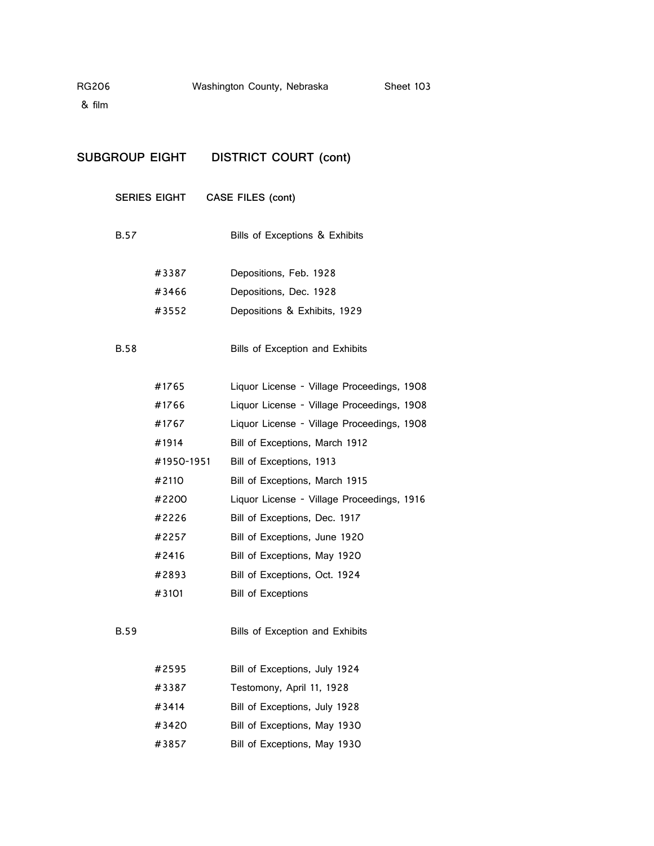| SUBGROUP EIGHT |              | <b>DISTRICT COURT (cont)</b>               |
|----------------|--------------|--------------------------------------------|
|                | SERIES EIGHT | CASE FILES (cont)                          |
| <b>B.57</b>    |              | Bills of Exceptions & Exhibits             |
|                | #3387        | Depositions, Feb. 1928                     |
|                | #3466        | Depositions, Dec. 1928                     |
|                | #3552        | Depositions & Exhibits, 1929               |
| <b>B.58</b>    |              | Bills of Exception and Exhibits            |
|                | #1765        | Liquor License - Village Proceedings, 1908 |
|                | #1766        | Liquor License - Village Proceedings, 1908 |
|                | #1767        | Liquor License - Village Proceedings, 1908 |
|                | #1914        | Bill of Exceptions, March 1912             |
|                | #1950-1951   | Bill of Exceptions, 1913                   |
|                | #2110        | Bill of Exceptions, March 1915             |
|                | #2200        | Liquor License - Village Proceedings, 1916 |
|                | #2226        | Bill of Exceptions, Dec. 1917              |
|                | #2257        | Bill of Exceptions, June 1920              |
|                | #2416        | Bill of Exceptions, May 1920               |
|                | #2893        | Bill of Exceptions, Oct. 1924              |
|                | #3101        | <b>Bill of Exceptions</b>                  |
| <b>B.59</b>    |              | Bills of Exception and Exhibits            |
|                | #2595        | Bill of Exceptions, July 1924              |
|                | #3387        | Testomony, April 11, 1928                  |
|                | #3414        | Bill of Exceptions, July 1928              |
|                | #3420        | Bill of Exceptions, May 1930               |
|                | #3857        | Bill of Exceptions, May 1930               |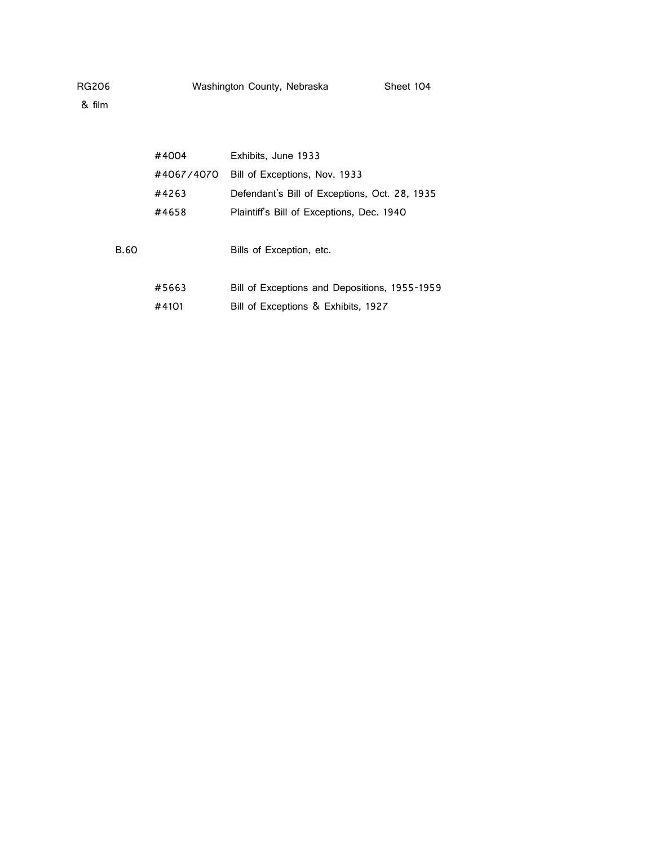|      | #4004      | Exhibits, June 1933                           |
|------|------------|-----------------------------------------------|
|      | #4067/4070 | Bill of Exceptions, Nov. 1933                 |
|      | #4263      | Defendant's Bill of Exceptions, Oct. 28, 1935 |
|      | #4658      | Plaintiff's Bill of Exceptions, Dec. 1940     |
| B.60 |            | Bills of Exception, etc.                      |
|      | #5663      | Bill of Exceptions and Depositions, 1955-1959 |
|      | #4101      | Bill of Exceptions & Exhibits, 1927           |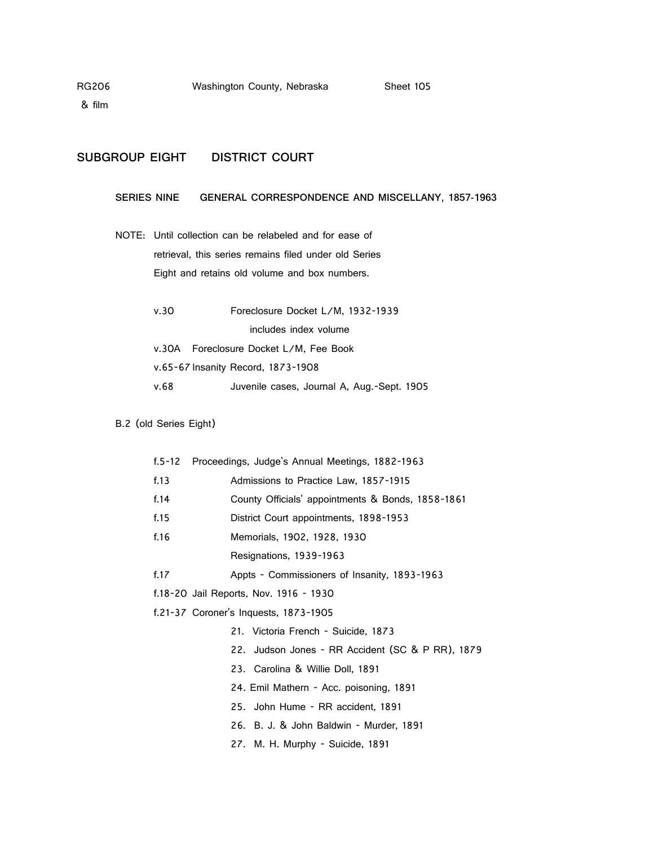## **SUBGROUP EIGHT DISTRICT COURT**

## **SERIES NINE GENERAL CORRESPONDENCE AND MISCELLANY, 1857-1963**

- NOTE: Until collection can be relabeled and for ease of retrieval, this series remains filed under old Series Eight and retains old volume and box numbers.
	- v.30 Foreclosure Docket L/M, 1932-1939 includes index volume v.30A Foreclosure Docket L/M, Fee Book v.65-67 Insanity Record, 1873-1908 v.68 Juvenile cases, Journal A, Aug.-Sept. 1905

### B.2 (old Series Eight)

| f.5-12 | Proceedings, Judge's Annual Meetings, 1882-1963   |
|--------|---------------------------------------------------|
| f.13   | Admissions to Practice Law, 1857-1915             |
| f.14   | County Officials' appointments & Bonds, 1858-1861 |
| f.15   | District Court appointments, 1898-1953            |
| f.16   | Memorials, 1902, 1928, 1930                       |
|        | Resignations, 1939-1963                           |
| f.17   | Appts - Commissioners of Insanity, 1893-1963      |
|        | f.18-20 Jail Reports, Nov. 1916 - 1930            |
|        | f.21-37 Coroner's Inquests, 1873-1905             |
|        | 21. Victoria French - Suicide, 1873               |
|        | 22. Judson Jones - RR Accident (SC & P RR), 1879  |
|        | 23. Carolina & Willie Doll, 1891                  |
|        | 24. Emil Mathern - Acc. poisoning, 1891           |
|        | 25. John Hume - RR accident, 1891                 |
|        | 26. B. J. & John Baldwin - Murder, 1891           |
|        | 27. M. H. Murphy - Suicide, 1891                  |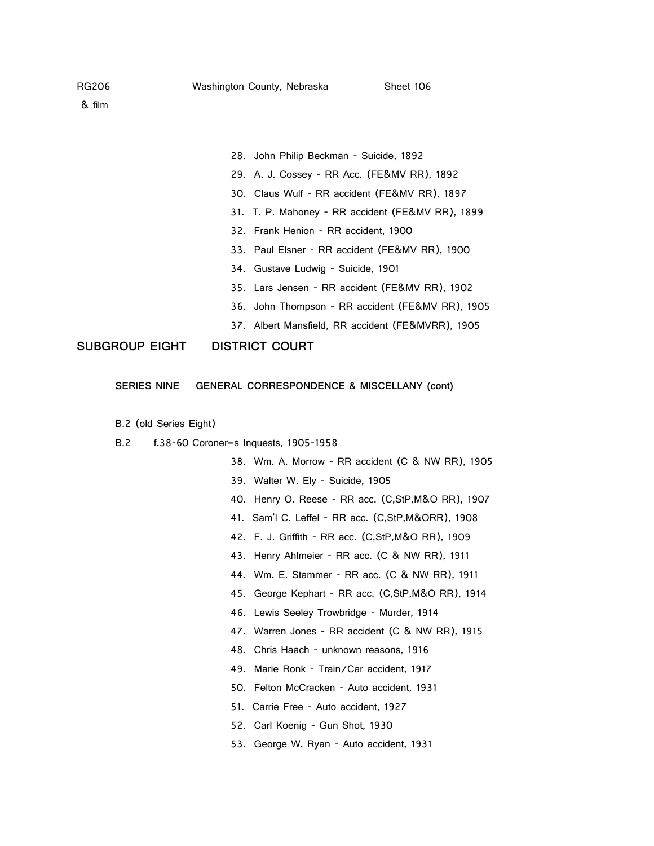- 28. John Philip Beckman Suicide, 1892
- 29. A. J. Cossey RR Acc. (FE&MV RR), 1892
- 30. Claus Wulf RR accident (FE&MV RR), 1897
- 31. T. P. Mahoney RR accident (FE&MV RR), 1899
- 32. Frank Henion RR accident, 1900
- 33. Paul Elsner RR accident (FE&MV RR), 1900
- 34. Gustave Ludwig Suicide, 1901
- 35. Lars Jensen RR accident (FE&MV RR), 1902
- 36. John Thompson RR accident (FE&MV RR), 1905
- 37. Albert Mansfield, RR accident (FE&MVRR), 1905

### **SUBGROUP EIGHT DISTRICT COURT**

- **SERIES NINE GENERAL CORRESPONDENCE & MISCELLANY (cont)**
- B.2 (old Series Eight)
- B.2 f.38-60 Coroner=s Inquests, 1905-1958
	- 38. Wm. A. Morrow RR accident (C & NW RR), 1905
	- 39. Walter W. Ely Suicide, 1905
	- 40. Henry O. Reese RR acc. (C,StP,M&O RR), 1907
	- 41. Sam'l C. Leffel RR acc. (C,StP,M&ORR), 1908
	- 42. F. J. Griffith RR acc. (C,StP,M&O RR), 1909
	- 43. Henry Ahlmeier RR acc. (C & NW RR), 1911
	- 44. Wm. E. Stammer RR acc. (C & NW RR), 1911
	- 45. George Kephart RR acc. (C,StP,M&O RR), 1914
	- 46. Lewis Seeley Trowbridge Murder, 1914
	- 47. Warren Jones RR accident (C & NW RR), 1915
	- 48. Chris Haach unknown reasons, 1916
	- 49. Marie Ronk Train/Car accident, 1917
	- 50. Felton McCracken Auto accident, 1931
	- 51. Carrie Free Auto accident, 1927
	- 52. Carl Koenig Gun Shot, 1930
	- 53. George W. Ryan Auto accident, 1931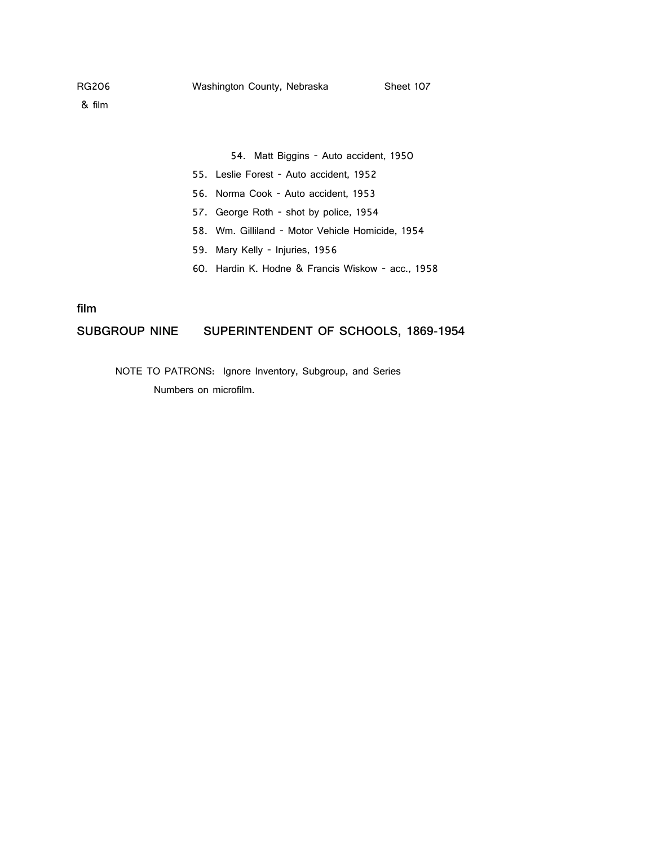#### 54. Matt Biggins - Auto accident, 1950

- 55. Leslie Forest Auto accident, 1952
- 56. Norma Cook Auto accident, 1953
- 57. George Roth shot by police, 1954
- 58. Wm. Gilliland Motor Vehicle Homicide, 1954
- 59. Mary Kelly Injuries, 1956
- 60. Hardin K. Hodne & Francis Wiskow acc., 1958

### **film**

### **SUBGROUP NINE SUPERINTENDENT OF SCHOOLS, 1869-1954**

NOTE TO PATRONS: Ignore Inventory, Subgroup, and Series Numbers on microfilm.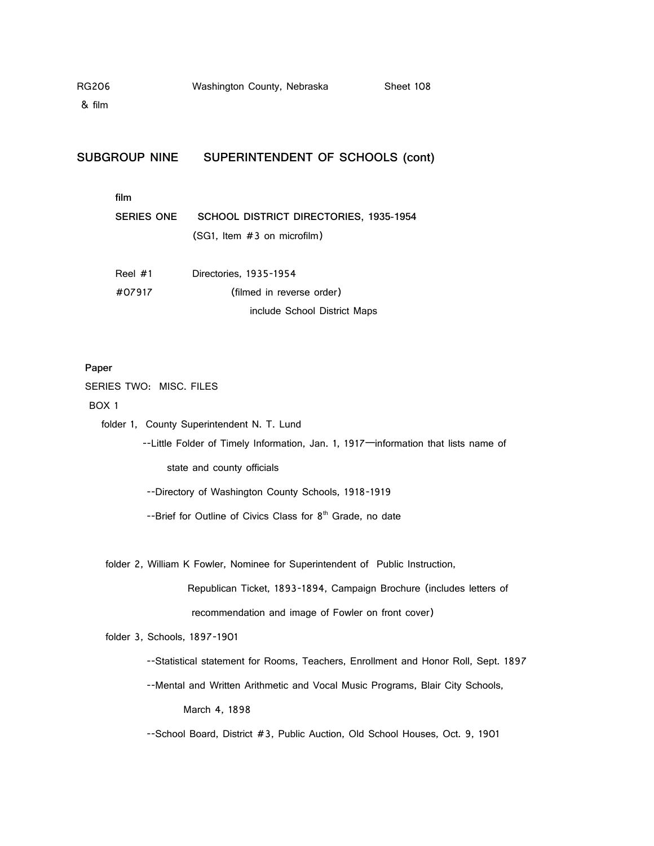& film

### **SUBGROUP NINE SUPERINTENDENT OF SCHOOLS (cont)**

|--|--|

| SERIES ONE | SCHOOL DISTRICT DIRECTORIES, 1935-1954 |
|------------|----------------------------------------|
|            | $(SG1.$ Item $#3$ on microfilm)        |

| Reel $#1$ | Directories, 1935-1954       |
|-----------|------------------------------|
| #07917    | (filmed in reverse order)    |
|           | include School District Maps |

#### **Paper**

SERIES TWO: MISC. FILES

BOX 1

folder 1, County Superintendent N. T. Lund

 --Little Folder of Timely Information, Jan. 1, 1917—information that lists name of state and county officials

--Directory of Washington County Schools, 1918-1919

 $-$ -Brief for Outline of Civics Class for  $8<sup>th</sup>$  Grade, no date

folder 2, William K Fowler, Nominee for Superintendent of Public Instruction,

 Republican Ticket, 1893-1894, Campaign Brochure (includes letters of recommendation and image of Fowler on front cover)

folder 3, Schools, 1897-1901

--Statistical statement for Rooms, Teachers, Enrollment and Honor Roll, Sept. 1897

 --Mental and Written Arithmetic and Vocal Music Programs, Blair City Schools, March 4, 1898

--School Board, District #3, Public Auction, Old School Houses, Oct. 9, 1901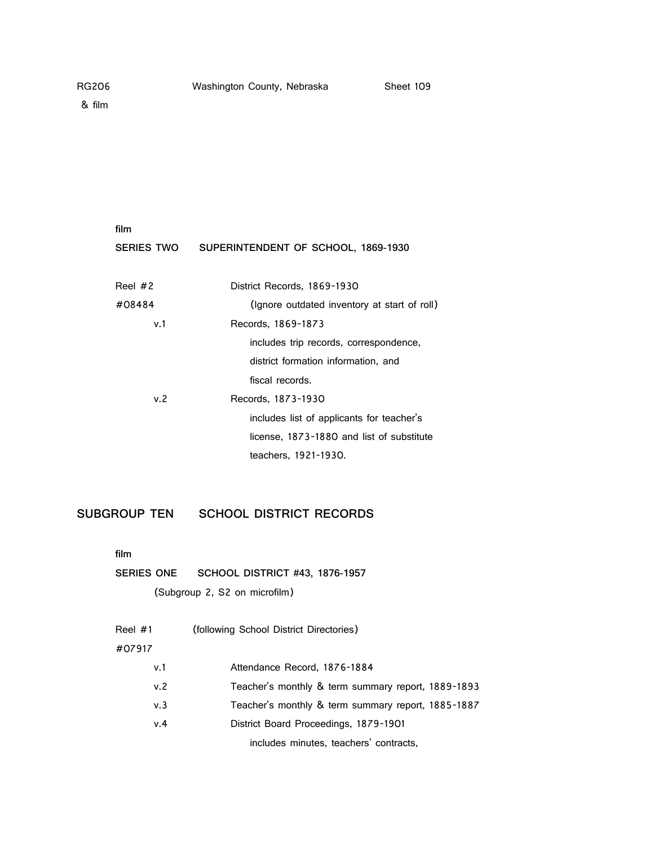| film              |                                              |
|-------------------|----------------------------------------------|
| <b>SERIES TWO</b> | SUPERINTENDENT OF SCHOOL, 1869-1930          |
|                   |                                              |
| Reel $#2$         | District Records, 1869-1930                  |
| #08484            | (Ignore outdated inventory at start of roll) |
| v.1               | Records, 1869-1873                           |
|                   | includes trip records, correspondence,       |
|                   | district formation information, and          |
|                   | fiscal records.                              |
| v.2               | Records, 1873-1930                           |
|                   | includes list of applicants for teacher's    |
|                   | license, 1873-1880 and list of substitute    |
|                   | teachers, 1921-1930.                         |

**SUBGROUP TEN SCHOOL DISTRICT RECORDS**

**film**

**SERIES ONE SCHOOL DISTRICT #43, 1876-1957**

(Subgroup 2, S2 on microfilm)

| Reel #1 | (following School District Directories) |
|---------|-----------------------------------------|
| #07917  |                                         |
| v 1     | Attendance Record, 1876-1884            |

| v. 2 | Teacher's monthly & term summary report, 1889-1893 |  |  |  |  |
|------|----------------------------------------------------|--|--|--|--|
|------|----------------------------------------------------|--|--|--|--|

- v.3 Teacher's monthly & term summary report, 1885-1887
- v.4 District Board Proceedings, 1879-1901

includes minutes, teachers' contracts,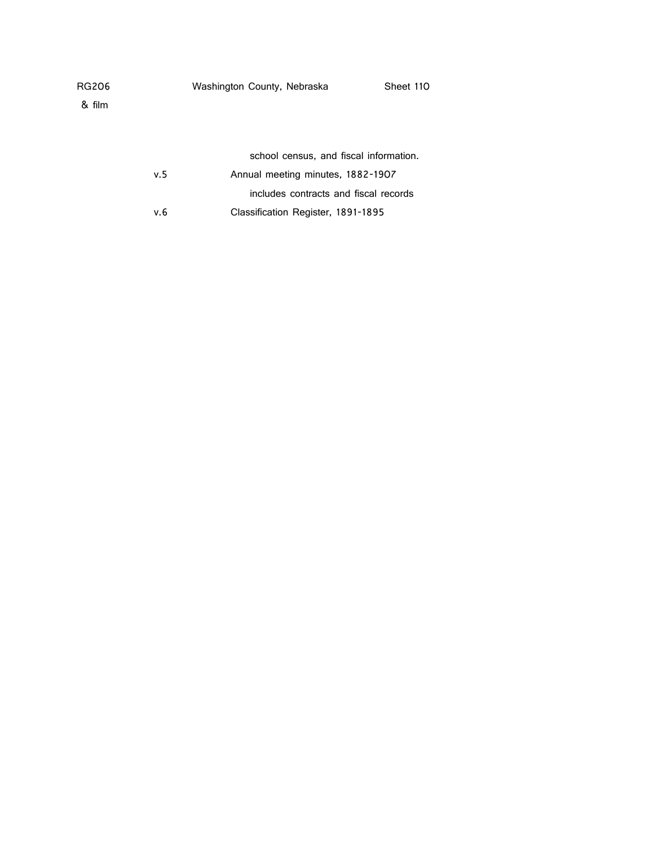|      | school census, and fiscal information. |
|------|----------------------------------------|
| v. 5 | Annual meeting minutes, 1882-1907      |
|      | includes contracts and fiscal records  |
| v.6  | Classification Register, 1891-1895     |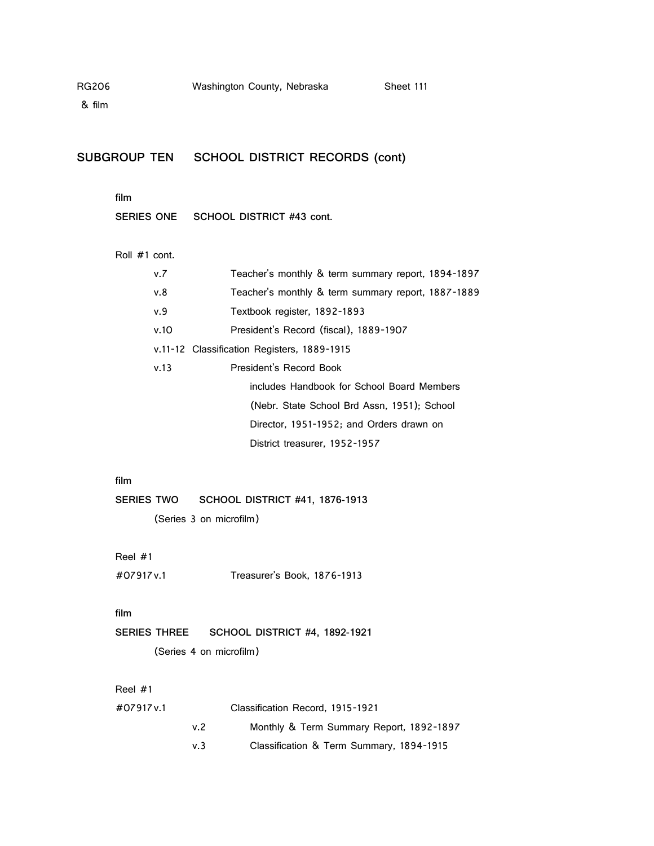| RG206<br>& film   |               |                     |                         | Washington County, Nebraska                 |                                             | Sheet 111                                          |
|-------------------|---------------|---------------------|-------------------------|---------------------------------------------|---------------------------------------------|----------------------------------------------------|
|                   |               |                     |                         |                                             | SUBGROUP TEN SCHOOL DISTRICT RECORDS (cont) |                                                    |
|                   | film          |                     |                         |                                             |                                             |                                                    |
|                   |               | SERIES ONE          |                         | SCHOOL DISTRICT #43 cont.                   |                                             |                                                    |
|                   | Roll #1 cont. |                     |                         |                                             |                                             |                                                    |
|                   |               | v.7                 |                         |                                             |                                             | Teacher's monthly & term summary report, 1894-1897 |
|                   |               | v.8                 |                         |                                             |                                             | Teacher's monthly & term summary report, 1887-1889 |
|                   |               | v.9                 |                         | Textbook register, 1892-1893                |                                             |                                                    |
|                   |               | v.10                |                         |                                             | President's Record (fiscal), 1889-1907      |                                                    |
|                   |               |                     |                         | v.11-12 Classification Registers, 1889-1915 |                                             |                                                    |
|                   |               | v.13                |                         | President's Record Book                     |                                             |                                                    |
|                   |               |                     |                         |                                             |                                             | includes Handbook for School Board Members         |
|                   |               |                     |                         |                                             |                                             | (Nebr. State School Brd Assn, 1951); School        |
|                   |               |                     |                         |                                             |                                             | Director, 1951-1952; and Orders drawn on           |
|                   |               |                     |                         |                                             | District treasurer, 1952-1957               |                                                    |
|                   | film          |                     |                         |                                             |                                             |                                                    |
| <b>SERIES TWO</b> |               |                     |                         | <b>SCHOOL DISTRICT #41, 1876-1913</b>       |                                             |                                                    |
|                   |               |                     | (Series 3 on microfilm) |                                             |                                             |                                                    |
|                   | Reel #1       |                     |                         |                                             |                                             |                                                    |
|                   | #07917 v.1    |                     |                         | Treasurer's Book, 1876-1913                 |                                             |                                                    |
|                   | film          |                     |                         |                                             |                                             |                                                    |
|                   |               | <b>SERIES THREE</b> |                         | <b>SCHOOL DISTRICT #4, 1892-1921</b>        |                                             |                                                    |
|                   |               |                     | (Series 4 on microfilm) |                                             |                                             |                                                    |
|                   | Reel $#1$     |                     |                         |                                             |                                             |                                                    |
|                   | #07917v.1     |                     |                         | Classification Record, 1915-1921            |                                             |                                                    |
|                   |               |                     | v.2                     |                                             |                                             | Monthly & Term Summary Report, 1892-1897           |
|                   |               |                     | v.3                     |                                             |                                             | Classification & Term Summary, 1894-1915           |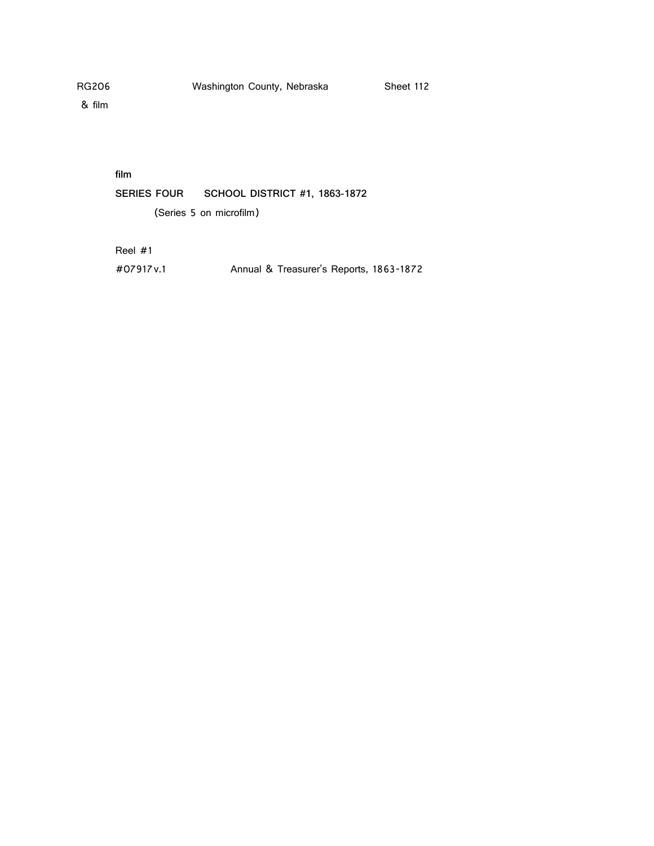& film

**film**

**SERIES FOUR SCHOOL DISTRICT #1, 1863-1872** (Series 5 on microfilm)

Reel #1

#07917v.1 Annual & Treasurer's Reports, 1863-1872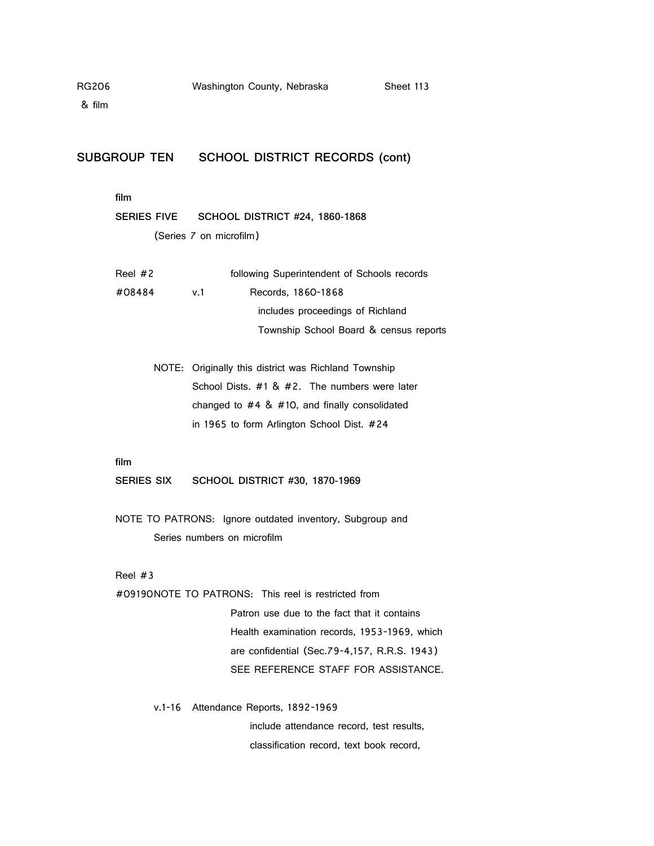| <b>RG206</b> |                    | Washington County, Nebraska<br>Sheet 113                 |
|--------------|--------------------|----------------------------------------------------------|
| & film       |                    |                                                          |
|              |                    |                                                          |
|              |                    |                                                          |
|              |                    | SUBGROUP TEN SCHOOL DISTRICT RECORDS (cont)              |
|              |                    |                                                          |
|              | film               |                                                          |
|              | <b>SERIES FIVE</b> | <b>SCHOOL DISTRICT #24, 1860-1868</b>                    |
|              |                    | (Series 7 on microfilm)                                  |
|              |                    |                                                          |
|              | Reel $#2$          | following Superintendent of Schools records              |
|              | #08484             | v.1<br>Records, 1860-1868                                |
|              |                    | includes proceedings of Richland                         |
|              |                    | Township School Board & census reports                   |
|              |                    |                                                          |
|              |                    | NOTE: Originally this district was Richland Township     |
|              |                    | School Dists. #1 & #2. The numbers were later            |
|              |                    | changed to $#4 \& #10$ , and finally consolidated        |
|              |                    | in 1965 to form Arlington School Dist. #24               |
|              |                    |                                                          |
|              | film               |                                                          |
|              | SERIES SIX         | <b>SCHOOL DISTRICT #30, 1870-1969</b>                    |
|              |                    |                                                          |
|              |                    | NOTE TO PATRONS: Ignore outdated inventory, Subgroup and |
|              |                    | Series numbers on microfilm                              |
|              |                    |                                                          |
|              | Reel $#3$          |                                                          |
|              |                    | #09190NOTE TO PATRONS: This reel is restricted from      |
|              |                    | Patron use due to the fact that it contains              |
|              |                    | Health examination records, 1953-1969, which             |
|              |                    | are confidential (Sec.79-4,157, R.R.S. 1943)             |
|              |                    | SEE REFERENCE STAFF FOR ASSISTANCE.                      |
|              |                    |                                                          |
|              | $v.1 - 16$         | Attendance Reports, 1892-1969                            |
|              |                    | include attendance record, test results,                 |
|              |                    | classification record, text book record,                 |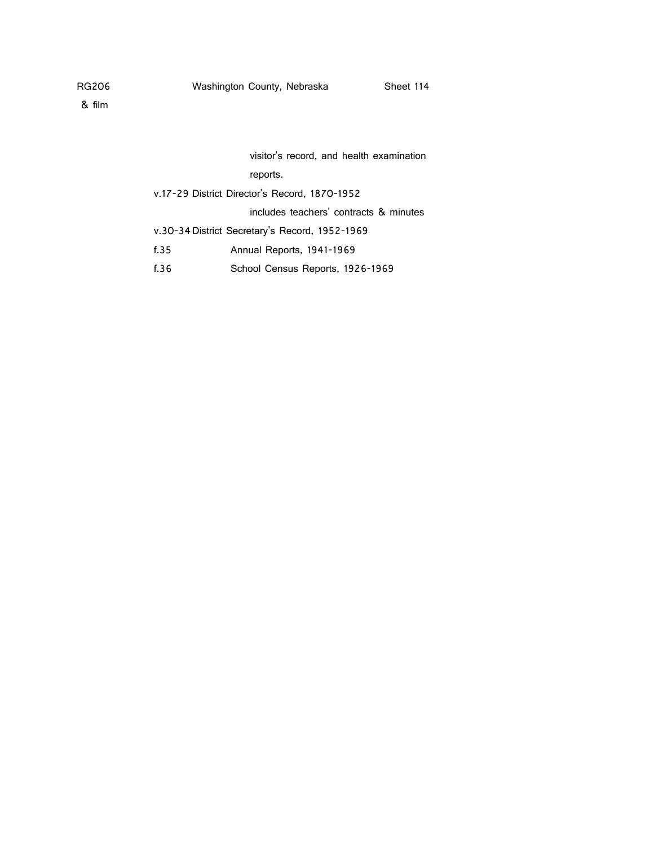# visitor's record, and health examination reports.

v.17-29 District Director's Record, 1870-1952

includes teachers' contracts & minutes

- v.30-34District Secretary's Record, 1952-1969
- f.35 Annual Reports, 1941-1969
- f.36 School Census Reports, 1926-1969